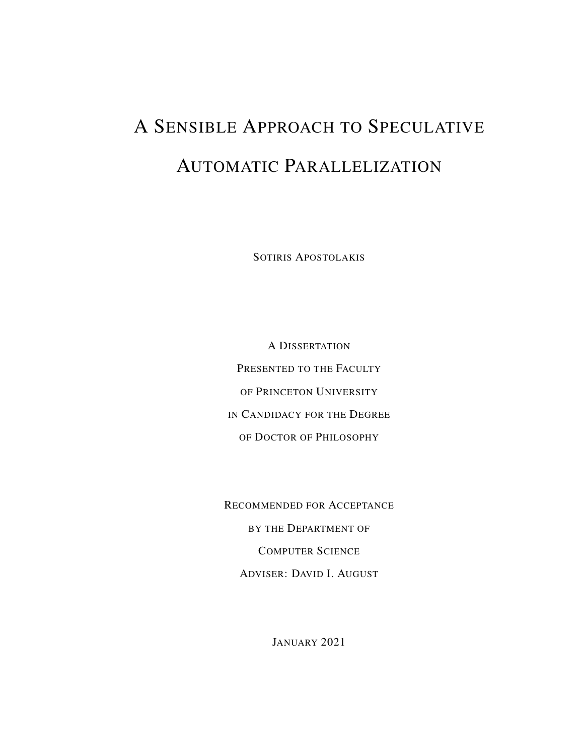# <span id="page-0-0"></span>A SENSIBLE APPROACH TO SPECULATIVE AUTOMATIC PARALLELIZATION

SOTIRIS APOSTOLAKIS

A DISSERTATION PRESENTED TO THE FACULTY OF PRINCETON UNIVERSITY IN CANDIDACY FOR THE DEGREE OF DOCTOR OF PHILOSOPHY

RECOMMENDED FOR ACCEPTANCE BY THE DEPARTMENT OF COMPUTER SCIENCE ADVISER: DAVID I. AUGUST

JANUARY 2021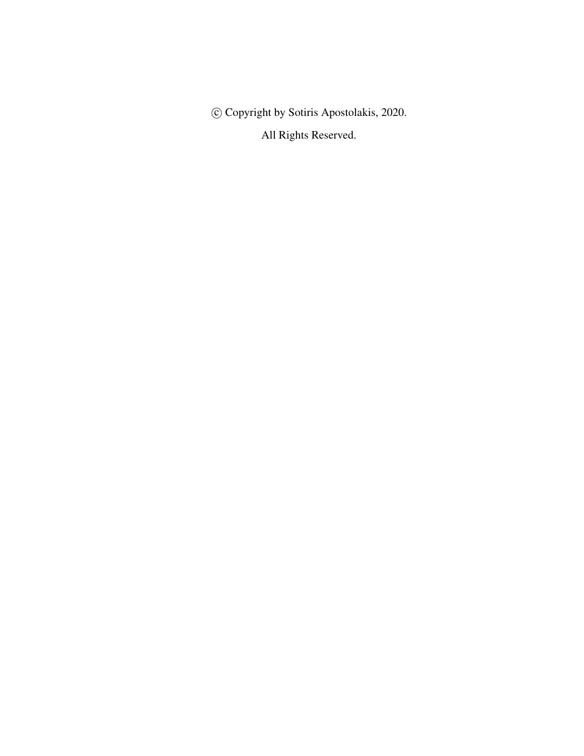c Copyright by Sotiris Apostolakis, 2020.

All Rights Reserved.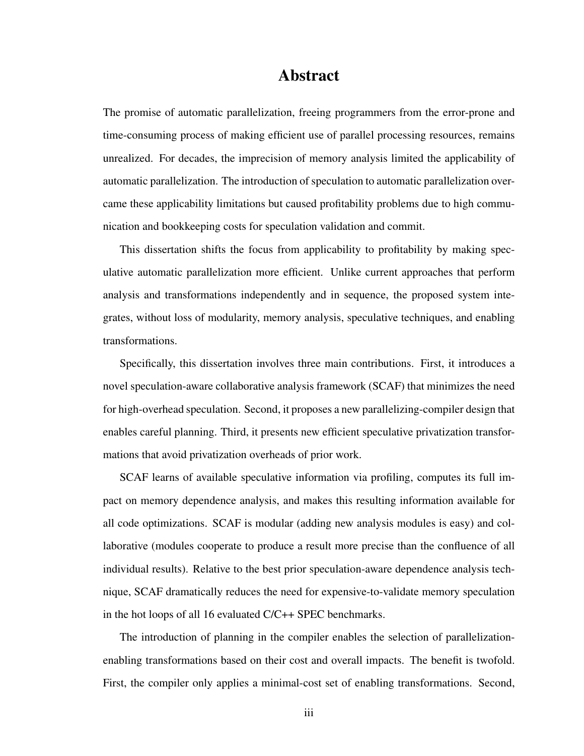#### Abstract

The promise of automatic parallelization, freeing programmers from the error-prone and time-consuming process of making efficient use of parallel processing resources, remains unrealized. For decades, the imprecision of memory analysis limited the applicability of automatic parallelization. The introduction of speculation to automatic parallelization overcame these applicability limitations but caused profitability problems due to high communication and bookkeeping costs for speculation validation and commit.

This dissertation shifts the focus from applicability to profitability by making speculative automatic parallelization more efficient. Unlike current approaches that perform analysis and transformations independently and in sequence, the proposed system integrates, without loss of modularity, memory analysis, speculative techniques, and enabling transformations.

Specifically, this dissertation involves three main contributions. First, it introduces a novel speculation-aware collaborative analysis framework (SCAF) that minimizes the need for high-overhead speculation. Second, it proposes a new parallelizing-compiler design that enables careful planning. Third, it presents new efficient speculative privatization transformations that avoid privatization overheads of prior work.

SCAF learns of available speculative information via profiling, computes its full impact on memory dependence analysis, and makes this resulting information available for all code optimizations. SCAF is modular (adding new analysis modules is easy) and collaborative (modules cooperate to produce a result more precise than the confluence of all individual results). Relative to the best prior speculation-aware dependence analysis technique, SCAF dramatically reduces the need for expensive-to-validate memory speculation in the hot loops of all 16 evaluated C/C++ SPEC benchmarks.

The introduction of planning in the compiler enables the selection of parallelizationenabling transformations based on their cost and overall impacts. The benefit is twofold. First, the compiler only applies a minimal-cost set of enabling transformations. Second,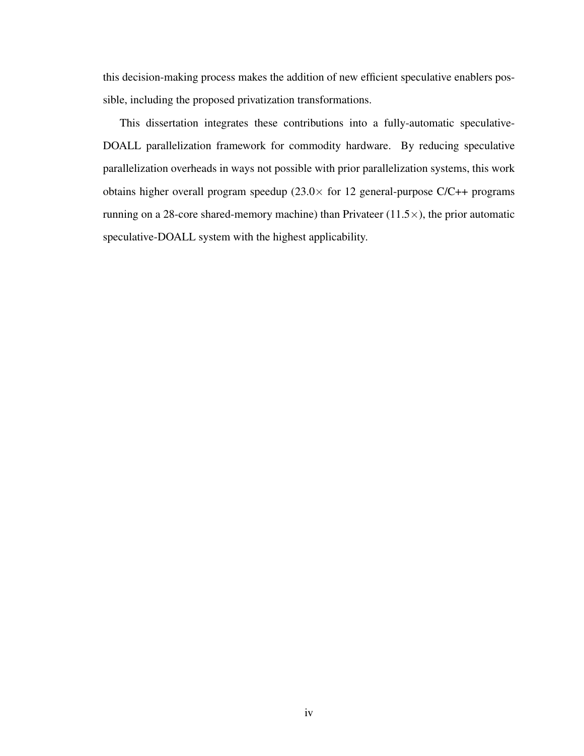this decision-making process makes the addition of new efficient speculative enablers possible, including the proposed privatization transformations.

This dissertation integrates these contributions into a fully-automatic speculative-DOALL parallelization framework for commodity hardware. By reducing speculative parallelization overheads in ways not possible with prior parallelization systems, this work obtains higher overall program speedup  $(23.0 \times$  for 12 general-purpose C/C++ programs running on a 28-core shared-memory machine) than Privateer  $(11.5\times)$ , the prior automatic speculative-DOALL system with the highest applicability.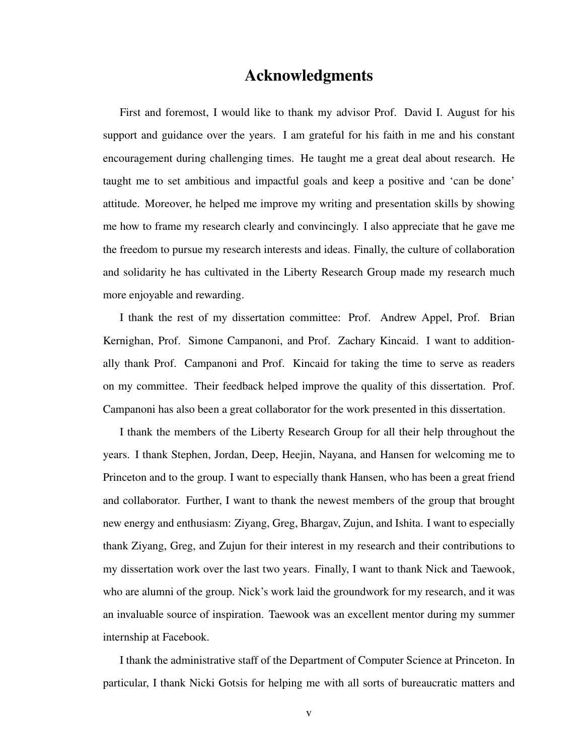#### Acknowledgments

<span id="page-4-0"></span>First and foremost, I would like to thank my advisor Prof. David I. August for his support and guidance over the years. I am grateful for his faith in me and his constant encouragement during challenging times. He taught me a great deal about research. He taught me to set ambitious and impactful goals and keep a positive and 'can be done' attitude. Moreover, he helped me improve my writing and presentation skills by showing me how to frame my research clearly and convincingly. I also appreciate that he gave me the freedom to pursue my research interests and ideas. Finally, the culture of collaboration and solidarity he has cultivated in the Liberty Research Group made my research much more enjoyable and rewarding.

I thank the rest of my dissertation committee: Prof. Andrew Appel, Prof. Brian Kernighan, Prof. Simone Campanoni, and Prof. Zachary Kincaid. I want to additionally thank Prof. Campanoni and Prof. Kincaid for taking the time to serve as readers on my committee. Their feedback helped improve the quality of this dissertation. Prof. Campanoni has also been a great collaborator for the work presented in this dissertation.

I thank the members of the Liberty Research Group for all their help throughout the years. I thank Stephen, Jordan, Deep, Heejin, Nayana, and Hansen for welcoming me to Princeton and to the group. I want to especially thank Hansen, who has been a great friend and collaborator. Further, I want to thank the newest members of the group that brought new energy and enthusiasm: Ziyang, Greg, Bhargav, Zujun, and Ishita. I want to especially thank Ziyang, Greg, and Zujun for their interest in my research and their contributions to my dissertation work over the last two years. Finally, I want to thank Nick and Taewook, who are alumni of the group. Nick's work laid the groundwork for my research, and it was an invaluable source of inspiration. Taewook was an excellent mentor during my summer internship at Facebook.

I thank the administrative staff of the Department of Computer Science at Princeton. In particular, I thank Nicki Gotsis for helping me with all sorts of bureaucratic matters and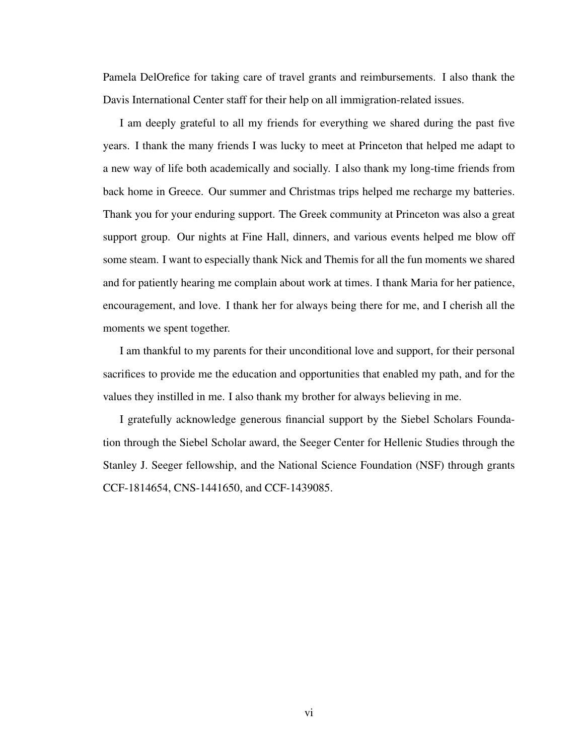Pamela DelOrefice for taking care of travel grants and reimbursements. I also thank the Davis International Center staff for their help on all immigration-related issues.

I am deeply grateful to all my friends for everything we shared during the past five years. I thank the many friends I was lucky to meet at Princeton that helped me adapt to a new way of life both academically and socially. I also thank my long-time friends from back home in Greece. Our summer and Christmas trips helped me recharge my batteries. Thank you for your enduring support. The Greek community at Princeton was also a great support group. Our nights at Fine Hall, dinners, and various events helped me blow off some steam. I want to especially thank Nick and Themis for all the fun moments we shared and for patiently hearing me complain about work at times. I thank Maria for her patience, encouragement, and love. I thank her for always being there for me, and I cherish all the moments we spent together.

I am thankful to my parents for their unconditional love and support, for their personal sacrifices to provide me the education and opportunities that enabled my path, and for the values they instilled in me. I also thank my brother for always believing in me.

I gratefully acknowledge generous financial support by the Siebel Scholars Foundation through the Siebel Scholar award, the Seeger Center for Hellenic Studies through the Stanley J. Seeger fellowship, and the National Science Foundation (NSF) through grants CCF-1814654, CNS-1441650, and CCF-1439085.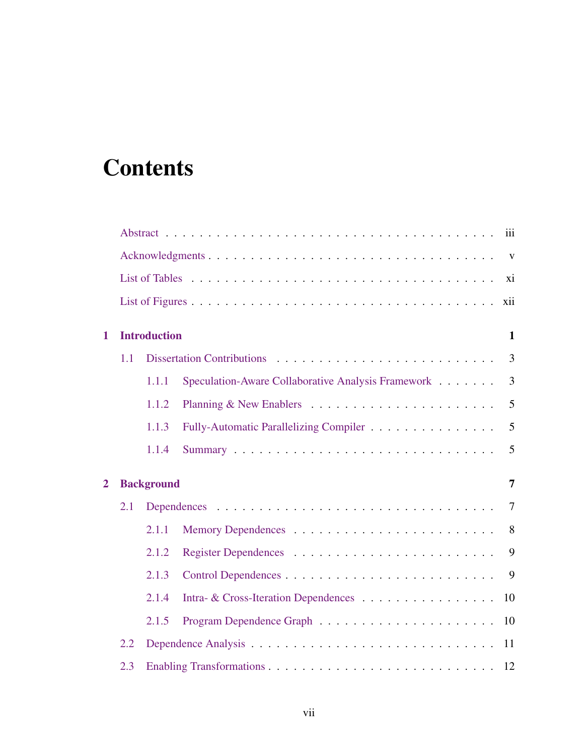## **Contents**

|                |     |                                     | iii                                                                  |  |
|----------------|-----|-------------------------------------|----------------------------------------------------------------------|--|
|                |     |                                     | $\mathbf{V}$                                                         |  |
|                |     |                                     | xi                                                                   |  |
|                |     |                                     | xii                                                                  |  |
| 1              |     | <b>Introduction</b><br>$\mathbf{1}$ |                                                                      |  |
|                | 1.1 |                                     | 3                                                                    |  |
|                |     | 1.1.1                               | Speculation-Aware Collaborative Analysis Framework<br>$\overline{3}$ |  |
|                |     | 1.1.2                               | 5                                                                    |  |
|                |     | 1.1.3                               | 5<br>Fully-Automatic Parallelizing Compiler                          |  |
|                |     | 1.1.4                               | 5                                                                    |  |
| $\overline{2}$ |     | <b>Background</b>                   | $\overline{7}$                                                       |  |
|                | 2.1 |                                     | 7                                                                    |  |
|                |     | 2.1.1                               | 8                                                                    |  |
|                |     | 2.1.2                               | 9                                                                    |  |
|                |     | 2.1.3                               | 9                                                                    |  |
|                |     | 2.1.4                               | Intra- & Cross-Iteration Dependences<br>10                           |  |
|                |     | 2.1.5                               | 10                                                                   |  |
|                | 2.2 |                                     | 11                                                                   |  |
|                | 2.3 |                                     |                                                                      |  |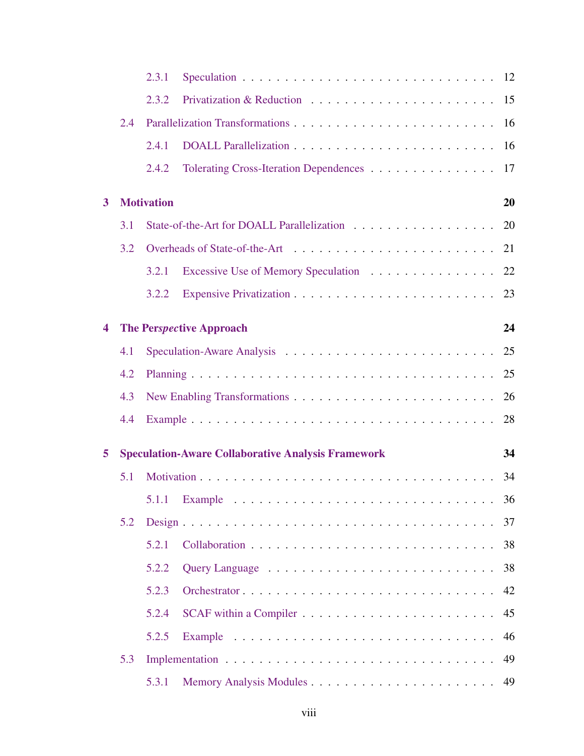|   |     | 2.3.1             |                                                                             |    |
|---|-----|-------------------|-----------------------------------------------------------------------------|----|
|   |     | 2.3.2             |                                                                             |    |
|   | 2.4 |                   |                                                                             |    |
|   |     | 2.4.1             |                                                                             |    |
|   |     | 2.4.2             | Tolerating Cross-Iteration Dependences 17                                   |    |
| 3 |     | <b>Motivation</b> |                                                                             | 20 |
|   | 3.1 |                   | State-of-the-Art for DOALL Parallelization 20                               |    |
|   | 3.2 |                   |                                                                             |    |
|   |     | 3.2.1             | Excessive Use of Memory Speculation 22                                      |    |
|   |     | 3.2.2             |                                                                             |    |
| 4 |     |                   | <b>The Perspective Approach</b>                                             | 24 |
|   | 4.1 |                   |                                                                             |    |
|   | 4.2 |                   |                                                                             |    |
|   | 4.3 |                   |                                                                             |    |
|   | 4.4 |                   |                                                                             | 28 |
| 5 |     |                   | <b>Speculation-Aware Collaborative Analysis Framework</b>                   | 34 |
|   | 5.1 |                   |                                                                             |    |
|   |     |                   |                                                                             |    |
|   | 5.2 |                   |                                                                             |    |
|   |     | 5.2.1             |                                                                             | 38 |
|   |     | 5.2.2             |                                                                             | 38 |
|   |     | 5.2.3             | Orchestrator                                                                | 42 |
|   |     | 5.2.4             | $SCAF$ within a Compiler $\ldots \ldots \ldots \ldots \ldots \ldots \ldots$ | 45 |
|   |     | 5.2.5             |                                                                             | 46 |
|   | 5.3 |                   |                                                                             | 49 |
|   |     | 5.3.1             |                                                                             |    |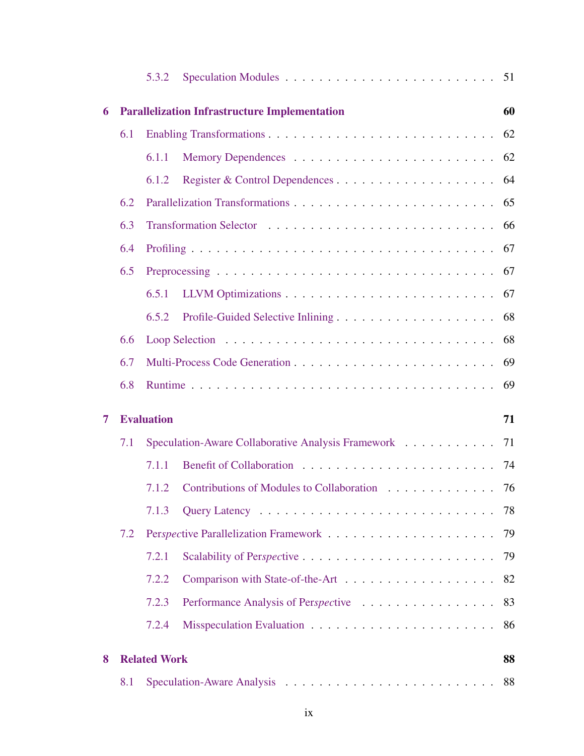|   |                         | 5.3.2               |                                                      |    |  |
|---|-------------------------|---------------------|------------------------------------------------------|----|--|
| 6 |                         |                     | <b>Parallelization Infrastructure Implementation</b> | 60 |  |
|   | 6.1                     |                     |                                                      | 62 |  |
|   |                         | 6.1.1               |                                                      | 62 |  |
|   |                         | 6.1.2               |                                                      | 64 |  |
|   | 6.2                     |                     |                                                      | 65 |  |
|   | 6.3                     |                     |                                                      | 66 |  |
|   | 6.4                     | 67                  |                                                      |    |  |
|   | 6.5                     |                     |                                                      | 67 |  |
|   |                         | 6.5.1               |                                                      | 67 |  |
|   |                         | 6.5.2               |                                                      | 68 |  |
|   | 6.6                     |                     |                                                      | 68 |  |
|   | 6.7                     | 69                  |                                                      |    |  |
|   | 6.8                     |                     |                                                      | 69 |  |
| 7 | <b>Evaluation</b><br>71 |                     |                                                      |    |  |
|   | 7.1                     |                     | Speculation-Aware Collaborative Analysis Framework   | 71 |  |
|   |                         | 7.1.1               |                                                      | 74 |  |
|   |                         | 7.1.2               | Contributions of Modules to Collaboration 76         |    |  |
|   |                         | 7.1.3               |                                                      | 78 |  |
|   | 7.2                     |                     |                                                      | 79 |  |
|   |                         | 7.2.1               |                                                      | 79 |  |
|   |                         | 7.2.2               |                                                      | 82 |  |
|   |                         | 7.2.3               | Performance Analysis of Perspective                  | 83 |  |
|   |                         | 7.2.4               |                                                      | 86 |  |
| 8 |                         | <b>Related Work</b> |                                                      | 88 |  |
|   | 8.1                     |                     |                                                      | 88 |  |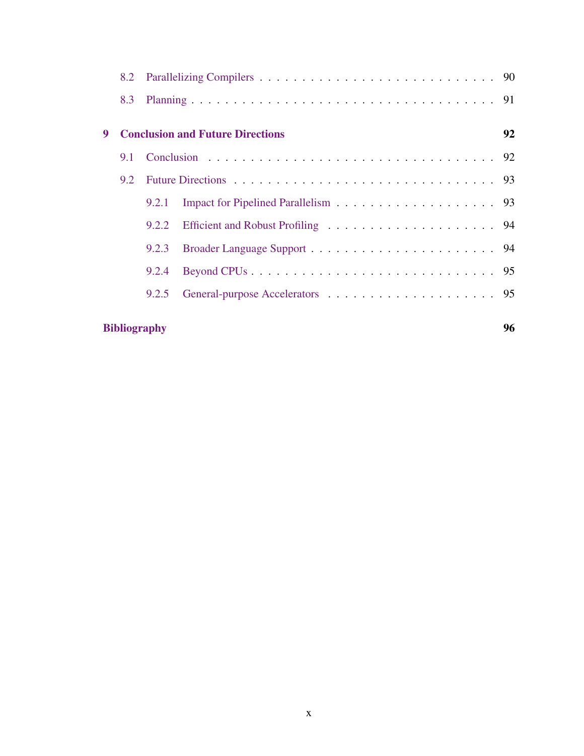|   | 8.2                 |                                         |  |    |
|---|---------------------|-----------------------------------------|--|----|
|   |                     |                                         |  |    |
| 9 |                     | <b>Conclusion and Future Directions</b> |  | 92 |
|   | 9.1                 |                                         |  |    |
|   | 9.2                 |                                         |  |    |
|   |                     | 9.2.1                                   |  |    |
|   |                     | 9.2.2                                   |  |    |
|   |                     | 9.2.3                                   |  |    |
|   |                     | 9.2.4                                   |  |    |
|   |                     | 9.2.5                                   |  |    |
|   | <b>Bibliography</b> |                                         |  | 96 |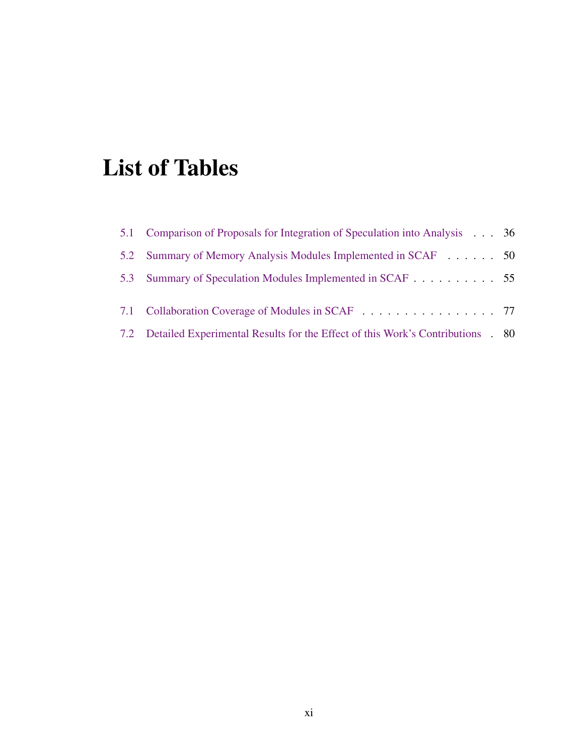## <span id="page-10-0"></span>List of Tables

| 5.1 Comparison of Proposals for Integration of Speculation into Analysis 36        |  |
|------------------------------------------------------------------------------------|--|
| 5.2 Summary of Memory Analysis Modules Implemented in SCAF 50                      |  |
| 5.3 Summary of Speculation Modules Implemented in SCAF 55                          |  |
| 7.1 Collaboration Coverage of Modules in SCAF 77                                   |  |
| 7.2 Detailed Experimental Results for the Effect of this Work's Contributions . 80 |  |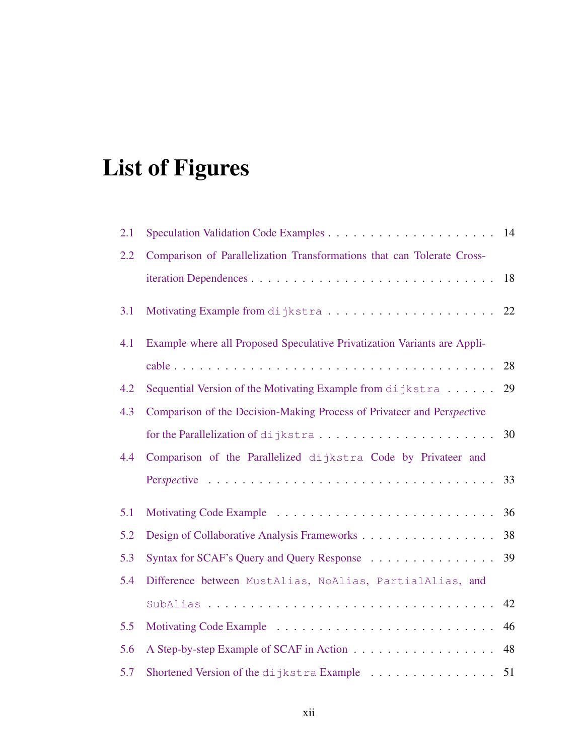## <span id="page-11-0"></span>List of Figures

| 2.1 |                                                                          |    |
|-----|--------------------------------------------------------------------------|----|
| 2.2 | Comparison of Parallelization Transformations that can Tolerate Cross-   |    |
|     |                                                                          | 18 |
| 3.1 |                                                                          |    |
| 4.1 | Example where all Proposed Speculative Privatization Variants are Appli- |    |
|     |                                                                          |    |
| 4.2 | Sequential Version of the Motivating Example from dijkstra               | 29 |
| 4.3 | Comparison of the Decision-Making Process of Privateer and Perspective   |    |
|     |                                                                          | 30 |
| 4.4 | Comparison of the Parallelized dijkstra Code by Privateer and            |    |
|     |                                                                          | 33 |
| 5.1 |                                                                          | 36 |
| 5.2 | Design of Collaborative Analysis Frameworks                              | 38 |
| 5.3 | Syntax for SCAF's Query and Query Response 39                            |    |
| 5.4 | Difference between MustAlias, NoAlias, PartialAlias, and                 |    |
|     |                                                                          | 42 |
| 5.5 |                                                                          | 46 |
| 5.6 |                                                                          | 48 |
| 5.7 | Shortened Version of the dijkstra Example 51                             |    |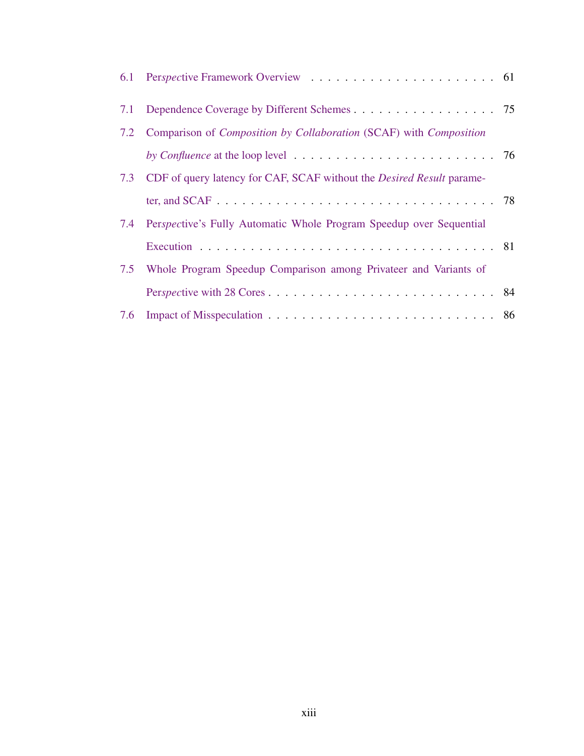| 7.2 Comparison of Composition by Collaboration (SCAF) with Composition                              |  |
|-----------------------------------------------------------------------------------------------------|--|
| by Confluence at the loop level $\ldots \ldots \ldots \ldots \ldots \ldots \ldots \ldots \ldots$ 76 |  |
| 7.3 CDF of query latency for CAF, SCAF without the <i>Desired Result</i> parame-                    |  |
|                                                                                                     |  |
| 7.4 Perspective's Fully Automatic Whole Program Speedup over Sequential                             |  |
|                                                                                                     |  |
| 7.5 Whole Program Speedup Comparison among Privateer and Variants of                                |  |
|                                                                                                     |  |
|                                                                                                     |  |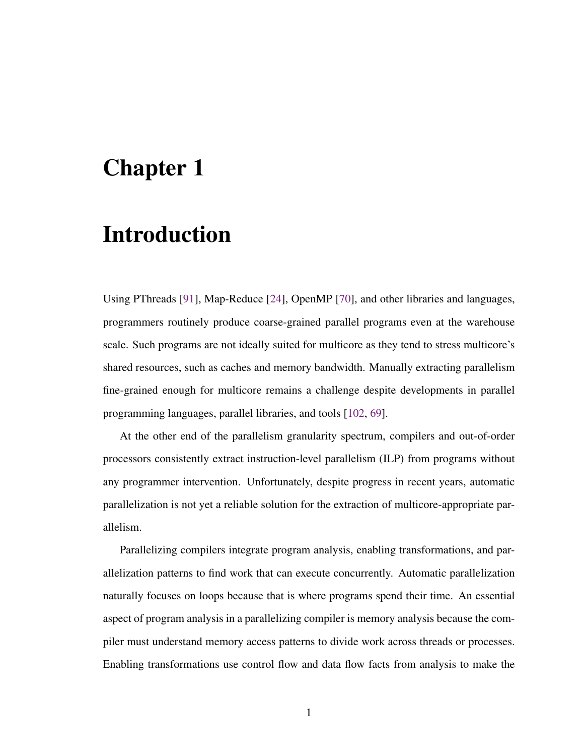### <span id="page-13-0"></span>Chapter 1

## Introduction

Using PThreads [\[91\]](#page-123-0), Map-Reduce [\[24\]](#page-112-0), OpenMP [\[70\]](#page-119-0), and other libraries and languages, programmers routinely produce coarse-grained parallel programs even at the warehouse scale. Such programs are not ideally suited for multicore as they tend to stress multicore's shared resources, such as caches and memory bandwidth. Manually extracting parallelism fine-grained enough for multicore remains a challenge despite developments in parallel programming languages, parallel libraries, and tools [\[102,](#page-124-0) [69\]](#page-119-1).

At the other end of the parallelism granularity spectrum, compilers and out-of-order processors consistently extract instruction-level parallelism (ILP) from programs without any programmer intervention. Unfortunately, despite progress in recent years, automatic parallelization is not yet a reliable solution for the extraction of multicore-appropriate parallelism.

Parallelizing compilers integrate program analysis, enabling transformations, and parallelization patterns to find work that can execute concurrently. Automatic parallelization naturally focuses on loops because that is where programs spend their time. An essential aspect of program analysis in a parallelizing compiler is memory analysis because the compiler must understand memory access patterns to divide work across threads or processes. Enabling transformations use control flow and data flow facts from analysis to make the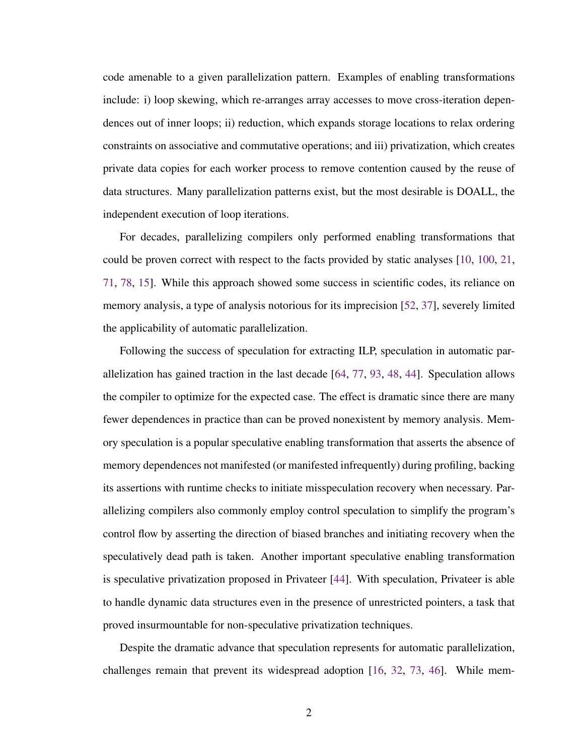code amenable to a given parallelization pattern. Examples of enabling transformations include: i) loop skewing, which re-arranges array accesses to move cross-iteration dependences out of inner loops; ii) reduction, which expands storage locations to relax ordering constraints on associative and commutative operations; and iii) privatization, which creates private data copies for each worker process to remove contention caused by the reuse of data structures. Many parallelization patterns exist, but the most desirable is DOALL, the independent execution of loop iterations.

For decades, parallelizing compilers only performed enabling transformations that could be proven correct with respect to the facts provided by static analyses [\[10,](#page-109-0) [100,](#page-124-1) [21,](#page-111-0) [71,](#page-119-2) [78,](#page-121-0) [15\]](#page-110-0). While this approach showed some success in scientific codes, its reliance on memory analysis, a type of analysis notorious for its imprecision [\[52,](#page-117-0) [37\]](#page-114-0), severely limited the applicability of automatic parallelization.

Following the success of speculation for extracting ILP, speculation in automatic parallelization has gained traction in the last decade [\[64,](#page-118-0) [77,](#page-120-0) [93,](#page-123-1) [48,](#page-116-0) [44\]](#page-115-0). Speculation allows the compiler to optimize for the expected case. The effect is dramatic since there are many fewer dependences in practice than can be proved nonexistent by memory analysis. Memory speculation is a popular speculative enabling transformation that asserts the absence of memory dependences not manifested (or manifested infrequently) during profiling, backing its assertions with runtime checks to initiate misspeculation recovery when necessary. Parallelizing compilers also commonly employ control speculation to simplify the program's control flow by asserting the direction of biased branches and initiating recovery when the speculatively dead path is taken. Another important speculative enabling transformation is speculative privatization proposed in Privateer [\[44\]](#page-115-0). With speculation, Privateer is able to handle dynamic data structures even in the presence of unrestricted pointers, a task that proved insurmountable for non-speculative privatization techniques.

Despite the dramatic advance that speculation represents for automatic parallelization, challenges remain that prevent its widespread adoption [\[16,](#page-110-1) [32,](#page-113-0) [73,](#page-120-1) [46\]](#page-116-1). While mem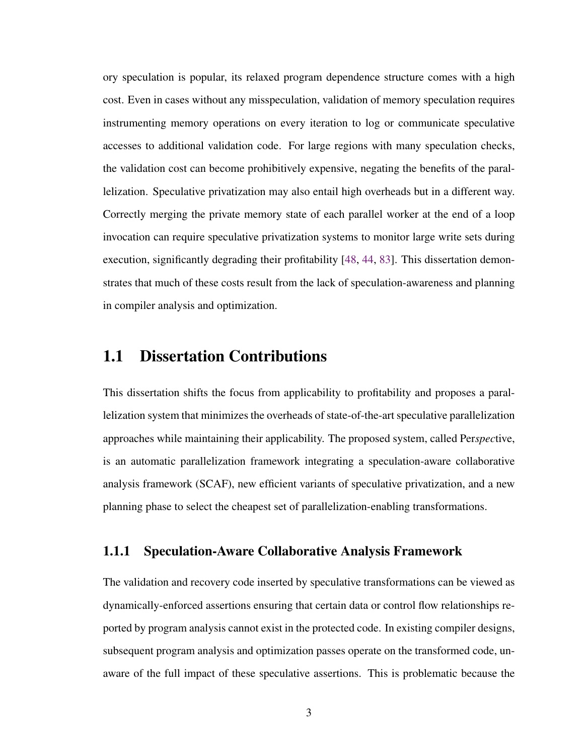ory speculation is popular, its relaxed program dependence structure comes with a high cost. Even in cases without any misspeculation, validation of memory speculation requires instrumenting memory operations on every iteration to log or communicate speculative accesses to additional validation code. For large regions with many speculation checks, the validation cost can become prohibitively expensive, negating the benefits of the parallelization. Speculative privatization may also entail high overheads but in a different way. Correctly merging the private memory state of each parallel worker at the end of a loop invocation can require speculative privatization systems to monitor large write sets during execution, significantly degrading their profitability [\[48,](#page-116-0) [44,](#page-115-0) [83\]](#page-121-1). This dissertation demonstrates that much of these costs result from the lack of speculation-awareness and planning in compiler analysis and optimization.

#### <span id="page-15-0"></span>1.1 Dissertation Contributions

This dissertation shifts the focus from applicability to profitability and proposes a parallelization system that minimizes the overheads of state-of-the-art speculative parallelization approaches while maintaining their applicability. The proposed system, called Per*spec*tive, is an automatic parallelization framework integrating a speculation-aware collaborative analysis framework (SCAF), new efficient variants of speculative privatization, and a new planning phase to select the cheapest set of parallelization-enabling transformations.

#### <span id="page-15-1"></span>1.1.1 Speculation-Aware Collaborative Analysis Framework

The validation and recovery code inserted by speculative transformations can be viewed as dynamically-enforced assertions ensuring that certain data or control flow relationships reported by program analysis cannot exist in the protected code. In existing compiler designs, subsequent program analysis and optimization passes operate on the transformed code, unaware of the full impact of these speculative assertions. This is problematic because the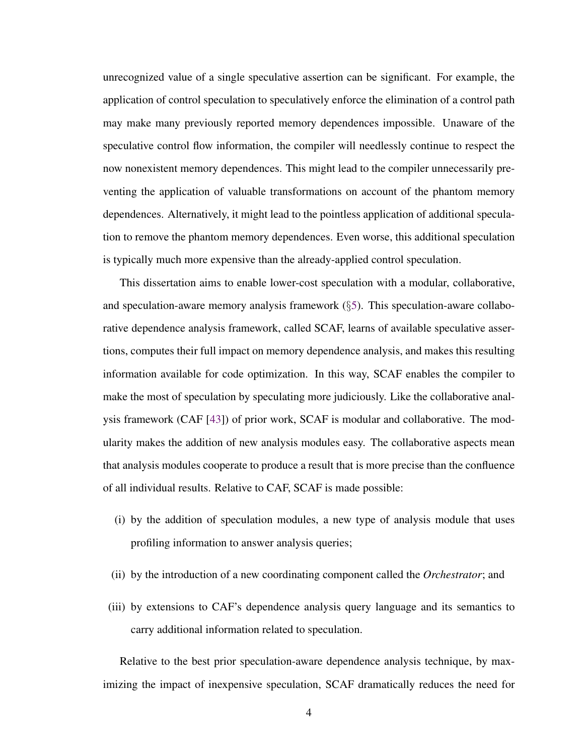unrecognized value of a single speculative assertion can be significant. For example, the application of control speculation to speculatively enforce the elimination of a control path may make many previously reported memory dependences impossible. Unaware of the speculative control flow information, the compiler will needlessly continue to respect the now nonexistent memory dependences. This might lead to the compiler unnecessarily preventing the application of valuable transformations on account of the phantom memory dependences. Alternatively, it might lead to the pointless application of additional speculation to remove the phantom memory dependences. Even worse, this additional speculation is typically much more expensive than the already-applied control speculation.

This dissertation aims to enable lower-cost speculation with a modular, collaborative, and speculation-aware memory analysis framework  $(\S 5)$  $(\S 5)$ . This speculation-aware collaborative dependence analysis framework, called SCAF, learns of available speculative assertions, computes their full impact on memory dependence analysis, and makes this resulting information available for code optimization. In this way, SCAF enables the compiler to make the most of speculation by speculating more judiciously. Like the collaborative analysis framework (CAF [\[43\]](#page-115-1)) of prior work, SCAF is modular and collaborative. The modularity makes the addition of new analysis modules easy. The collaborative aspects mean that analysis modules cooperate to produce a result that is more precise than the confluence of all individual results. Relative to CAF, SCAF is made possible:

- (i) by the addition of speculation modules, a new type of analysis module that uses profiling information to answer analysis queries;
- (ii) by the introduction of a new coordinating component called the *Orchestrator*; and
- (iii) by extensions to CAF's dependence analysis query language and its semantics to carry additional information related to speculation.

Relative to the best prior speculation-aware dependence analysis technique, by maximizing the impact of inexpensive speculation, SCAF dramatically reduces the need for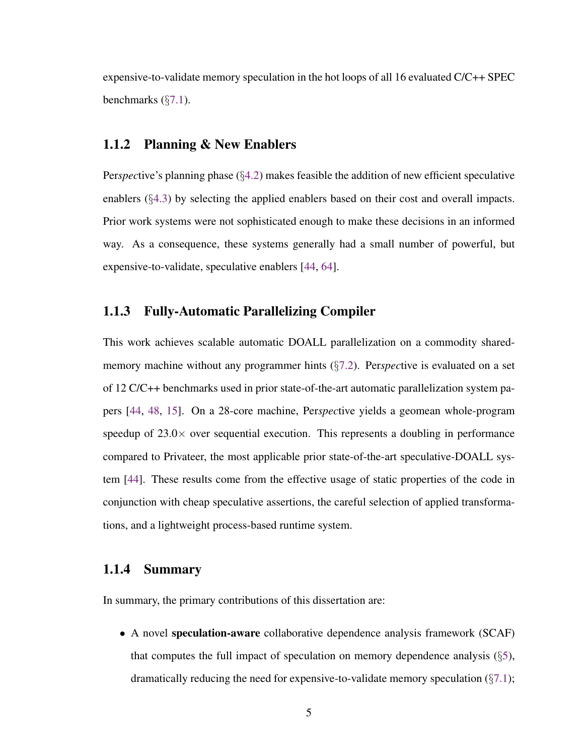expensive-to-validate memory speculation in the hot loops of all 16 evaluated C/C++ SPEC benchmarks  $(\S7.1)$  $(\S7.1)$ .

#### <span id="page-17-0"></span>1.1.2 Planning & New Enablers

Per*spec*tive's planning phase (§[4.2\)](#page-37-1) makes feasible the addition of new efficient speculative enablers (§[4.3\)](#page-38-0) by selecting the applied enablers based on their cost and overall impacts. Prior work systems were not sophisticated enough to make these decisions in an informed way. As a consequence, these systems generally had a small number of powerful, but expensive-to-validate, speculative enablers [\[44,](#page-115-0) [64\]](#page-118-0).

#### <span id="page-17-1"></span>1.1.3 Fully-Automatic Parallelizing Compiler

This work achieves scalable automatic DOALL parallelization on a commodity sharedmemory machine without any programmer hints (§[7.2\)](#page-91-0). Per*spec*tive is evaluated on a set of 12 C/C++ benchmarks used in prior state-of-the-art automatic parallelization system papers [\[44,](#page-115-0) [48,](#page-116-0) [15\]](#page-110-0). On a 28-core machine, Per*spec*tive yields a geomean whole-program speedup of  $23.0\times$  over sequential execution. This represents a doubling in performance compared to Privateer, the most applicable prior state-of-the-art speculative-DOALL system [\[44\]](#page-115-0). These results come from the effective usage of static properties of the code in conjunction with cheap speculative assertions, the careful selection of applied transformations, and a lightweight process-based runtime system.

#### <span id="page-17-2"></span>1.1.4 Summary

In summary, the primary contributions of this dissertation are:

• A novel speculation-aware collaborative dependence analysis framework (SCAF) that computes the full impact of speculation on memory dependence analysis  $(\S$ [5\)](#page-46-0), dramatically reducing the need for expensive-to-validate memory speculation  $(\S7.1)$  $(\S7.1)$ ;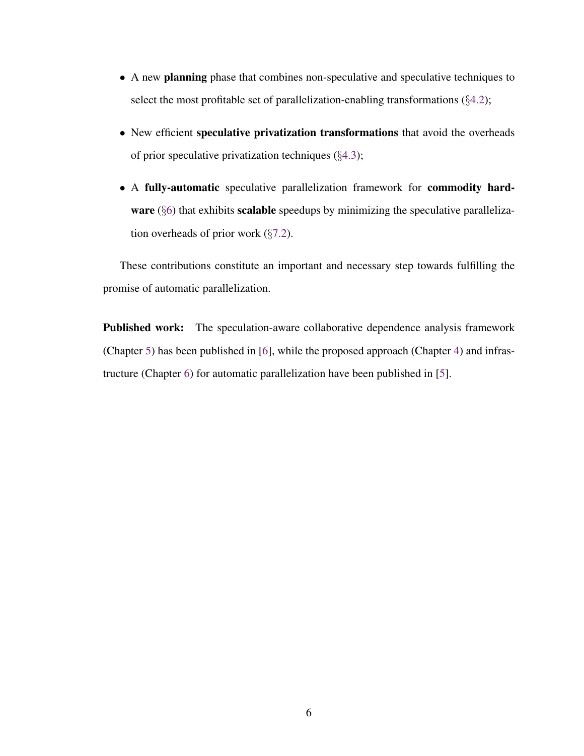- A new planning phase that combines non-speculative and speculative techniques to select the most profitable set of parallelization-enabling transformations  $(\S 4.2)$  $(\S 4.2)$ ;
- New efficient speculative privatization transformations that avoid the overheads of prior speculative privatization techniques (§[4.3\)](#page-38-0);
- A fully-automatic speculative parallelization framework for commodity hard-ware (§[6\)](#page-72-0) that exhibits scalable speedups by minimizing the speculative parallelization overheads of prior work  $(\S7.2)$  $(\S7.2)$ .

These contributions constitute an important and necessary step towards fulfilling the promise of automatic parallelization.

Published work: The speculation-aware collaborative dependence analysis framework (Chapter [5\)](#page-46-0) has been published in [\[6\]](#page-109-1), while the proposed approach (Chapter [4\)](#page-36-0) and infrastructure (Chapter [6\)](#page-72-0) for automatic parallelization have been published in [\[5\]](#page-108-1).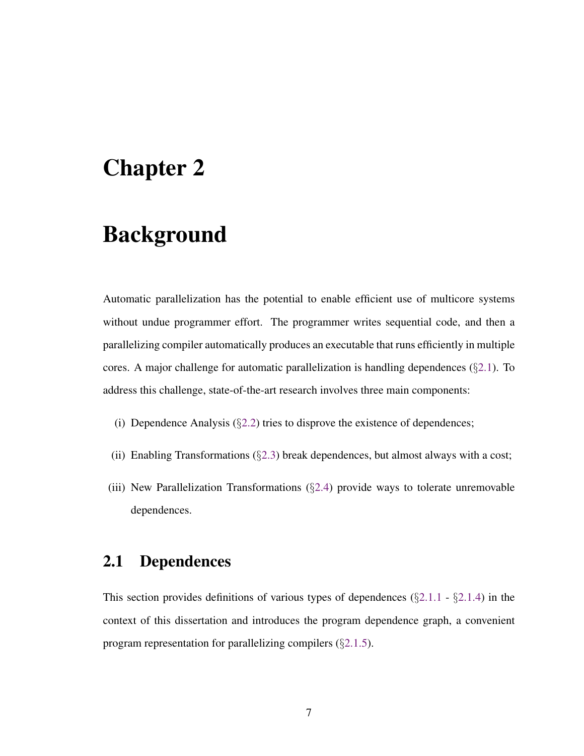## <span id="page-19-0"></span>Chapter 2

## Background

Automatic parallelization has the potential to enable efficient use of multicore systems without undue programmer effort. The programmer writes sequential code, and then a parallelizing compiler automatically produces an executable that runs efficiently in multiple cores. A major challenge for automatic parallelization is handling dependences  $(\S2.1)$  $(\S2.1)$ . To address this challenge, state-of-the-art research involves three main components:

- (i) Dependence Analysis  $(\S2.2)$  $(\S2.2)$  tries to disprove the existence of dependences;
- (ii) Enabling Transformations  $(\S 2.3)$  $(\S 2.3)$  break dependences, but almost always with a cost;
- (iii) New Parallelization Transformations (§[2.4\)](#page-28-0) provide ways to tolerate unremovable dependences.

#### <span id="page-19-1"></span>2.1 Dependences

This section provides definitions of various types of dependences  $(\S2.1.1 - \S2.1.4)$  $(\S2.1.1 - \S2.1.4)$  $(\S2.1.1 - \S2.1.4)$  $(\S2.1.1 - \S2.1.4)$  in the context of this dissertation and introduces the program dependence graph, a convenient program representation for parallelizing compilers (§[2.1.5\)](#page-22-1).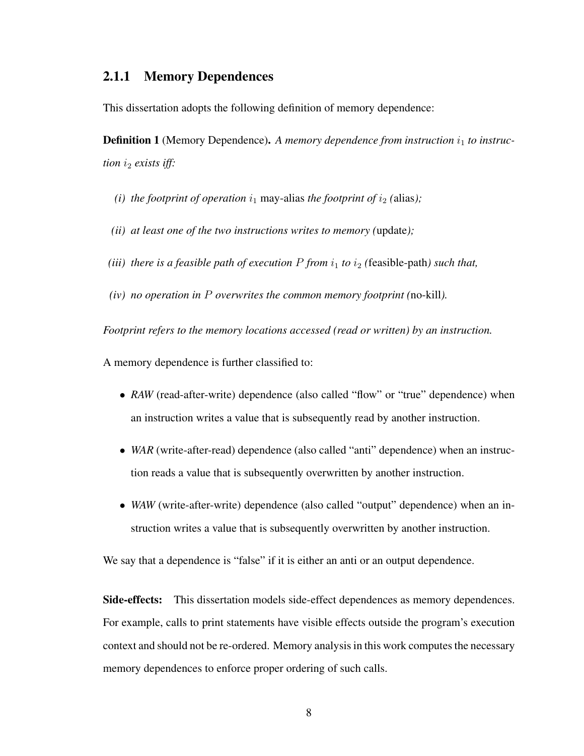#### <span id="page-20-0"></span>2.1.1 Memory Dependences

This dissertation adopts the following definition of memory dependence:

<span id="page-20-1"></span>**Definition 1** (Memory Dependence). A memory dependence from instruction  $i_1$  to instruc*tion i<sub>2</sub> exists iff:* 

- *(i) the footprint of operation*  $i_1$  may-alias *the footprint of*  $i_2$  *(alias);*
- *(ii) at least one of the two instructions writes to memory (*update*);*
- *(iii) there is a feasible path of execution*  $P$  *from*  $i_1$  *to*  $i_2$  *(feasible-path) such that,*
- *(iv) no operation in* P *overwrites the common memory footprint (*no-kill*).*

*Footprint refers to the memory locations accessed (read or written) by an instruction.*

A memory dependence is further classified to:

- *RAW* (read-after-write) dependence (also called "flow" or "true" dependence) when an instruction writes a value that is subsequently read by another instruction.
- *WAR* (write-after-read) dependence (also called "anti" dependence) when an instruction reads a value that is subsequently overwritten by another instruction.
- *WAW* (write-after-write) dependence (also called "output" dependence) when an instruction writes a value that is subsequently overwritten by another instruction.

We say that a dependence is "false" if it is either an anti or an output dependence.

Side-effects: This dissertation models side-effect dependences as memory dependences. For example, calls to print statements have visible effects outside the program's execution context and should not be re-ordered. Memory analysis in this work computes the necessary memory dependences to enforce proper ordering of such calls.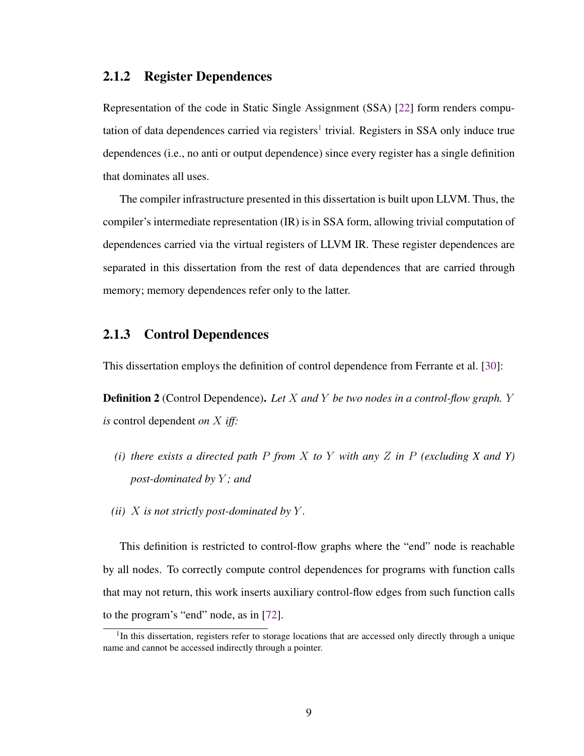#### <span id="page-21-0"></span>2.1.2 Register Dependences

Representation of the code in Static Single Assignment (SSA) [\[22\]](#page-111-1) form renders compu-tation of data dependences carried via registers<sup>[1](#page-21-2)</sup> trivial. Registers in SSA only induce true dependences (i.e., no anti or output dependence) since every register has a single definition that dominates all uses.

The compiler infrastructure presented in this dissertation is built upon LLVM. Thus, the compiler's intermediate representation (IR) is in SSA form, allowing trivial computation of dependences carried via the virtual registers of LLVM IR. These register dependences are separated in this dissertation from the rest of data dependences that are carried through memory; memory dependences refer only to the latter.

#### <span id="page-21-1"></span>2.1.3 Control Dependences

This dissertation employs the definition of control dependence from Ferrante et al. [\[30\]](#page-113-1):

Definition 2 (Control Dependence). *Let* X *and* Y *be two nodes in a control-flow graph.* Y *is* control dependent *on* X *iff:*

- *(i) there exists a directed path* P *from* X *to* Y *with any* Z *in* P *(excluding X and Y) post-dominated by* Y *; and*
- *(ii)* X *is not strictly post-dominated by* Y *.*

This definition is restricted to control-flow graphs where the "end" node is reachable by all nodes. To correctly compute control dependences for programs with function calls that may not return, this work inserts auxiliary control-flow edges from such function calls to the program's "end" node, as in [\[72\]](#page-120-2).

<span id="page-21-2"></span><sup>&</sup>lt;sup>1</sup>In this dissertation, registers refer to storage locations that are accessed only directly through a unique name and cannot be accessed indirectly through a pointer.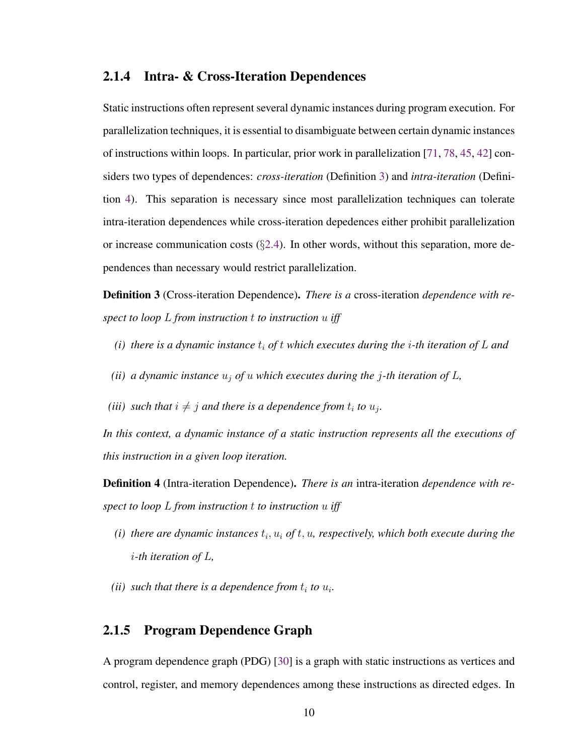#### <span id="page-22-0"></span>2.1.4 Intra- & Cross-Iteration Dependences

Static instructions often represent several dynamic instances during program execution. For parallelization techniques, it is essential to disambiguate between certain dynamic instances of instructions within loops. In particular, prior work in parallelization [\[71,](#page-119-2) [78,](#page-121-0) [45,](#page-115-2) [42\]](#page-115-3) considers two types of dependences: *cross-iteration* (Definition [3\)](#page-22-2) and *intra-iteration* (Definition [4\)](#page-22-3). This separation is necessary since most parallelization techniques can tolerate intra-iteration dependences while cross-iteration depedences either prohibit parallelization or increase communication costs  $(\S2.4)$  $(\S2.4)$ . In other words, without this separation, more dependences than necessary would restrict parallelization.

<span id="page-22-2"></span>Definition 3 (Cross-iteration Dependence). *There is a* cross-iteration *dependence with respect to loop* L *from instruction* t *to instruction* u *iff*

- *(i)* there is a dynamic instance  $t_i$  of t which executes during the *i*-th iteration of L and
- *(ii) a dynamic instance*  $u_j$  *of*  $u$  *which executes during the j*-th *iteration of*  $L$ *,*
- *(iii)* such that  $i \neq j$  and there is a dependence from  $t_i$  to  $u_j$ .

*In this context, a dynamic instance of a static instruction represents all the executions of this instruction in a given loop iteration.*

<span id="page-22-3"></span>Definition 4 (Intra-iteration Dependence). *There is an* intra-iteration *dependence with respect to loop* L *from instruction* t *to instruction* u *iff*

- $(i)$  there are dynamic instances  $t_i$ ,  $u_i$  of  $t$ ,  $u_i$ , respectively, which both execute during the i*-th iteration of* L*,*
- *(ii)* such that there is a dependence from  $t_i$  to  $u_i$ .

#### <span id="page-22-1"></span>2.1.5 Program Dependence Graph

A program dependence graph (PDG) [\[30\]](#page-113-1) is a graph with static instructions as vertices and control, register, and memory dependences among these instructions as directed edges. In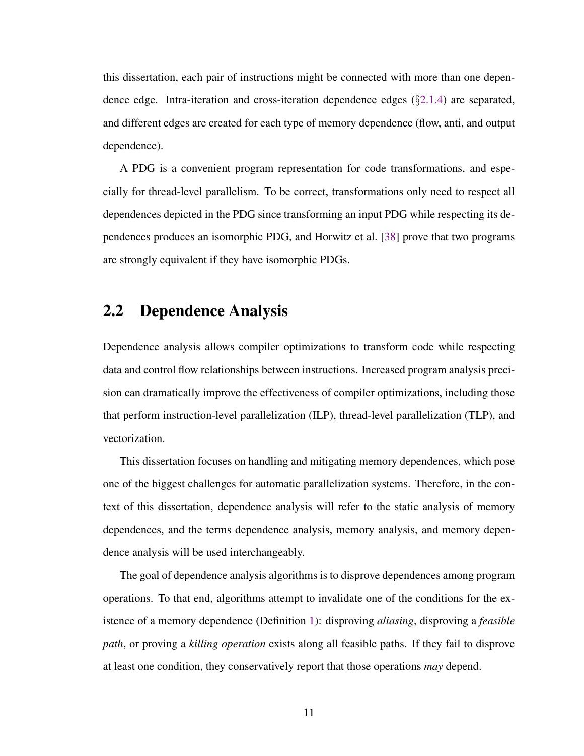this dissertation, each pair of instructions might be connected with more than one dependence edge. Intra-iteration and cross-iteration dependence edges  $(\S 2.1.4)$  $(\S 2.1.4)$  are separated, and different edges are created for each type of memory dependence (flow, anti, and output dependence).

A PDG is a convenient program representation for code transformations, and especially for thread-level parallelism. To be correct, transformations only need to respect all dependences depicted in the PDG since transforming an input PDG while respecting its dependences produces an isomorphic PDG, and Horwitz et al. [\[38\]](#page-114-1) prove that two programs are strongly equivalent if they have isomorphic PDGs.

### <span id="page-23-0"></span>2.2 Dependence Analysis

Dependence analysis allows compiler optimizations to transform code while respecting data and control flow relationships between instructions. Increased program analysis precision can dramatically improve the effectiveness of compiler optimizations, including those that perform instruction-level parallelization (ILP), thread-level parallelization (TLP), and vectorization.

This dissertation focuses on handling and mitigating memory dependences, which pose one of the biggest challenges for automatic parallelization systems. Therefore, in the context of this dissertation, dependence analysis will refer to the static analysis of memory dependences, and the terms dependence analysis, memory analysis, and memory dependence analysis will be used interchangeably.

The goal of dependence analysis algorithms is to disprove dependences among program operations. To that end, algorithms attempt to invalidate one of the conditions for the existence of a memory dependence (Definition [1\)](#page-20-1): disproving *aliasing*, disproving a *feasible path*, or proving a *killing operation* exists along all feasible paths. If they fail to disprove at least one condition, they conservatively report that those operations *may* depend.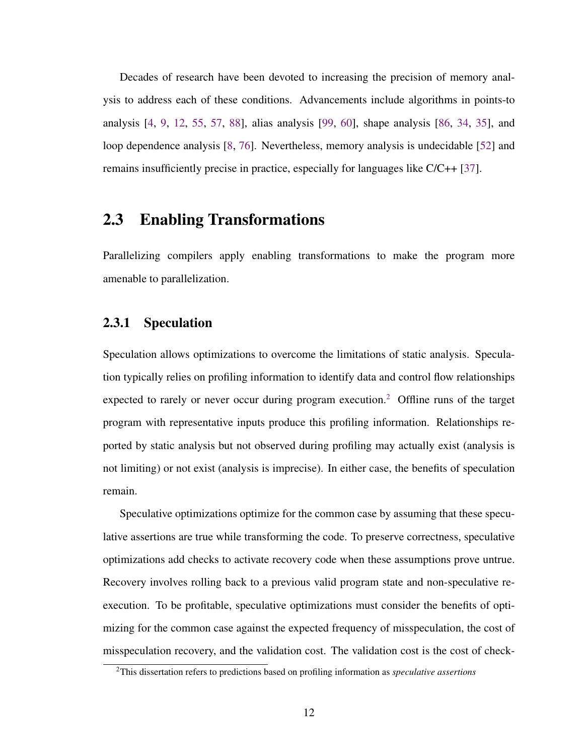Decades of research have been devoted to increasing the precision of memory analysis to address each of these conditions. Advancements include algorithms in points-to analysis [\[4,](#page-108-2) [9,](#page-109-2) [12,](#page-110-2) [55,](#page-117-1) [57,](#page-117-2) [88\]](#page-122-0), alias analysis [\[99,](#page-124-2) [60\]](#page-118-1), shape analysis [\[86,](#page-122-1) [34,](#page-113-2) [35\]](#page-114-2), and loop dependence analysis [\[8,](#page-109-3) [76\]](#page-120-3). Nevertheless, memory analysis is undecidable [\[52\]](#page-117-0) and remains insufficiently precise in practice, especially for languages like C/C++ [\[37\]](#page-114-0).

#### <span id="page-24-0"></span>2.3 Enabling Transformations

Parallelizing compilers apply enabling transformations to make the program more amenable to parallelization.

#### <span id="page-24-1"></span>2.3.1 Speculation

Speculation allows optimizations to overcome the limitations of static analysis. Speculation typically relies on profiling information to identify data and control flow relationships expected to rarely or never occur during program execution.<sup>[2](#page-24-2)</sup> Offline runs of the target program with representative inputs produce this profiling information. Relationships reported by static analysis but not observed during profiling may actually exist (analysis is not limiting) or not exist (analysis is imprecise). In either case, the benefits of speculation remain.

Speculative optimizations optimize for the common case by assuming that these speculative assertions are true while transforming the code. To preserve correctness, speculative optimizations add checks to activate recovery code when these assumptions prove untrue. Recovery involves rolling back to a previous valid program state and non-speculative reexecution. To be profitable, speculative optimizations must consider the benefits of optimizing for the common case against the expected frequency of misspeculation, the cost of misspeculation recovery, and the validation cost. The validation cost is the cost of check-

<span id="page-24-2"></span><sup>2</sup>This dissertation refers to predictions based on profiling information as *speculative assertions*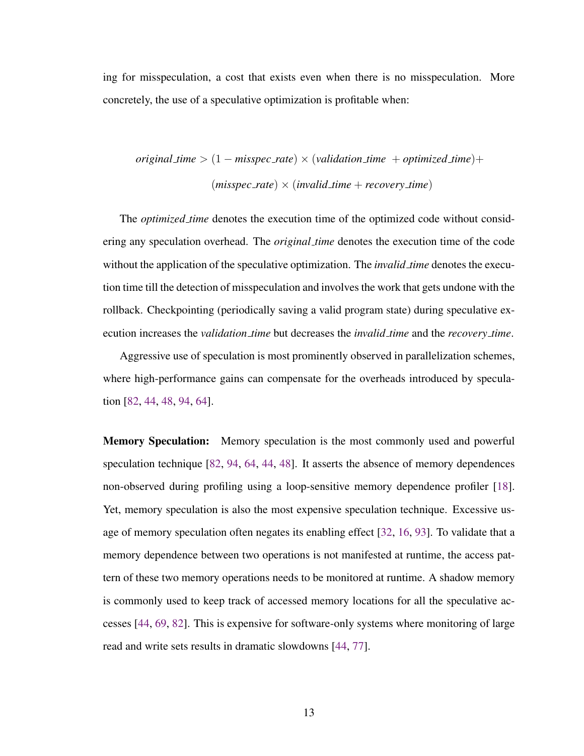ing for misspeculation, a cost that exists even when there is no misspeculation. More concretely, the use of a speculative optimization is profitable when:

$$
original_time > (1 - misspec_rate) \times (validation_time + optimized_time) + \n (misspec_rate) \times (invalid_time + recovery_time)
$$

The *optimized time* denotes the execution time of the optimized code without considering any speculation overhead. The *original time* denotes the execution time of the code without the application of the speculative optimization. The *invalid time* denotes the execution time till the detection of misspeculation and involves the work that gets undone with the rollback. Checkpointing (periodically saving a valid program state) during speculative execution increases the *validation time* but decreases the *invalid time* and the *recovery time*.

Aggressive use of speculation is most prominently observed in parallelization schemes, where high-performance gains can compensate for the overheads introduced by speculation [\[82,](#page-121-2) [44,](#page-115-0) [48,](#page-116-0) [94,](#page-123-2) [64\]](#page-118-0).

**Memory Speculation:** Memory speculation is the most commonly used and powerful speculation technique [\[82,](#page-121-2) [94,](#page-123-2) [64,](#page-118-0) [44,](#page-115-0) [48\]](#page-116-0). It asserts the absence of memory dependences non-observed during profiling using a loop-sensitive memory dependence profiler [\[18\]](#page-111-2). Yet, memory speculation is also the most expensive speculation technique. Excessive usage of memory speculation often negates its enabling effect [\[32,](#page-113-0) [16,](#page-110-1) [93\]](#page-123-1). To validate that a memory dependence between two operations is not manifested at runtime, the access pattern of these two memory operations needs to be monitored at runtime. A shadow memory is commonly used to keep track of accessed memory locations for all the speculative accesses [\[44,](#page-115-0) [69,](#page-119-1) [82\]](#page-121-2). This is expensive for software-only systems where monitoring of large read and write sets results in dramatic slowdowns [\[44,](#page-115-0) [77\]](#page-120-0).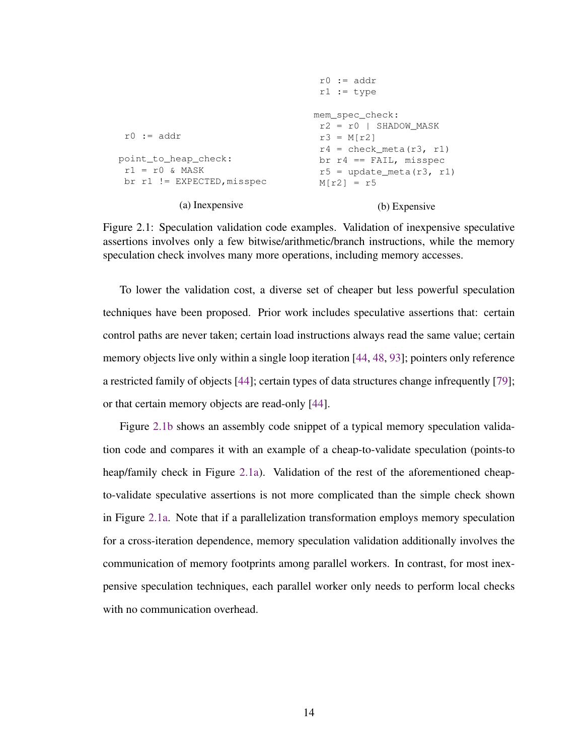```
r0 := addr
point_to_heap_check:
 r1 = r0 & MASK
 br r1 != EXPECTED,misspec
           (a) Inexpensive
                                     r0 := \text{addr}r1 := type
                                    mem_spec_check:
                                     r2 = r0 | SHADOW MASK
                                     r3 = M[r2]r4 = check meta(r3, r1)
                                     br r4 == FAIL, misspec
                                     r5 = update meta(r3, r1)
                                     M[r2] = r5(b) Expensive
```
Figure 2.1: Speculation validation code examples. Validation of inexpensive speculative assertions involves only a few bitwise/arithmetic/branch instructions, while the memory speculation check involves many more operations, including memory accesses.

To lower the validation cost, a diverse set of cheaper but less powerful speculation techniques have been proposed. Prior work includes speculative assertions that: certain control paths are never taken; certain load instructions always read the same value; certain memory objects live only within a single loop iteration [\[44,](#page-115-0) [48,](#page-116-0) [93\]](#page-123-1); pointers only reference a restricted family of objects [\[44\]](#page-115-0); certain types of data structures change infrequently [\[79\]](#page-121-3); or that certain memory objects are read-only [\[44\]](#page-115-0).

Figure [2.1b](#page-26-0) shows an assembly code snippet of a typical memory speculation validation code and compares it with an example of a cheap-to-validate speculation (points-to heap/family check in Figure [2.1a\)](#page-26-0). Validation of the rest of the aforementioned cheapto-validate speculative assertions is not more complicated than the simple check shown in Figure [2.1a.](#page-26-0) Note that if a parallelization transformation employs memory speculation for a cross-iteration dependence, memory speculation validation additionally involves the communication of memory footprints among parallel workers. In contrast, for most inexpensive speculation techniques, each parallel worker only needs to perform local checks with no communication overhead.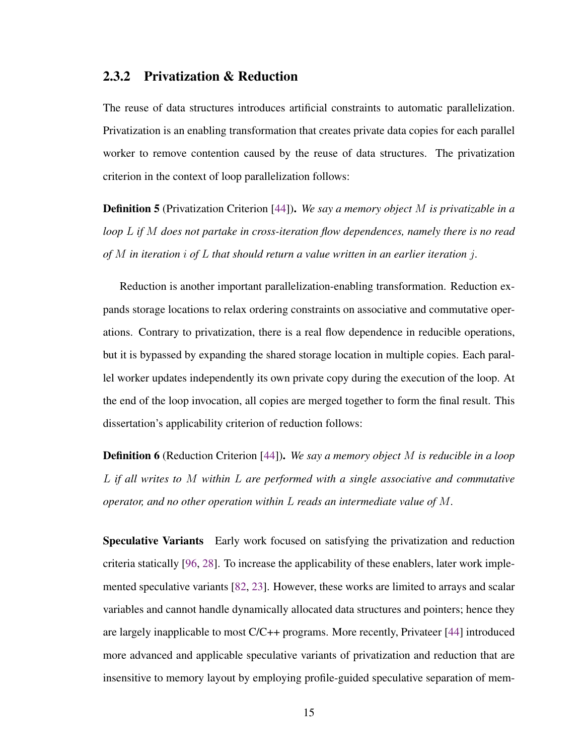#### <span id="page-27-0"></span>2.3.2 Privatization & Reduction

The reuse of data structures introduces artificial constraints to automatic parallelization. Privatization is an enabling transformation that creates private data copies for each parallel worker to remove contention caused by the reuse of data structures. The privatization criterion in the context of loop parallelization follows:

Definition 5 (Privatization Criterion [\[44\]](#page-115-0)). *We say a memory object* M *is privatizable in a loop* L *if* M *does not partake in cross-iteration flow dependences, namely there is no read of* M *in iteration* i *of* L *that should return a value written in an earlier iteration* j*.*

Reduction is another important parallelization-enabling transformation. Reduction expands storage locations to relax ordering constraints on associative and commutative operations. Contrary to privatization, there is a real flow dependence in reducible operations, but it is bypassed by expanding the shared storage location in multiple copies. Each parallel worker updates independently its own private copy during the execution of the loop. At the end of the loop invocation, all copies are merged together to form the final result. This dissertation's applicability criterion of reduction follows:

Definition 6 (Reduction Criterion [\[44\]](#page-115-0)). *We say a memory object* M *is reducible in a loop* L *if all writes to* M *within* L *are performed with a single associative and commutative operator, and no other operation within* L *reads an intermediate value of* M*.*

Speculative Variants Early work focused on satisfying the privatization and reduction criteria statically [\[96,](#page-123-3) [28\]](#page-113-3). To increase the applicability of these enablers, later work implemented speculative variants [\[82,](#page-121-2) [23\]](#page-112-1). However, these works are limited to arrays and scalar variables and cannot handle dynamically allocated data structures and pointers; hence they are largely inapplicable to most C/C++ programs. More recently, Privateer [\[44\]](#page-115-0) introduced more advanced and applicable speculative variants of privatization and reduction that are insensitive to memory layout by employing profile-guided speculative separation of mem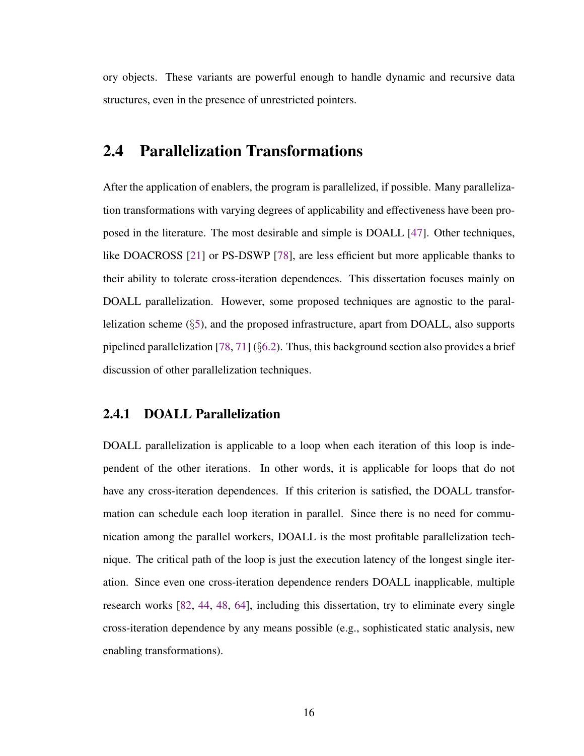ory objects. These variants are powerful enough to handle dynamic and recursive data structures, even in the presence of unrestricted pointers.

#### <span id="page-28-0"></span>2.4 Parallelization Transformations

After the application of enablers, the program is parallelized, if possible. Many parallelization transformations with varying degrees of applicability and effectiveness have been proposed in the literature. The most desirable and simple is DOALL [\[47\]](#page-116-2). Other techniques, like DOACROSS [\[21\]](#page-111-0) or PS-DSWP [\[78\]](#page-121-0), are less efficient but more applicable thanks to their ability to tolerate cross-iteration dependences. This dissertation focuses mainly on DOALL parallelization. However, some proposed techniques are agnostic to the parallelization scheme (§[5\)](#page-46-0), and the proposed infrastructure, apart from DOALL, also supports pipelined parallelization  $[78, 71]$  $[78, 71]$  $[78, 71]$  (§[6.2\)](#page-77-0). Thus, this background section also provides a brief discussion of other parallelization techniques.

#### <span id="page-28-1"></span>2.4.1 DOALL Parallelization

DOALL parallelization is applicable to a loop when each iteration of this loop is independent of the other iterations. In other words, it is applicable for loops that do not have any cross-iteration dependences. If this criterion is satisfied, the DOALL transformation can schedule each loop iteration in parallel. Since there is no need for communication among the parallel workers, DOALL is the most profitable parallelization technique. The critical path of the loop is just the execution latency of the longest single iteration. Since even one cross-iteration dependence renders DOALL inapplicable, multiple research works [\[82,](#page-121-2) [44,](#page-115-0) [48,](#page-116-0) [64\]](#page-118-0), including this dissertation, try to eliminate every single cross-iteration dependence by any means possible (e.g., sophisticated static analysis, new enabling transformations).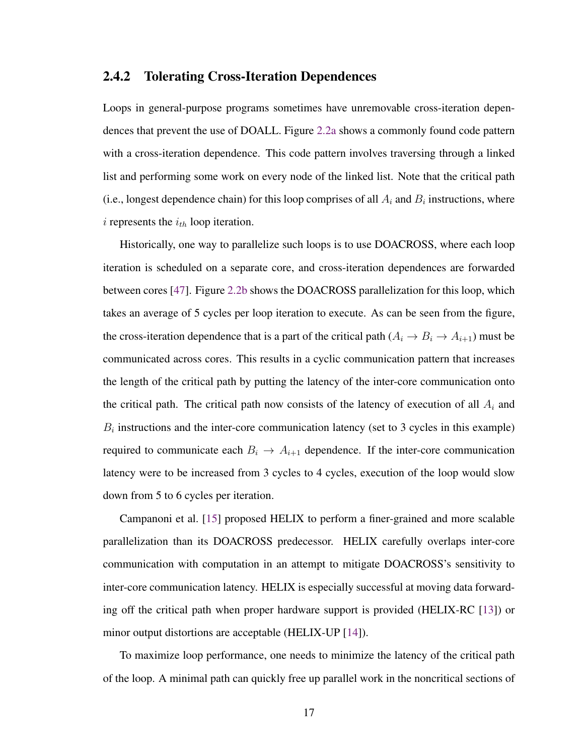#### <span id="page-29-0"></span>2.4.2 Tolerating Cross-Iteration Dependences

Loops in general-purpose programs sometimes have unremovable cross-iteration dependences that prevent the use of DOALL. Figure [2.2a](#page-30-0) shows a commonly found code pattern with a cross-iteration dependence. This code pattern involves traversing through a linked list and performing some work on every node of the linked list. Note that the critical path (i.e., longest dependence chain) for this loop comprises of all  $A_i$  and  $B_i$  instructions, where i represents the  $i_{th}$  loop iteration.

Historically, one way to parallelize such loops is to use DOACROSS, where each loop iteration is scheduled on a separate core, and cross-iteration dependences are forwarded between cores [\[47\]](#page-116-2). Figure [2.2b](#page-30-0) shows the DOACROSS parallelization for this loop, which takes an average of 5 cycles per loop iteration to execute. As can be seen from the figure, the cross-iteration dependence that is a part of the critical path  $(A_i \rightarrow B_i \rightarrow A_{i+1})$  must be communicated across cores. This results in a cyclic communication pattern that increases the length of the critical path by putting the latency of the inter-core communication onto the critical path. The critical path now consists of the latency of execution of all  $A_i$  and  $B_i$  instructions and the inter-core communication latency (set to 3 cycles in this example) required to communicate each  $B_i \rightarrow A_{i+1}$  dependence. If the inter-core communication latency were to be increased from 3 cycles to 4 cycles, execution of the loop would slow down from 5 to 6 cycles per iteration.

Campanoni et al. [\[15\]](#page-110-0) proposed HELIX to perform a finer-grained and more scalable parallelization than its DOACROSS predecessor. HELIX carefully overlaps inter-core communication with computation in an attempt to mitigate DOACROSS's sensitivity to inter-core communication latency. HELIX is especially successful at moving data forwarding off the critical path when proper hardware support is provided (HELIX-RC [\[13\]](#page-110-3)) or minor output distortions are acceptable (HELIX-UP [\[14\]](#page-110-4)).

To maximize loop performance, one needs to minimize the latency of the critical path of the loop. A minimal path can quickly free up parallel work in the noncritical sections of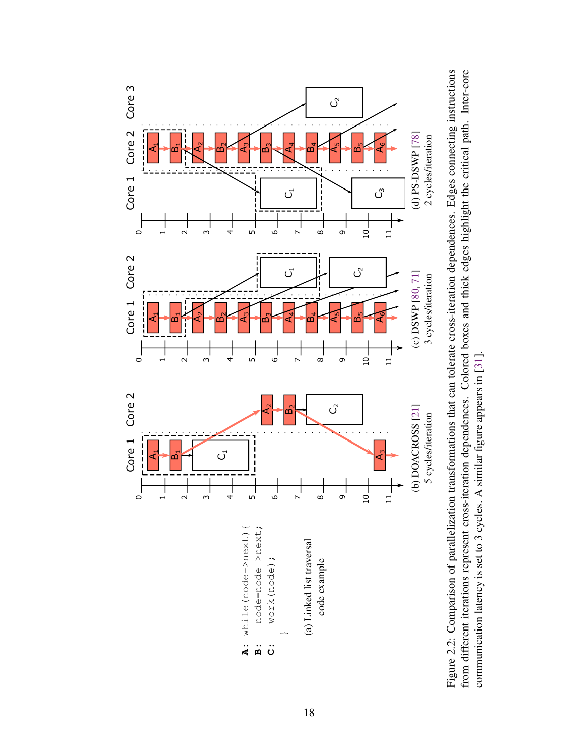<span id="page-30-0"></span>

from different iterations represent cross-iteration dependences. Colored boxes and thick edges highlight the critical path. Inter-core from different iterations represent cross-iteration dependences. Colored boxes and thick edges highlight the critical path. Inter-core Figure 2.2: Comparison of parallelization transformations that can tolerate cross-iteration dependences. Edges connecting instructions communication latency is set to 3 cycles. A similar figure appears in  $[31]$ . communication latency is set to 3 cycles. A similar figure appears in [\[31\]](#page-113-4).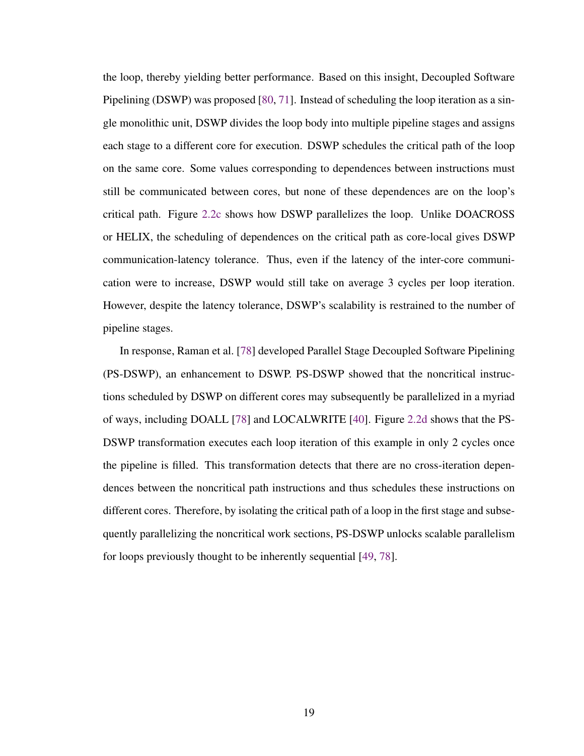the loop, thereby yielding better performance. Based on this insight, Decoupled Software Pipelining (DSWP) was proposed [\[80,](#page-121-4) [71\]](#page-119-2). Instead of scheduling the loop iteration as a single monolithic unit, DSWP divides the loop body into multiple pipeline stages and assigns each stage to a different core for execution. DSWP schedules the critical path of the loop on the same core. Some values corresponding to dependences between instructions must still be communicated between cores, but none of these dependences are on the loop's critical path. Figure [2.2c](#page-30-0) shows how DSWP parallelizes the loop. Unlike DOACROSS or HELIX, the scheduling of dependences on the critical path as core-local gives DSWP communication-latency tolerance. Thus, even if the latency of the inter-core communication were to increase, DSWP would still take on average 3 cycles per loop iteration. However, despite the latency tolerance, DSWP's scalability is restrained to the number of pipeline stages.

In response, Raman et al. [\[78\]](#page-121-0) developed Parallel Stage Decoupled Software Pipelining (PS-DSWP), an enhancement to DSWP. PS-DSWP showed that the noncritical instructions scheduled by DSWP on different cores may subsequently be parallelized in a myriad of ways, including DOALL [\[78\]](#page-121-0) and LOCALWRITE [\[40\]](#page-115-4). Figure [2.2d](#page-30-0) shows that the PS-DSWP transformation executes each loop iteration of this example in only 2 cycles once the pipeline is filled. This transformation detects that there are no cross-iteration dependences between the noncritical path instructions and thus schedules these instructions on different cores. Therefore, by isolating the critical path of a loop in the first stage and subsequently parallelizing the noncritical work sections, PS-DSWP unlocks scalable parallelism for loops previously thought to be inherently sequential [\[49,](#page-116-3) [78\]](#page-121-0).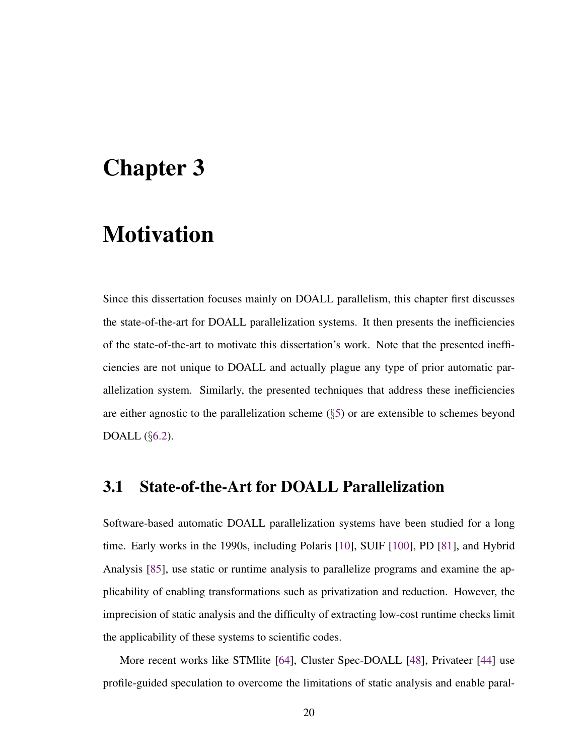## <span id="page-32-0"></span>Chapter 3

## **Motivation**

Since this dissertation focuses mainly on DOALL parallelism, this chapter first discusses the state-of-the-art for DOALL parallelization systems. It then presents the inefficiencies of the state-of-the-art to motivate this dissertation's work. Note that the presented inefficiencies are not unique to DOALL and actually plague any type of prior automatic parallelization system. Similarly, the presented techniques that address these inefficiencies are either agnostic to the parallelization scheme  $(\S$ [5\)](#page-46-0) or are extensible to schemes beyond DOALL (§[6.2\)](#page-77-0).

#### <span id="page-32-1"></span>3.1 State-of-the-Art for DOALL Parallelization

Software-based automatic DOALL parallelization systems have been studied for a long time. Early works in the 1990s, including Polaris [\[10\]](#page-109-0), SUIF [\[100\]](#page-124-1), PD [\[81\]](#page-121-5), and Hybrid Analysis [\[85\]](#page-122-2), use static or runtime analysis to parallelize programs and examine the applicability of enabling transformations such as privatization and reduction. However, the imprecision of static analysis and the difficulty of extracting low-cost runtime checks limit the applicability of these systems to scientific codes.

More recent works like STMlite [\[64\]](#page-118-0), Cluster Spec-DOALL [\[48\]](#page-116-0), Privateer [\[44\]](#page-115-0) use profile-guided speculation to overcome the limitations of static analysis and enable paral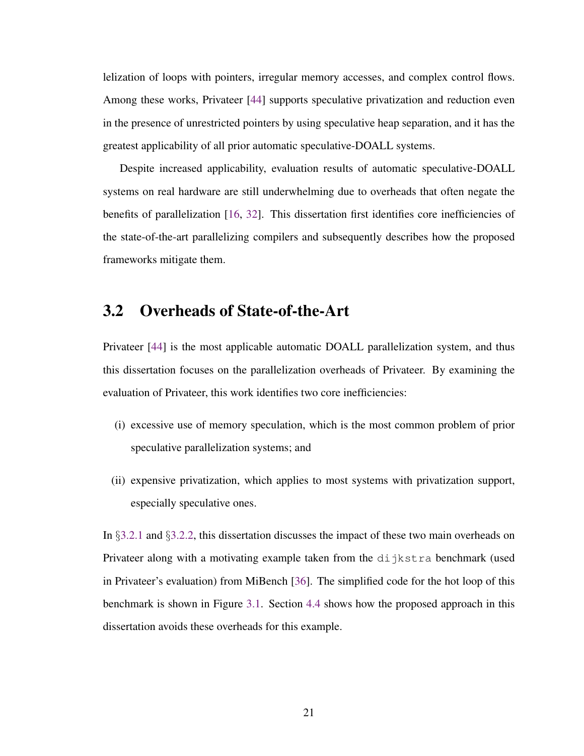lelization of loops with pointers, irregular memory accesses, and complex control flows. Among these works, Privateer [\[44\]](#page-115-0) supports speculative privatization and reduction even in the presence of unrestricted pointers by using speculative heap separation, and it has the greatest applicability of all prior automatic speculative-DOALL systems.

Despite increased applicability, evaluation results of automatic speculative-DOALL systems on real hardware are still underwhelming due to overheads that often negate the benefits of parallelization [\[16,](#page-110-1) [32\]](#page-113-0). This dissertation first identifies core inefficiencies of the state-of-the-art parallelizing compilers and subsequently describes how the proposed frameworks mitigate them.

#### <span id="page-33-0"></span>3.2 Overheads of State-of-the-Art

Privateer [\[44\]](#page-115-0) is the most applicable automatic DOALL parallelization system, and thus this dissertation focuses on the parallelization overheads of Privateer. By examining the evaluation of Privateer, this work identifies two core inefficiencies:

- (i) excessive use of memory speculation, which is the most common problem of prior speculative parallelization systems; and
- (ii) expensive privatization, which applies to most systems with privatization support, especially speculative ones.

In §[3.2.1](#page-34-0) and §[3.2.2,](#page-35-0) this dissertation discusses the impact of these two main overheads on Privateer along with a motivating example taken from the  $di$  jkstra benchmark (used in Privateer's evaluation) from MiBench [\[36\]](#page-114-3). The simplified code for the hot loop of this benchmark is shown in Figure [3.1.](#page-34-1) Section [4.4](#page-40-0) shows how the proposed approach in this dissertation avoids these overheads for this example.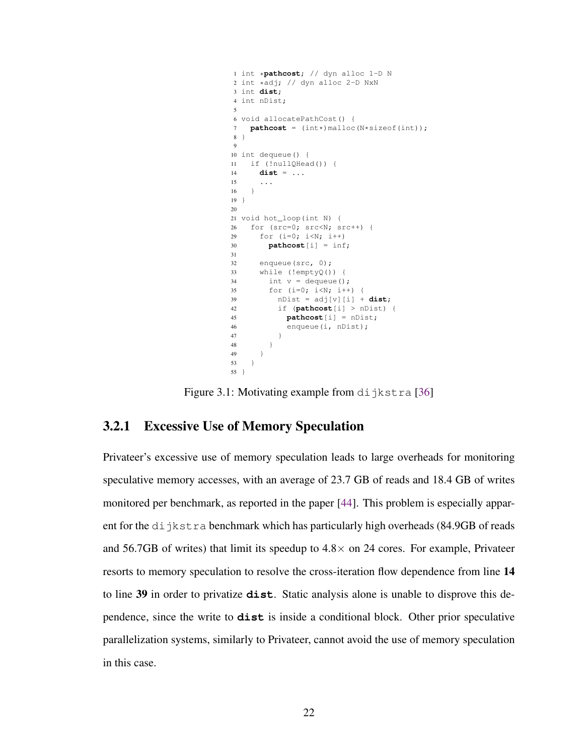```
1 int *pathcost; // dyn alloc 1-D N
2 int *adj; // dyn alloc 2-D NxN
3 int dist;
4 int nDist;
 5
6 void allocatePathCost() {
7 pathcost = (int*) malloc(N*sizeof(int));
8 }
 9
10 int dequeue() {
11 if (!nullQHead()) {
14 dist = ...
15 ...
16 }
19 }
20
21 void hot_loop(int N) {
26 for (src=0; src<N; src++) {
29 for (i=0; i<N; i++)
30 pathcost[i] = inf;
31
32 enqueue(src, 0);
33 while (!emptyQ()) {
34 int v = dequeue();
35 for (i=0; i<N; i++) {
39 nDist = adj[v][i] + dist;42 if (pathcost[i] > nDist) {
45 pathcost[i] = nDist;
46 enqueue(i, nDist);
47 }
\begin{array}{ccc} 48 & \hspace{15mm} & \end{array} \qquad \qquad \}49 }
53 }
55 }
```
Figure 3.1: Motivating example from  $di$  jkstra [\[36\]](#page-114-3)

#### <span id="page-34-0"></span>3.2.1 Excessive Use of Memory Speculation

Privateer's excessive use of memory speculation leads to large overheads for monitoring speculative memory accesses, with an average of 23.7 GB of reads and 18.4 GB of writes monitored per benchmark, as reported in the paper [\[44\]](#page-115-0). This problem is especially apparent for the  $di$  jkstra benchmark which has particularly high overheads (84.9GB of reads and 56.7GB of writes) that limit its speedup to  $4.8 \times$  on 24 cores. For example, Privateer resorts to memory speculation to resolve the cross-iteration flow dependence from line 14 to line 39 in order to privatize **dist**. Static analysis alone is unable to disprove this dependence, since the write to **dist** is inside a conditional block. Other prior speculative parallelization systems, similarly to Privateer, cannot avoid the use of memory speculation in this case.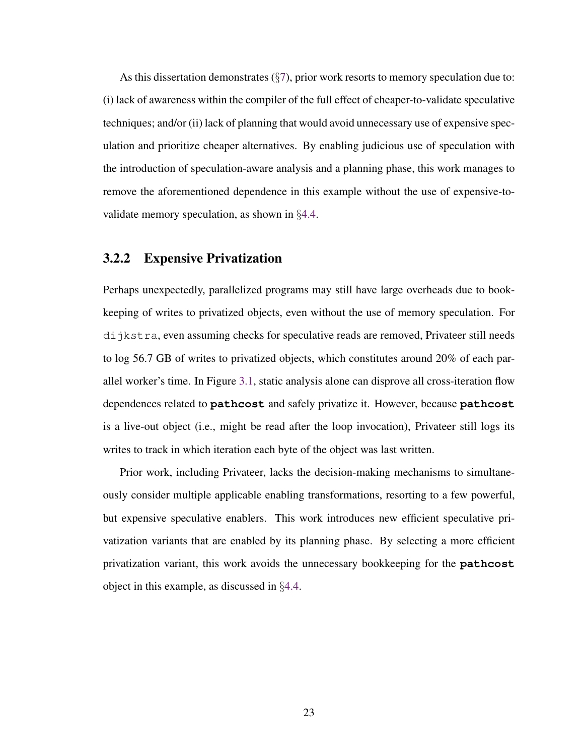As this dissertation demonstrates  $(\frac{6}{3})$ , prior work resorts to memory speculation due to: (i) lack of awareness within the compiler of the full effect of cheaper-to-validate speculative techniques; and/or (ii) lack of planning that would avoid unnecessary use of expensive speculation and prioritize cheaper alternatives. By enabling judicious use of speculation with the introduction of speculation-aware analysis and a planning phase, this work manages to remove the aforementioned dependence in this example without the use of expensive-tovalidate memory speculation, as shown in §[4.4.](#page-40-0)

#### <span id="page-35-0"></span>3.2.2 Expensive Privatization

Perhaps unexpectedly, parallelized programs may still have large overheads due to bookkeeping of writes to privatized objects, even without the use of memory speculation. For dijkstra, even assuming checks for speculative reads are removed, Privateer still needs to log 56.7 GB of writes to privatized objects, which constitutes around 20% of each parallel worker's time. In Figure [3.1,](#page-34-1) static analysis alone can disprove all cross-iteration flow dependences related to **pathcost** and safely privatize it. However, because **pathcost** is a live-out object (i.e., might be read after the loop invocation), Privateer still logs its writes to track in which iteration each byte of the object was last written.

Prior work, including Privateer, lacks the decision-making mechanisms to simultaneously consider multiple applicable enabling transformations, resorting to a few powerful, but expensive speculative enablers. This work introduces new efficient speculative privatization variants that are enabled by its planning phase. By selecting a more efficient privatization variant, this work avoids the unnecessary bookkeeping for the **pathcost** object in this example, as discussed in §[4.4.](#page-40-0)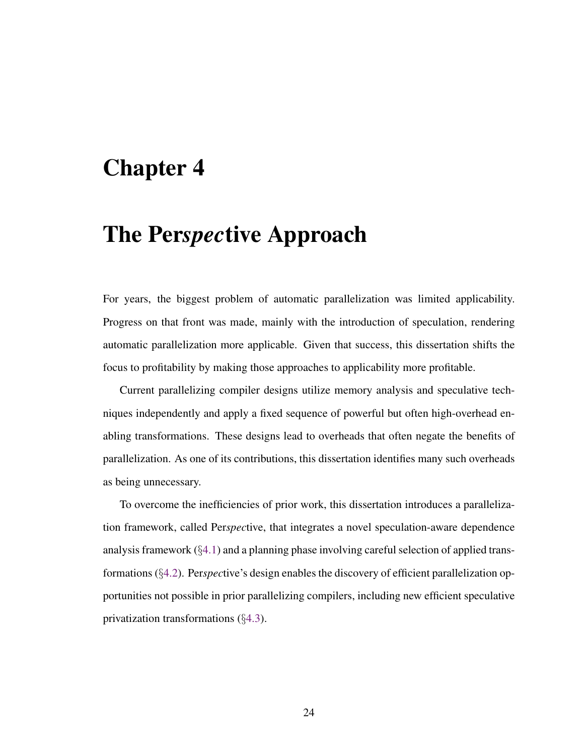## Chapter 4

# The Per*spec*tive Approach

For years, the biggest problem of automatic parallelization was limited applicability. Progress on that front was made, mainly with the introduction of speculation, rendering automatic parallelization more applicable. Given that success, this dissertation shifts the focus to profitability by making those approaches to applicability more profitable.

Current parallelizing compiler designs utilize memory analysis and speculative techniques independently and apply a fixed sequence of powerful but often high-overhead enabling transformations. These designs lead to overheads that often negate the benefits of parallelization. As one of its contributions, this dissertation identifies many such overheads as being unnecessary.

To overcome the inefficiencies of prior work, this dissertation introduces a parallelization framework, called Per*spec*tive, that integrates a novel speculation-aware dependence analysis framework (§[4.1\)](#page-37-0) and a planning phase involving careful selection of applied transformations (§[4.2\)](#page-37-1). Per*spec*tive's design enables the discovery of efficient parallelization opportunities not possible in prior parallelizing compilers, including new efficient speculative privatization transformations (§[4.3\)](#page-38-0).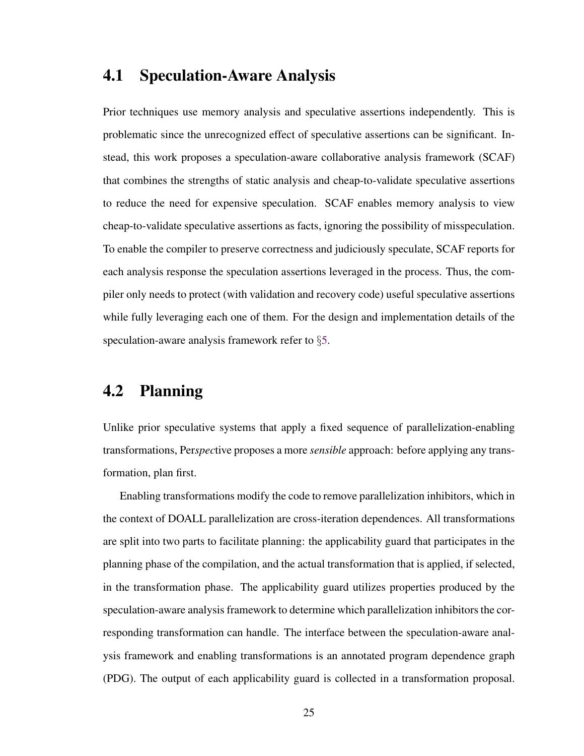## <span id="page-37-0"></span>4.1 Speculation-Aware Analysis

Prior techniques use memory analysis and speculative assertions independently. This is problematic since the unrecognized effect of speculative assertions can be significant. Instead, this work proposes a speculation-aware collaborative analysis framework (SCAF) that combines the strengths of static analysis and cheap-to-validate speculative assertions to reduce the need for expensive speculation. SCAF enables memory analysis to view cheap-to-validate speculative assertions as facts, ignoring the possibility of misspeculation. To enable the compiler to preserve correctness and judiciously speculate, SCAF reports for each analysis response the speculation assertions leveraged in the process. Thus, the compiler only needs to protect (with validation and recovery code) useful speculative assertions while fully leveraging each one of them. For the design and implementation details of the speculation-aware analysis framework refer to §[5.](#page-46-0)

## <span id="page-37-1"></span>4.2 Planning

Unlike prior speculative systems that apply a fixed sequence of parallelization-enabling transformations, Per*spec*tive proposes a more *sensible* approach: before applying any transformation, plan first.

Enabling transformations modify the code to remove parallelization inhibitors, which in the context of DOALL parallelization are cross-iteration dependences. All transformations are split into two parts to facilitate planning: the applicability guard that participates in the planning phase of the compilation, and the actual transformation that is applied, if selected, in the transformation phase. The applicability guard utilizes properties produced by the speculation-aware analysis framework to determine which parallelization inhibitors the corresponding transformation can handle. The interface between the speculation-aware analysis framework and enabling transformations is an annotated program dependence graph (PDG). The output of each applicability guard is collected in a transformation proposal.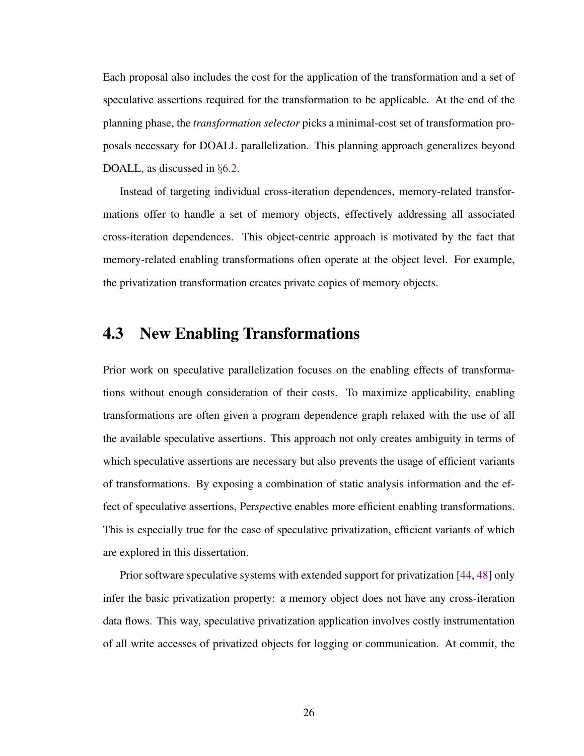Each proposal also includes the cost for the application of the transformation and a set of speculative assertions required for the transformation to be applicable. At the end of the planning phase, the *transformation selector* picks a minimal-cost set of transformation proposals necessary for DOALL parallelization. This planning approach generalizes beyond DOALL, as discussed in §[6.2.](#page-77-0)

Instead of targeting individual cross-iteration dependences, memory-related transformations offer to handle a set of memory objects, effectively addressing all associated cross-iteration dependences. This object-centric approach is motivated by the fact that memory-related enabling transformations often operate at the object level. For example, the privatization transformation creates private copies of memory objects.

## <span id="page-38-0"></span>4.3 New Enabling Transformations

Prior work on speculative parallelization focuses on the enabling effects of transformations without enough consideration of their costs. To maximize applicability, enabling transformations are often given a program dependence graph relaxed with the use of all the available speculative assertions. This approach not only creates ambiguity in terms of which speculative assertions are necessary but also prevents the usage of efficient variants of transformations. By exposing a combination of static analysis information and the effect of speculative assertions, Per*spec*tive enables more efficient enabling transformations. This is especially true for the case of speculative privatization, efficient variants of which are explored in this dissertation.

Prior software speculative systems with extended support for privatization [\[44,](#page-115-0) [48\]](#page-116-0) only infer the basic privatization property: a memory object does not have any cross-iteration data flows. This way, speculative privatization application involves costly instrumentation of all write accesses of privatized objects for logging or communication. At commit, the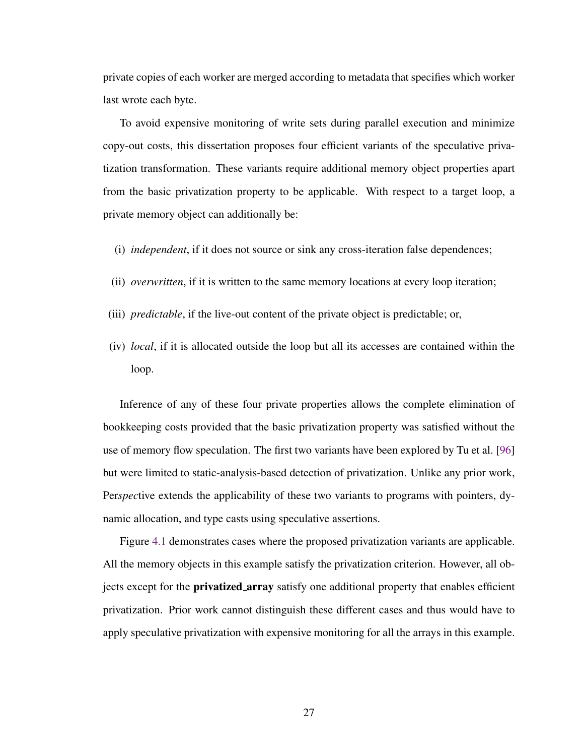private copies of each worker are merged according to metadata that specifies which worker last wrote each byte.

To avoid expensive monitoring of write sets during parallel execution and minimize copy-out costs, this dissertation proposes four efficient variants of the speculative privatization transformation. These variants require additional memory object properties apart from the basic privatization property to be applicable. With respect to a target loop, a private memory object can additionally be:

- (i) *independent*, if it does not source or sink any cross-iteration false dependences;
- (ii) *overwritten*, if it is written to the same memory locations at every loop iteration;
- (iii) *predictable*, if the live-out content of the private object is predictable; or,
- (iv) *local*, if it is allocated outside the loop but all its accesses are contained within the loop.

Inference of any of these four private properties allows the complete elimination of bookkeeping costs provided that the basic privatization property was satisfied without the use of memory flow speculation. The first two variants have been explored by Tu et al. [\[96\]](#page-123-0) but were limited to static-analysis-based detection of privatization. Unlike any prior work, Per*spec*tive extends the applicability of these two variants to programs with pointers, dynamic allocation, and type casts using speculative assertions.

Figure [4.1](#page-40-0) demonstrates cases where the proposed privatization variants are applicable. All the memory objects in this example satisfy the privatization criterion. However, all objects except for the privatized array satisfy one additional property that enables efficient privatization. Prior work cannot distinguish these different cases and thus would have to apply speculative privatization with expensive monitoring for all the arrays in this example.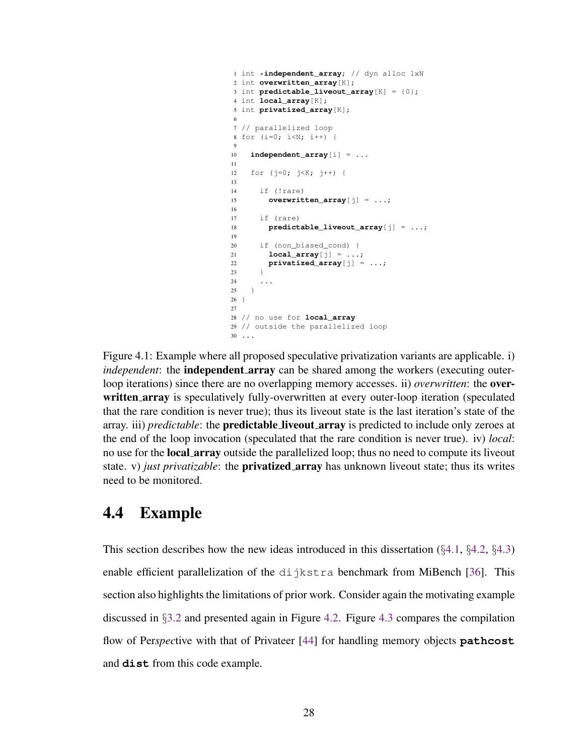```
1 int *independent_array; // dyn alloc 1xN
2 int overwritten_array[K];
3 int predictable_liveout_array[K] = {0};
4 int local_array[K];
5 int privatized_array[K];
6
7 // parallelized loop
8 for (i=0; i < N; i++) {
 9
10 independent_array[i] = ...
11
12 for (j=0; j<K; j++) {
13
14 if (!rare)
15 overwritten_array[j] = ...;
16
17 if (rare)
18 predictable_liveout_array[j] = ...;
19
20 if (non_biased_cond) {
21 local_array\begin{bmatrix} i \end{bmatrix} = \ldots;
22 privatized_array[j] = ...;
23 }
24
25 }
26 }
27
28 // no use for local_array
29 // outside the parallelized loop
30 ...
```
Figure 4.1: Example where all proposed speculative privatization variants are applicable. i) *independent*: the **independent array** can be shared among the workers (executing outerloop iterations) since there are no overlapping memory accesses. ii) *overwritten*: the overwritten array is speculatively fully-overwritten at every outer-loop iteration (speculated that the rare condition is never true); thus its liveout state is the last iteration's state of the array. iii) *predictable*: the predictable liveout array is predicted to include only zeroes at the end of the loop invocation (speculated that the rare condition is never true). iv) *local*: no use for the **local array** outside the parallelized loop; thus no need to compute its liveout state. v) *just privatizable*: the **privatized\_array** has unknown liveout state; thus its writes need to be monitored.

## <span id="page-40-1"></span>4.4 Example

This section describes how the new ideas introduced in this dissertation  $(\S 4.1, \S 4.2, \S 4.3)$  $(\S 4.1, \S 4.2, \S 4.3)$  $(\S 4.1, \S 4.2, \S 4.3)$  $(\S 4.1, \S 4.2, \S 4.3)$  $(\S 4.1, \S 4.2, \S 4.3)$  $(\S 4.1, \S 4.2, \S 4.3)$ enable efficient parallelization of the dijkstra benchmark from MiBench [\[36\]](#page-114-0). This section also highlights the limitations of prior work. Consider again the motivating example discussed in §[3.2](#page-33-0) and presented again in Figure [4.2.](#page-41-0) Figure [4.3](#page-42-0) compares the compilation flow of Per*spec*tive with that of Privateer [\[44\]](#page-115-0) for handling memory objects **pathcost** and **dist** from this code example.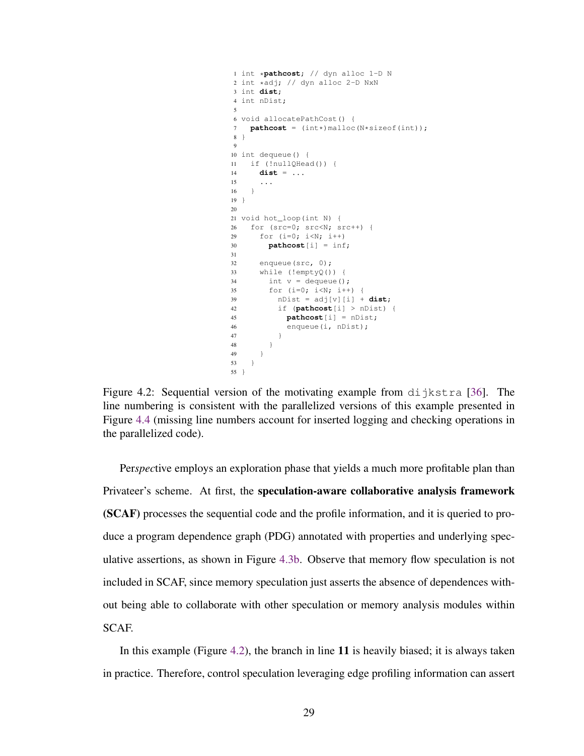```
1 int *pathcost; // dyn alloc 1-D N
2 int *adj; // dyn alloc 2-D NxN
3 int dist;
4 int nDist;
 5
6 void allocatePathCost() {
7 pathcost = (int*)malloc(N*sizeof(int));
8 }
 9
10 int dequeue() {
11 if (!nullQHead()) {
14 dist = ...
15 ...
16 }
19 }
20
21 void hot_loop(int N) {
26 for (src=0; src<N; src++) {
29 for (i=0; i<N; i++)
30 pathcost[i] = inf;
31
32 enqueue(src, 0);
33 while (!emptyQ()) {
34 int v = dequeue();
35 for (i=0; i<N; i++) {
39 nDist = adj[v][i] + dist;42 if (pathcost[i] > nDist) {
45 pathcost[i] = nDist;
46 enqueue(i, nDist);
47 }
\begin{tabular}{ccccc} 48 & & & & \end{tabular}49 }
53 }
55 }
```
Figure 4.2: Sequential version of the motivating example from dijkstra [\[36\]](#page-114-0). The line numbering is consistent with the parallelized versions of this example presented in Figure [4.4](#page-45-0) (missing line numbers account for inserted logging and checking operations in the parallelized code).

Per*spec*tive employs an exploration phase that yields a much more profitable plan than Privateer's scheme. At first, the speculation-aware collaborative analysis framework (SCAF) processes the sequential code and the profile information, and it is queried to produce a program dependence graph (PDG) annotated with properties and underlying speculative assertions, as shown in Figure [4.3b.](#page-42-0) Observe that memory flow speculation is not included in SCAF, since memory speculation just asserts the absence of dependences without being able to collaborate with other speculation or memory analysis modules within SCAF.

In this example (Figure [4.2\)](#page-41-0), the branch in line 11 is heavily biased; it is always taken in practice. Therefore, control speculation leveraging edge profiling information can assert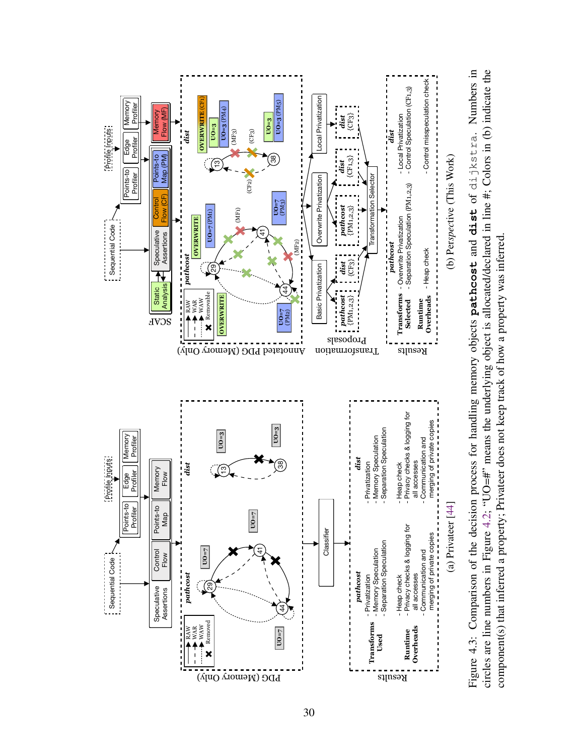<span id="page-42-0"></span>

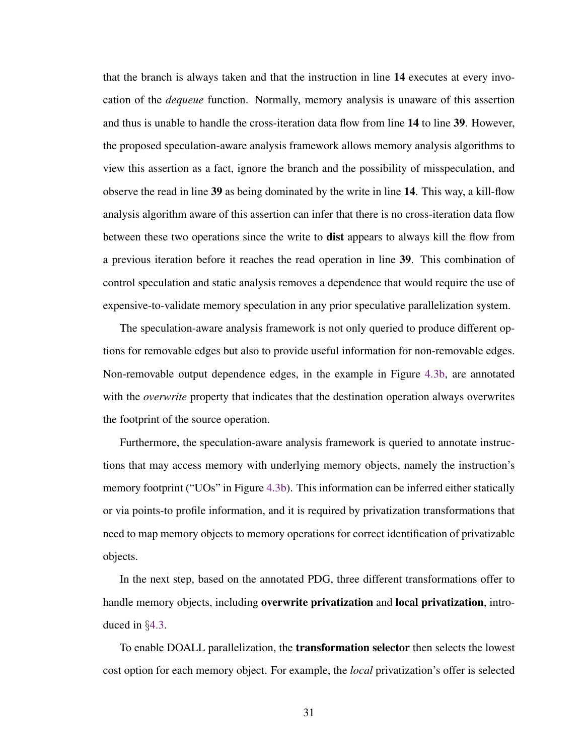that the branch is always taken and that the instruction in line 14 executes at every invocation of the *dequeue* function. Normally, memory analysis is unaware of this assertion and thus is unable to handle the cross-iteration data flow from line 14 to line 39. However, the proposed speculation-aware analysis framework allows memory analysis algorithms to view this assertion as a fact, ignore the branch and the possibility of misspeculation, and observe the read in line 39 as being dominated by the write in line 14. This way, a kill-flow analysis algorithm aware of this assertion can infer that there is no cross-iteration data flow between these two operations since the write to **dist** appears to always kill the flow from a previous iteration before it reaches the read operation in line 39. This combination of control speculation and static analysis removes a dependence that would require the use of expensive-to-validate memory speculation in any prior speculative parallelization system.

The speculation-aware analysis framework is not only queried to produce different options for removable edges but also to provide useful information for non-removable edges. Non-removable output dependence edges, in the example in Figure [4.3b,](#page-42-0) are annotated with the *overwrite* property that indicates that the destination operation always overwrites the footprint of the source operation.

Furthermore, the speculation-aware analysis framework is queried to annotate instructions that may access memory with underlying memory objects, namely the instruction's memory footprint ("UOs" in Figure [4.3b\)](#page-42-0). This information can be inferred either statically or via points-to profile information, and it is required by privatization transformations that need to map memory objects to memory operations for correct identification of privatizable objects.

In the next step, based on the annotated PDG, three different transformations offer to handle memory objects, including **overwrite privatization** and **local privatization**, introduced in §[4.3.](#page-38-0)

To enable DOALL parallelization, the transformation selector then selects the lowest cost option for each memory object. For example, the *local* privatization's offer is selected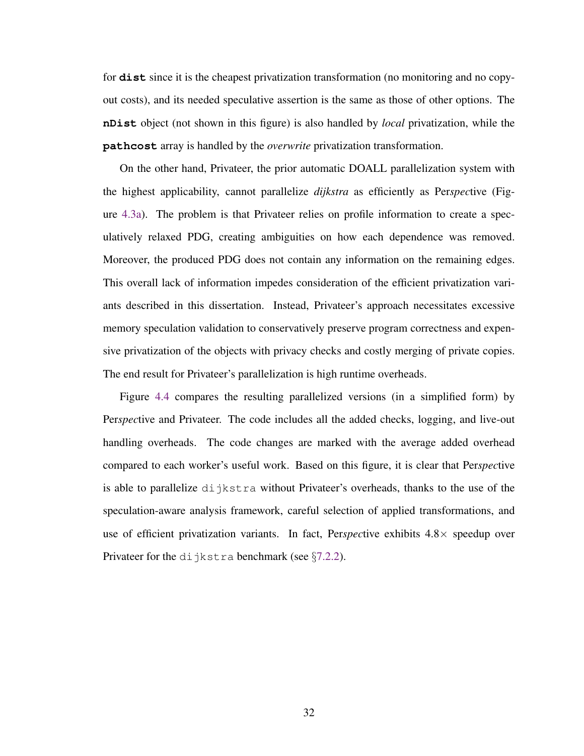for **dist** since it is the cheapest privatization transformation (no monitoring and no copyout costs), and its needed speculative assertion is the same as those of other options. The **nDist** object (not shown in this figure) is also handled by *local* privatization, while the **pathcost** array is handled by the *overwrite* privatization transformation.

On the other hand, Privateer, the prior automatic DOALL parallelization system with the highest applicability, cannot parallelize *dijkstra* as efficiently as Per*spec*tive (Figure [4.3a\)](#page-42-0). The problem is that Privateer relies on profile information to create a speculatively relaxed PDG, creating ambiguities on how each dependence was removed. Moreover, the produced PDG does not contain any information on the remaining edges. This overall lack of information impedes consideration of the efficient privatization variants described in this dissertation. Instead, Privateer's approach necessitates excessive memory speculation validation to conservatively preserve program correctness and expensive privatization of the objects with privacy checks and costly merging of private copies. The end result for Privateer's parallelization is high runtime overheads.

Figure [4.4](#page-45-0) compares the resulting parallelized versions (in a simplified form) by Per*spec*tive and Privateer. The code includes all the added checks, logging, and live-out handling overheads. The code changes are marked with the average added overhead compared to each worker's useful work. Based on this figure, it is clear that Per*spec*tive is able to parallelize dijkstra without Privateer's overheads, thanks to the use of the speculation-aware analysis framework, careful selection of applied transformations, and use of efficient privatization variants. In fact, Per*spec*tive exhibits 4.8× speedup over Privateer for the dijkstra benchmark (see  $\S 7.2.2$ ).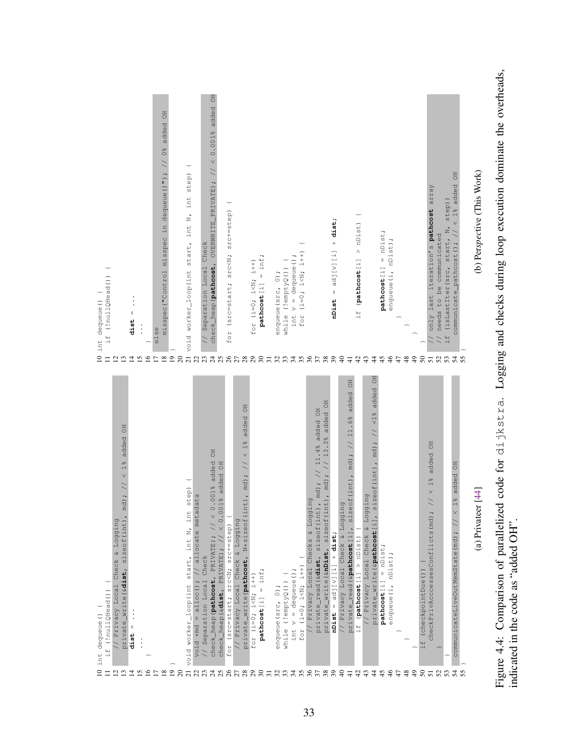<span id="page-45-0"></span>

| if (!nullQHead())<br>int dequeue() {<br>$\mathsf{D}$<br>$\equiv$   | $\parallel$<br>dist<br>$\overline{\omega}$<br>$\mathbf{r}$<br>$\overline{4}$                                                                                                               | $\vdots$ | ÷<br>$\frac{5}{2}$ | <b>OH</b><br>$1/0$ $8$ added<br>in dequeue ()");<br>misspec<br>misspec("Control<br>else<br>$\square$<br>$\cong$ $\square$ | $20\,$  | step)<br>N, int<br>void worker_loop(int start, int<br>$\overline{21}$ | Check<br>// Separation Local                                                            | <b>BO</b><br>added<br>< 0.0018<br>OVERWRITE_PRIVATE); //<br>check_heap (pathcost,                                                                                         | $srcC++=step)$<br>for (src=start; src <n;< th=""><th></th><th>for <math>(i=0; i &lt; N; i+n)</math></th><th><math>=</math> inf;<br/>pathcost[i]</th><th>enqueue (src, 0);</th><th>while (!emptyQ()) {</th><th>int <math>v =</math> dequeue();</th><th><math>(1=0; 1&lt; N; 1&lt; N+1)</math><br/>for</th><th></th><th></th><th>+ dist;<br/><math>= adj[v][i]</math><br/>mist</th><th></th><th><math display="inline">\pm</math></th><th><math>&gt;</math> nDist)<br/>if (pathcost[i]<br/>43<br/><math>\ddot{c}</math></th><th><math>\ddot{4}</math></th><th><math>= nDist;</math><br/>pathcost[i]<br/>45</th><th>enqueue (i, nDist);<br/><math display="inline">46</math></th><th><math display="inline">47</math></th><th></th><th></th><th>only last iteration's pathcost array<br/>\$\$\$5\$\$\$\$</th><th><math>\overline{z}</math><br/>needs to be communicated<br/>(isLastIter(src, start,<br/><math>\pm</math><br/><math>\frac{1}{2}</math></th><th><b>HO</b><br/>added<br/>step))<br/><math>1\frac{1}{6}</math><br/>communicate_pathcost(); //</th><th>(b) Perspective (This Work)</th></n;<>                                                                                                                                                                                                                                                                                                                                                                                                                                                                                                                                                                                                                                                                                                                                                                                                                                  |                                                                                                                                                                                       | for $(i=0; i < N; i+n)$ | $=$ inf;<br>pathcost[i] | enqueue (src, 0); | while (!emptyQ()) { | int $v =$ dequeue();                  | $(1=0; 1< N; 1< N+1)$<br>for |                                                                                                             |                                                                | + dist;<br>$= adj[v][i]$<br>mist |                                                   | $\pm$                                                                                                               | $>$ nDist)<br>if (pathcost[i]<br>43<br>$\ddot{c}$                  | $\ddot{4}$                                                                                                          | $= nDist;$<br>pathcost[i]<br>45 | enqueue (i, nDist);<br>$46$ | $47$     |               |                             | only last iteration's pathcost array<br>\$\$\$5\$\$\$\$                                               | $\overline{z}$<br>needs to be communicated<br>(isLastIter(src, start,<br>$\pm$<br>$\frac{1}{2}$ | <b>HO</b><br>added<br>step))<br>$1\frac{1}{6}$<br>communicate_pathcost(); //                   | (b) Perspective (This Work) |
|--------------------------------------------------------------------|--------------------------------------------------------------------------------------------------------------------------------------------------------------------------------------------|----------|--------------------|---------------------------------------------------------------------------------------------------------------------------|---------|-----------------------------------------------------------------------|-----------------------------------------------------------------------------------------|---------------------------------------------------------------------------------------------------------------------------------------------------------------------------|----------------------------------------------------------------------------------------------------------------------------------------------------------------------------------------------------------------------------------------------------------------------------------------------------------------------------------------------------------------------------------------------------------------------------------------------------------------------------------------------------------------------------------------------------------------------------------------------------------------------------------------------------------------------------------------------------------------------------------------------------------------------------------------------------------------------------------------------------------------------------------------------------------------------------------------------------------------------------------------------------------------------------------------------------------------------------------------------------------------------------------------------------------------------------------------------------------------------------------------------------------------------------------------------------------------------------------------------------------------------------------------------------------------------------------------------------------------------------------------------------------------------------------------------------------------------------------------------------------------------------------------------------------------------------------------------------------------------------------------------------------------------------------------------------------------------------------------------------------------------------------------------------------------------------------------|---------------------------------------------------------------------------------------------------------------------------------------------------------------------------------------|-------------------------|-------------------------|-------------------|---------------------|---------------------------------------|------------------------------|-------------------------------------------------------------------------------------------------------------|----------------------------------------------------------------|----------------------------------|---------------------------------------------------|---------------------------------------------------------------------------------------------------------------------|--------------------------------------------------------------------|---------------------------------------------------------------------------------------------------------------------|---------------------------------|-----------------------------|----------|---------------|-----------------------------|-------------------------------------------------------------------------------------------------------|-------------------------------------------------------------------------------------------------|------------------------------------------------------------------------------------------------|-----------------------------|
| if (!nullQHead())<br>int dequeue() {<br>$\overline{a}$<br>$\equiv$ | <b>BD</b><br>added<br>$\frac{1}{2}$<br>$\vee$<br>md)<br>// Privacy Local Check & Logging<br>private_write(&dist, sizeof(int)<br>$\parallel$<br>dist<br>$\overline{c}$<br>$\mathbf{r}$<br>그 | ی        | ≌                  | ∞                                                                                                                         | $\circ$ | start, int N, int step)<br>void worker_loop(int                       | <b>IQ</b><br>void *md = alloc(); // allocate metadat<br>// Separation Local Check<br>23 | <b>BO</b><br>$< 0.001$ % added<br>added OH<br>$0.001\$<br>$\vee$<br>check_heap (pathcost, PRIVATE) ;<br>check_heap(&dist, PRIVATE); /<br>$\overline{c}$<br>$\mathfrak{L}$ | for (src=start; src <n; src+="step)&lt;/td"><td><b>FO</b><br/>added<br/><math display="inline">&lt;~1\frac{8}{6}</math><br/>md) ; <math>\frac{1}{2}</math><br/><math>\ddot{\phantom{0}}</math><br/>private_write(pathcost, N*sizeof(int)<br/>// Privacy Local Check &amp; Logging<br/><b>ghagaaaa</b></td><td>for <math>(i=0; i&lt; N; i+1)</math></td><td><math>=</math> inf;<br/>pathcost[i]</td><td>enqueue (src, 0);</td><td>while (!emptyQ()) {</td><td>int <math>v =</math> dequeue();<br/><math>\mathcal{L}</math></td><td>for <math>(i=0; i&lt; N; i+1)</math></td><td>added OH<br/>11.4%<br/>md);<br/>// Privacy Local Checks &amp; Logging<br/>private_read(&amp;dist, sizeof(int),<br/>88588</td><td>, md) ; // 13.3% added OH<br/>private_write(&amp;nDist, sizeof(int)</td><td><math>nDist = adj[v][i] + dist;</math></td><td>// Privacy Local Check &amp; Logging<br/><math>\frac{1}{2}</math></td><td><b>HO</b><br/>added<br/><math>\frac{6}{6}</math><br/><math display="inline">11</math><br/><math>\tilde{z}</math><br/><math>(nt)</math>, md);<br/>sizeof<br/>private_read(&amp;pathcost[i],</td><td>// Privacy Local Check &amp; Loggin<br/>if (pathcost[i] &gt; nDist)<br/>743</td><td>added OH<br/><math>&lt; 1\frac{8}{9}</math><br/><math>\cot(\text{int})</math>, md);<br/>g<br/>512<br/>Ξ<br/>private_write(&amp;pathcost<br/><math>\ddot{a}</math></td><td><math>=</math> nDist;<br/>pathcost[i]<br/>48</td><td>enqueue (i, nDist);</td><td><math>\Delta</math></td><td><math>\frac{3}{4}</math></td><td>(checkpointDue ())<br/><math>\pm</math></td><td><b>BO</b><br/>added<br/><math>\frac{1}{2}</math><br/><math>\vee</math><br/><math>\geq</math><br/>checkPrivAcccessesConflicts(md);<br/>ន៑ ដ ដ</td><td></td><td>added OH<br/><math display="inline">&lt;~1\frac{\text{e}}{\text{e}}</math><br/>communicateLiveOutMemState(md);<br/><math>\mathcal{L}</math></td><td>44<br/>(a) Privateer [</td></n;> | <b>FO</b><br>added<br>$<~1\frac{8}{6}$<br>md) ; $\frac{1}{2}$<br>$\ddot{\phantom{0}}$<br>private_write(pathcost, N*sizeof(int)<br>// Privacy Local Check & Logging<br><b>ghagaaaa</b> | for $(i=0; i< N; i+1)$  | $=$ inf;<br>pathcost[i] | enqueue (src, 0); | while (!emptyQ()) { | int $v =$ dequeue();<br>$\mathcal{L}$ | for $(i=0; i< N; i+1)$       | added OH<br>11.4%<br>md);<br>// Privacy Local Checks & Logging<br>private_read(&dist, sizeof(int),<br>88588 | , md) ; // 13.3% added OH<br>private_write(&nDist, sizeof(int) | $nDist = adj[v][i] + dist;$      | // Privacy Local Check & Logging<br>$\frac{1}{2}$ | <b>HO</b><br>added<br>$\frac{6}{6}$<br>$11$<br>$\tilde{z}$<br>$(nt)$ , md);<br>sizeof<br>private_read(&pathcost[i], | // Privacy Local Check & Loggin<br>if (pathcost[i] > nDist)<br>743 | added OH<br>$< 1\frac{8}{9}$<br>$\cot(\text{int})$ , md);<br>g<br>512<br>Ξ<br>private_write(&pathcost<br>$\ddot{a}$ | $=$ nDist;<br>pathcost[i]<br>48 | enqueue (i, nDist);         | $\Delta$ | $\frac{3}{4}$ | (checkpointDue ())<br>$\pm$ | <b>BO</b><br>added<br>$\frac{1}{2}$<br>$\vee$<br>$\geq$<br>checkPrivAcccessesConflicts(md);<br>ន៑ ដ ដ |                                                                                                 | added OH<br>$<~1\frac{\text{e}}{\text{e}}$<br>communicateLiveOutMemState(md);<br>$\mathcal{L}$ | 44<br>(a) Privateer [       |

Figure 4.4: Comparison of parallelized code for dijkstra. Logging and checks during loop execution dominate the overheads, indicated in the code as "added OH". Figure 4.4: Comparison of parallelized code for dijkstra. Logging and checks during loop execution dominate the overheads,

indicated in the code as "added OH".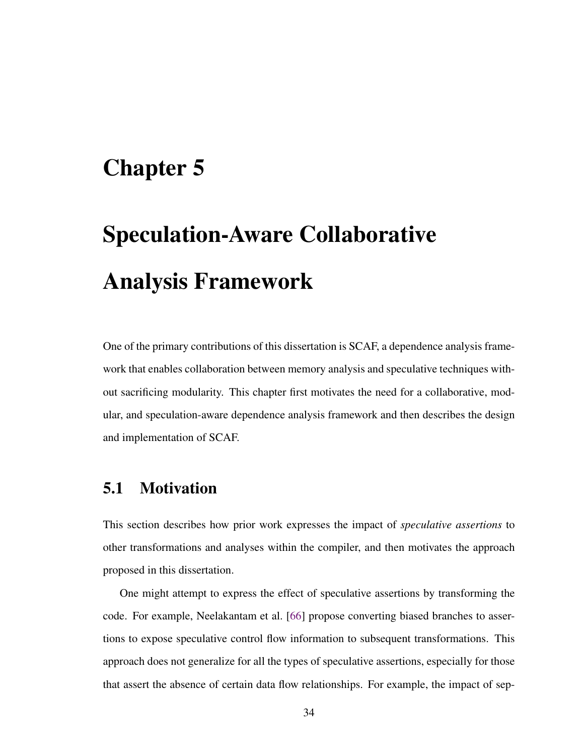# <span id="page-46-0"></span>Chapter 5

# Speculation-Aware Collaborative Analysis Framework

One of the primary contributions of this dissertation is SCAF, a dependence analysis framework that enables collaboration between memory analysis and speculative techniques without sacrificing modularity. This chapter first motivates the need for a collaborative, modular, and speculation-aware dependence analysis framework and then describes the design and implementation of SCAF.

## 5.1 Motivation

This section describes how prior work expresses the impact of *speculative assertions* to other transformations and analyses within the compiler, and then motivates the approach proposed in this dissertation.

One might attempt to express the effect of speculative assertions by transforming the code. For example, Neelakantam et al. [\[66\]](#page-119-0) propose converting biased branches to assertions to expose speculative control flow information to subsequent transformations. This approach does not generalize for all the types of speculative assertions, especially for those that assert the absence of certain data flow relationships. For example, the impact of sep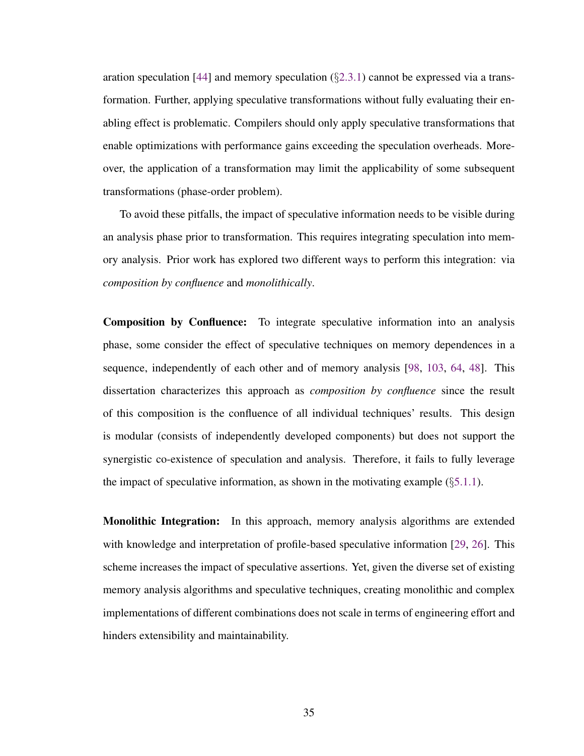aration speculation [\[44\]](#page-115-0) and memory speculation  $(\S2.3.1)$  $(\S2.3.1)$  cannot be expressed via a transformation. Further, applying speculative transformations without fully evaluating their enabling effect is problematic. Compilers should only apply speculative transformations that enable optimizations with performance gains exceeding the speculation overheads. Moreover, the application of a transformation may limit the applicability of some subsequent transformations (phase-order problem).

To avoid these pitfalls, the impact of speculative information needs to be visible during an analysis phase prior to transformation. This requires integrating speculation into memory analysis. Prior work has explored two different ways to perform this integration: via *composition by confluence* and *monolithically*.

Composition by Confluence: To integrate speculative information into an analysis phase, some consider the effect of speculative techniques on memory dependences in a sequence, independently of each other and of memory analysis [\[98,](#page-124-0) [103,](#page-125-0) [64,](#page-118-0) [48\]](#page-116-0). This dissertation characterizes this approach as *composition by confluence* since the result of this composition is the confluence of all individual techniques' results. This design is modular (consists of independently developed components) but does not support the synergistic co-existence of speculation and analysis. Therefore, it fails to fully leverage the impact of speculative information, as shown in the motivating example  $(\S 5.1.1)$  $(\S 5.1.1)$ .

Monolithic Integration: In this approach, memory analysis algorithms are extended with knowledge and interpretation of profile-based speculative information [\[29,](#page-113-0) [26\]](#page-112-0). This scheme increases the impact of speculative assertions. Yet, given the diverse set of existing memory analysis algorithms and speculative techniques, creating monolithic and complex implementations of different combinations does not scale in terms of engineering effort and hinders extensibility and maintainability.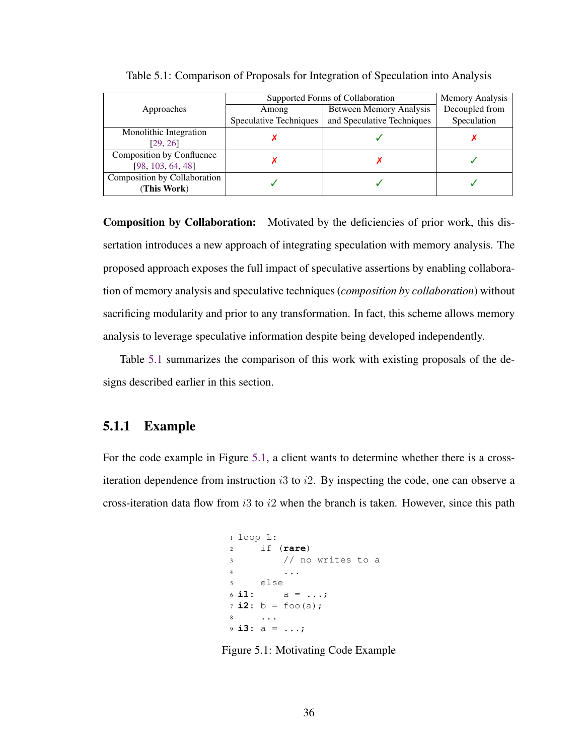|                              | Supported Forms of Collaboration | Memory Analysis            |                |  |  |
|------------------------------|----------------------------------|----------------------------|----------------|--|--|
| Approaches                   | Among                            | Between Memory Analysis    | Decoupled from |  |  |
|                              | Speculative Techniques           | and Speculative Techniques | Speculation    |  |  |
| Monolithic Integration       |                                  |                            |                |  |  |
| [29, 26]                     |                                  |                            |                |  |  |
| Composition by Confluence    |                                  |                            |                |  |  |
| [98, 103, 64, 48]            |                                  |                            |                |  |  |
| Composition by Collaboration |                                  |                            |                |  |  |
| (This Work)                  |                                  |                            |                |  |  |

<span id="page-48-1"></span>Table 5.1: Comparison of Proposals for Integration of Speculation into Analysis

Composition by Collaboration: Motivated by the deficiencies of prior work, this dissertation introduces a new approach of integrating speculation with memory analysis. The proposed approach exposes the full impact of speculative assertions by enabling collaboration of memory analysis and speculative techniques (*composition by collaboration*) without sacrificing modularity and prior to any transformation. In fact, this scheme allows memory analysis to leverage speculative information despite being developed independently.

Table [5.1](#page-48-1) summarizes the comparison of this work with existing proposals of the designs described earlier in this section.

#### <span id="page-48-0"></span>5.1.1 Example

<span id="page-48-2"></span>For the code example in Figure [5.1,](#page-48-2) a client wants to determine whether there is a crossiteration dependence from instruction  $i3$  to  $i2$ . By inspecting the code, one can observe a cross-iteration data flow from  $i3$  to  $i2$  when the branch is taken. However, since this path

```
1 loop L:
2 if (rare)
3 // no writes to a
4 ...
5 else
6 \, \textbf{i1}: \quad a = \, \ldots;7 \, \textbf{i2:} \, \text{b = } \, \text{foo} \, \text{(a)}8 ...
9 i3: a = ...;
```
Figure 5.1: Motivating Code Example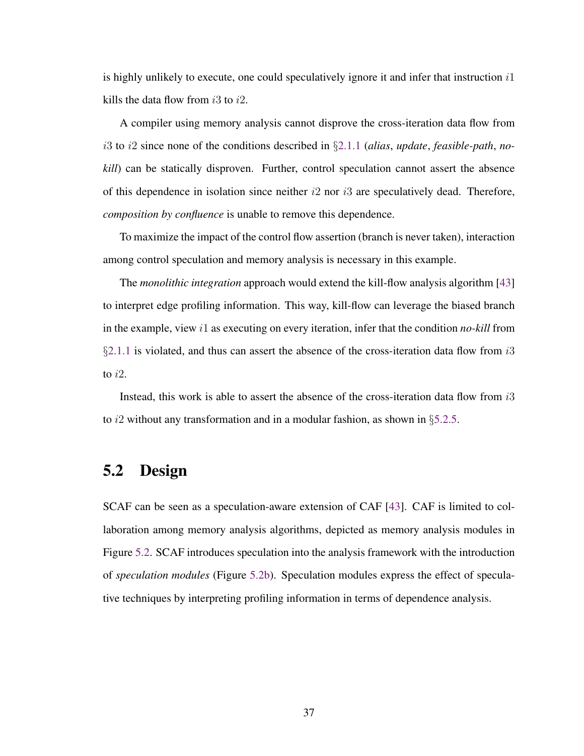is highly unlikely to execute, one could speculatively ignore it and infer that instruction  $i1$ kills the data flow from  $i3$  to  $i2$ .

A compiler using memory analysis cannot disprove the cross-iteration data flow from i3 to i2 since none of the conditions described in §[2.1.1](#page-20-0) (*alias*, *update*, *feasible-path*, *nokill*) can be statically disproven. Further, control speculation cannot assert the absence of this dependence in isolation since neither  $i2$  nor  $i3$  are speculatively dead. Therefore, *composition by confluence* is unable to remove this dependence.

To maximize the impact of the control flow assertion (branch is never taken), interaction among control speculation and memory analysis is necessary in this example.

The *monolithic integration* approach would extend the kill-flow analysis algorithm [\[43\]](#page-115-1) to interpret edge profiling information. This way, kill-flow can leverage the biased branch in the example, view i1 as executing on every iteration, infer that the condition *no-kill* from §[2.1.1](#page-20-0) is violated, and thus can assert the absence of the cross-iteration data flow from  $i3$ to  $i2$ .

Instead, this work is able to assert the absence of the cross-iteration data flow from i3 to i2 without any transformation and in a modular fashion, as shown in  $\S 5.2.5$ .

## 5.2 Design

SCAF can be seen as a speculation-aware extension of CAF [\[43\]](#page-115-1). CAF is limited to collaboration among memory analysis algorithms, depicted as memory analysis modules in Figure [5.2.](#page-50-0) SCAF introduces speculation into the analysis framework with the introduction of *speculation modules* (Figure [5.2b\)](#page-50-0). Speculation modules express the effect of speculative techniques by interpreting profiling information in terms of dependence analysis.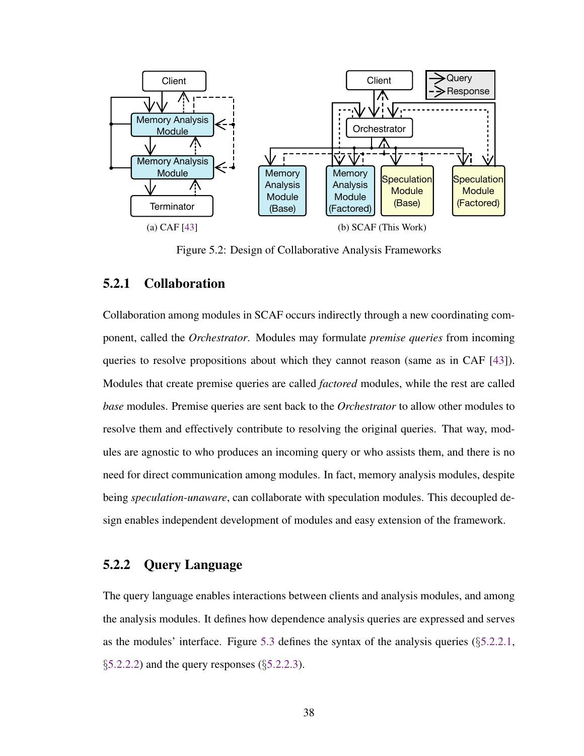<span id="page-50-0"></span>

Figure 5.2: Design of Collaborative Analysis Frameworks

#### 5.2.1 Collaboration

Collaboration among modules in SCAF occurs indirectly through a new coordinating component, called the *Orchestrator*. Modules may formulate *premise queries* from incoming queries to resolve propositions about which they cannot reason (same as in CAF [\[43\]](#page-115-1)). Modules that create premise queries are called *factored* modules, while the rest are called *base* modules. Premise queries are sent back to the *Orchestrator* to allow other modules to resolve them and effectively contribute to resolving the original queries. That way, modules are agnostic to who produces an incoming query or who assists them, and there is no need for direct communication among modules. In fact, memory analysis modules, despite being *speculation-unaware*, can collaborate with speculation modules. This decoupled design enables independent development of modules and easy extension of the framework.

#### <span id="page-50-1"></span>5.2.2 Query Language

The query language enables interactions between clients and analysis modules, and among the analysis modules. It defines how dependence analysis queries are expressed and serves as the modules' interface. Figure [5.3](#page-51-0) defines the syntax of the analysis queries (§[5.2.2.1,](#page-52-0)  $\S5.2.2.2$ ) and the query responses ( $\S5.2.2.3$ ).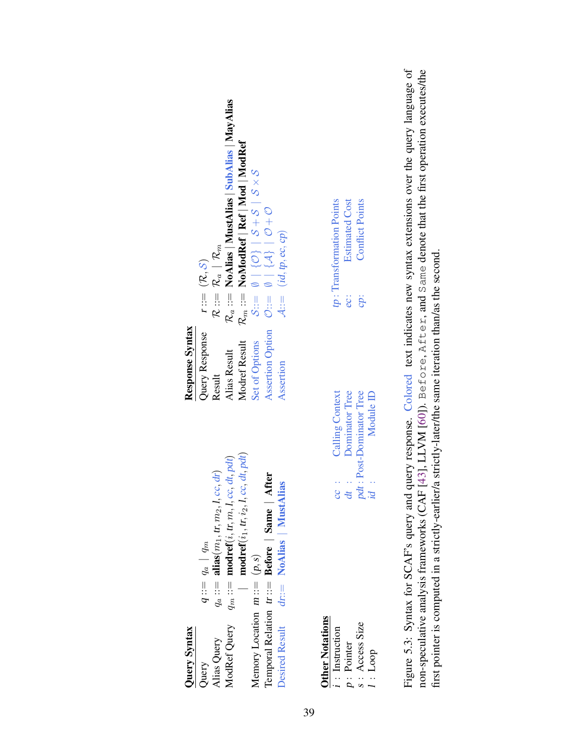<span id="page-51-0"></span>

| Query Syntax                                                                       |                                                                                                                                                                                                                                                         | Response Syntax                                           |                                                                                                                                                                                                                                                   |
|------------------------------------------------------------------------------------|---------------------------------------------------------------------------------------------------------------------------------------------------------------------------------------------------------------------------------------------------------|-----------------------------------------------------------|---------------------------------------------------------------------------------------------------------------------------------------------------------------------------------------------------------------------------------------------------|
| ModRef Query<br>Alias Query<br>Query                                               | $\textbf{model}(\dot{v}_1, \textit{tr}, \dot{v}_2, \textit{I}, \textit{cc}, \textit{dt}, \textit{pdf})$<br>cc, dt, pdt)<br>$q ::= q_a   q_m$<br>$h_a ::=$ alias( $m_1,$ tr, $m_2,$ l, cc, dr)<br>$\textbf{model}(i, t, m, l,$<br>$q_m ::=$<br>$q_a ::=$ | Query Response<br>Modref Result<br>Alias Result<br>Result | $\mathcal{R}_a ::=$ NoAlias   MustAlias   SubAlias   MayAlias<br>$\mathcal{R}_m ::= \textbf{NoModel}   \textbf{Ref}   \textbf{Mod}   \textbf{ModRef}$<br>$\mathcal{R} ::= \mathcal{R}_a \mid \mathcal{R}_m$<br>$r ::= (\mathcal{R}, \mathcal{S})$ |
| Memory Location $m ::= (p, s)$                                                     | After<br>Temporal Relation tr: = Before   Same                                                                                                                                                                                                          | <b>Assertion Option</b><br>Set of Options                 |                                                                                                                                                                                                                                                   |
| <b>Desired Result</b>                                                              | NoAlias   MustAlias<br>$dx :=$                                                                                                                                                                                                                          | Assertion                                                 | $A ::= (id, tp, ec, cp)$                                                                                                                                                                                                                          |
| <b>Other Notations</b><br>S : Access Size<br>: Instruction<br>p: Pointer<br>1:Loop | Calling Context<br>Dominator Tree<br>Module ID<br>pdt: Post-Dominator Tree<br>$id$ :<br>dt :<br>$\therefore$                                                                                                                                            |                                                           | tp: Transformation Points<br><b>Estimated Cost</b><br><b>Conflict Points</b><br>ec:<br>cp:                                                                                                                                                        |
|                                                                                    |                                                                                                                                                                                                                                                         |                                                           |                                                                                                                                                                                                                                                   |

Figure 5.3: Syntax for SCAF's query and query response. Colored text indicates new syntax extensions over the query language of non-speculative analysis frameworks (CAF [43], LLVM [60]). Before, After, and Same denote that the first operation executes/the Figure 5.3: Syntax for SCAF's query and query response. Colored text indicates new syntax extensions over the query language of non-speculative analysis frameworks (CAF [\[43\]](#page-115-1), LLVM [\[60\]](#page-118-1)). Before, After, and Same denote that the first operation executes/the first pointer is computed in a strictly-earlier/a strictly-later/the same iteration than/as the second. first pointer is computed in a strictly-earlier/a strictly-later/the same iteration than/as the second.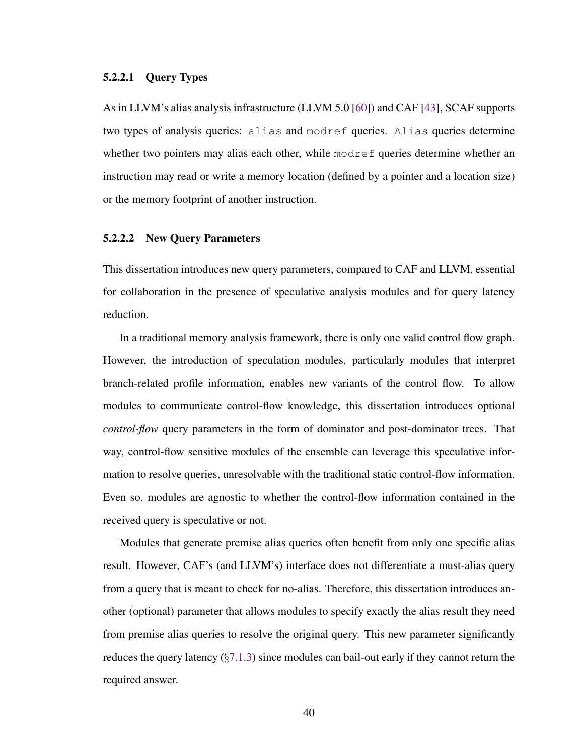#### <span id="page-52-0"></span>5.2.2.1 Query Types

As in LLVM's alias analysis infrastructure (LLVM 5.0 [\[60\]](#page-118-1)) and CAF [\[43\]](#page-115-1), SCAF supports two types of analysis queries: alias and modref queries. Alias queries determine whether two pointers may alias each other, while modref queries determine whether an instruction may read or write a memory location (defined by a pointer and a location size) or the memory footprint of another instruction.

#### <span id="page-52-1"></span>5.2.2.2 New Query Parameters

This dissertation introduces new query parameters, compared to CAF and LLVM, essential for collaboration in the presence of speculative analysis modules and for query latency reduction.

In a traditional memory analysis framework, there is only one valid control flow graph. However, the introduction of speculation modules, particularly modules that interpret branch-related profile information, enables new variants of the control flow. To allow modules to communicate control-flow knowledge, this dissertation introduces optional *control-flow* query parameters in the form of dominator and post-dominator trees. That way, control-flow sensitive modules of the ensemble can leverage this speculative information to resolve queries, unresolvable with the traditional static control-flow information. Even so, modules are agnostic to whether the control-flow information contained in the received query is speculative or not.

Modules that generate premise alias queries often benefit from only one specific alias result. However, CAF's (and LLVM's) interface does not differentiate a must-alias query from a query that is meant to check for no-alias. Therefore, this dissertation introduces another (optional) parameter that allows modules to specify exactly the alias result they need from premise alias queries to resolve the original query. This new parameter significantly reduces the query latency  $(\S7.1.3)$  $(\S7.1.3)$  since modules can bail-out early if they cannot return the required answer.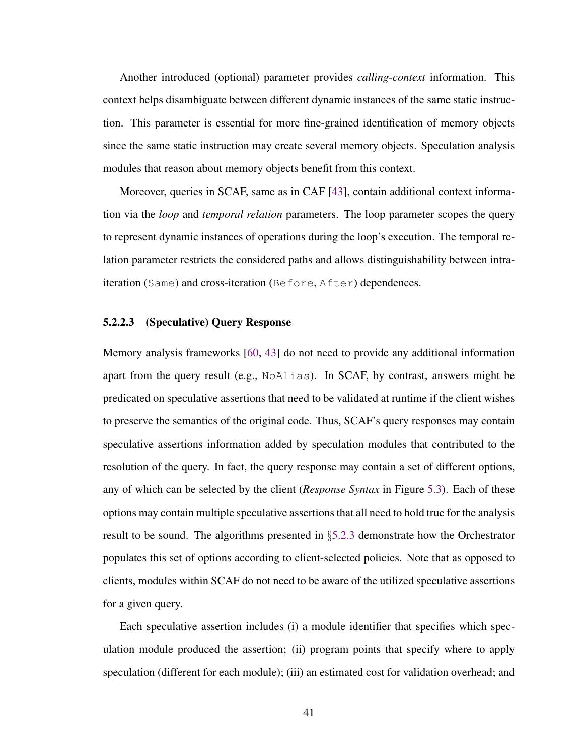Another introduced (optional) parameter provides *calling-context* information. This context helps disambiguate between different dynamic instances of the same static instruction. This parameter is essential for more fine-grained identification of memory objects since the same static instruction may create several memory objects. Speculation analysis modules that reason about memory objects benefit from this context.

Moreover, queries in SCAF, same as in CAF [\[43\]](#page-115-1), contain additional context information via the *loop* and *temporal relation* parameters. The loop parameter scopes the query to represent dynamic instances of operations during the loop's execution. The temporal relation parameter restricts the considered paths and allows distinguishability between intraiteration (Same) and cross-iteration (Before, After) dependences.

#### <span id="page-53-0"></span>5.2.2.3 (Speculative) Query Response

Memory analysis frameworks [\[60,](#page-118-1) [43\]](#page-115-1) do not need to provide any additional information apart from the query result (e.g., NoAlias). In SCAF, by contrast, answers might be predicated on speculative assertions that need to be validated at runtime if the client wishes to preserve the semantics of the original code. Thus, SCAF's query responses may contain speculative assertions information added by speculation modules that contributed to the resolution of the query. In fact, the query response may contain a set of different options, any of which can be selected by the client (*Response Syntax* in Figure [5.3\)](#page-51-0). Each of these options may contain multiple speculative assertions that all need to hold true for the analysis result to be sound. The algorithms presented in §[5.2.3](#page-54-0) demonstrate how the Orchestrator populates this set of options according to client-selected policies. Note that as opposed to clients, modules within SCAF do not need to be aware of the utilized speculative assertions for a given query.

Each speculative assertion includes (i) a module identifier that specifies which speculation module produced the assertion; (ii) program points that specify where to apply speculation (different for each module); (iii) an estimated cost for validation overhead; and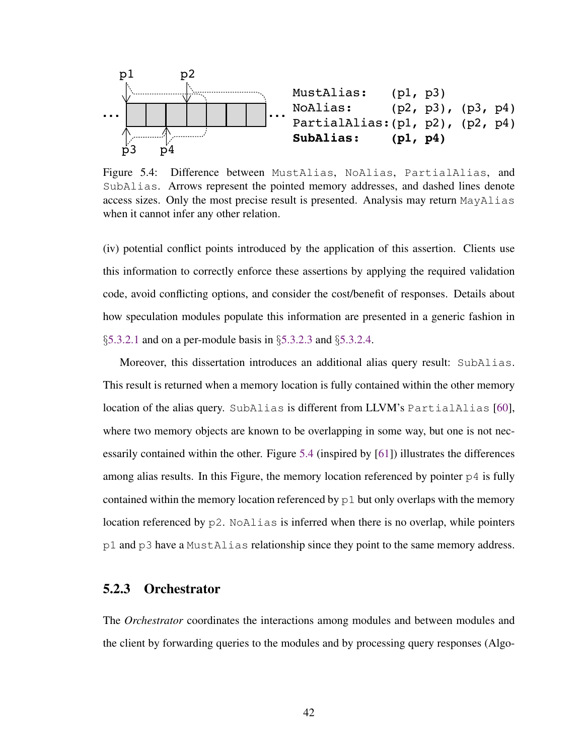<span id="page-54-1"></span>

Figure 5.4: Difference between MustAlias, NoAlias, PartialAlias, and SubAlias. Arrows represent the pointed memory addresses, and dashed lines denote access sizes. Only the most precise result is presented. Analysis may return MayAlias when it cannot infer any other relation.

(iv) potential conflict points introduced by the application of this assertion. Clients use this information to correctly enforce these assertions by applying the required validation code, avoid conflicting options, and consider the cost/benefit of responses. Details about how speculation modules populate this information are presented in a generic fashion in §[5.3.2.1](#page-63-0) and on a per-module basis in §[5.3.2.3](#page-66-0) and §[5.3.2.4.](#page-68-0)

Moreover, this dissertation introduces an additional alias query result: SubAlias. This result is returned when a memory location is fully contained within the other memory location of the alias query. SubAlias is different from LLVM's PartialAlias [\[60\]](#page-118-1), where two memory objects are known to be overlapping in some way, but one is not necessarily contained within the other. Figure [5.4](#page-54-1) (inspired by [\[61\]](#page-118-2)) illustrates the differences among alias results. In this Figure, the memory location referenced by pointer  $p4$  is fully contained within the memory location referenced by  $p1$  but only overlaps with the memory location referenced by p2. NoAlias is inferred when there is no overlap, while pointers p1 and p3 have a MustAlias relationship since they point to the same memory address.

#### <span id="page-54-0"></span>5.2.3 Orchestrator

The *Orchestrator* coordinates the interactions among modules and between modules and the client by forwarding queries to the modules and by processing query responses (Algo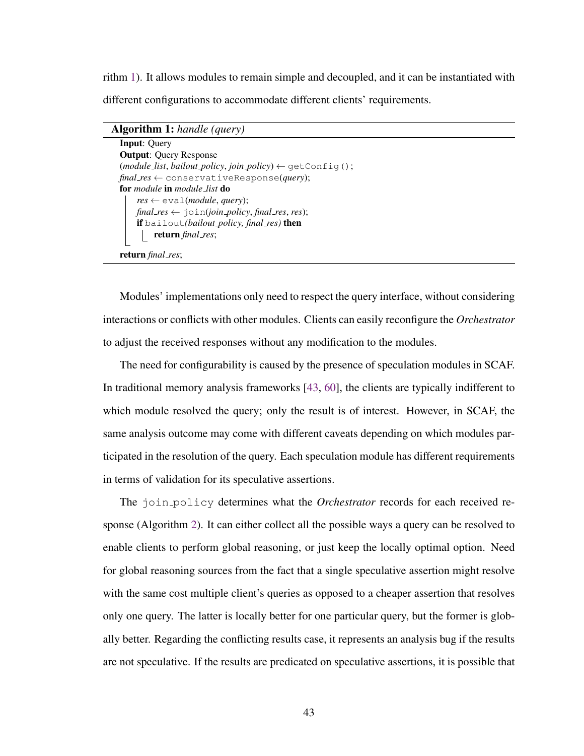rithm [1\)](#page-55-0). It allows modules to remain simple and decoupled, and it can be instantiated with different configurations to accommodate different clients' requirements.

#### Algorithm 1: *handle (query)*

```
Input: Query
Output: Query Response
(module\_list, bailout\_policy, join\_policy) \leftarrow getConfig();final res ← conservativeResponse(query);
for module in module list do
    res \leftarrow \text{eval}(module, query);final\_res \leftarrow \dot{\neg} \circ \text{in}(join\_policy, final\_res, res);if bailout(bailout policy, final res) then
      return final res;
return final res;
```
<span id="page-55-0"></span>Modules' implementations only need to respect the query interface, without considering interactions or conflicts with other modules. Clients can easily reconfigure the *Orchestrator* to adjust the received responses without any modification to the modules.

The need for configurability is caused by the presence of speculation modules in SCAF. In traditional memory analysis frameworks [\[43,](#page-115-1) [60\]](#page-118-1), the clients are typically indifferent to which module resolved the query; only the result is of interest. However, in SCAF, the same analysis outcome may come with different caveats depending on which modules participated in the resolution of the query. Each speculation module has different requirements in terms of validation for its speculative assertions.

The join policy determines what the *Orchestrator* records for each received response (Algorithm [2\)](#page-56-0). It can either collect all the possible ways a query can be resolved to enable clients to perform global reasoning, or just keep the locally optimal option. Need for global reasoning sources from the fact that a single speculative assertion might resolve with the same cost multiple client's queries as opposed to a cheaper assertion that resolves only one query. The latter is locally better for one particular query, but the former is globally better. Regarding the conflicting results case, it represents an analysis bug if the results are not speculative. If the results are predicated on speculative assertions, it is possible that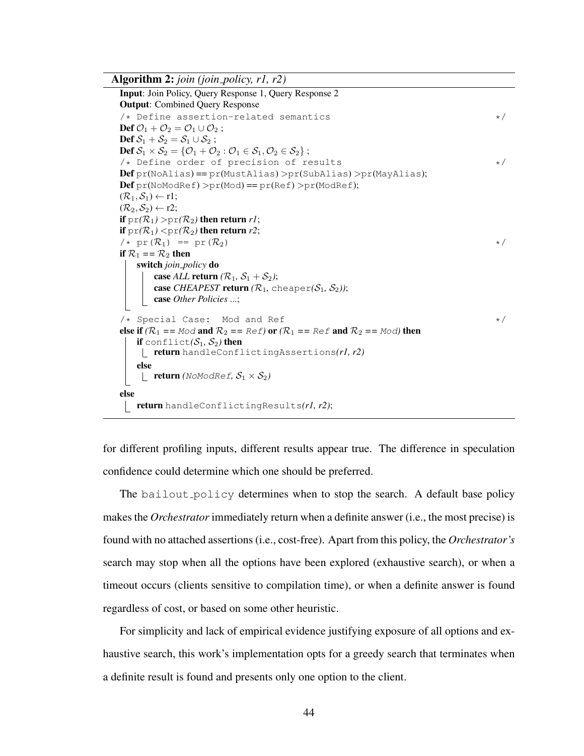Algorithm 2: *join (join policy, r1, r2)*

```
Input: Join Policy, Query Response 1, Query Response 2
Output: Combined Query Response
/* Define assertion-related semantics */Def \mathcal{O}_1 + \mathcal{O}_2 = \mathcal{O}_1 \cup \mathcal{O}_2;
Def S_1 + S_2 = S_1 \cup S_2;
Def S_1 \times S_2 = \{ \mathcal{O}_1 + \mathcal{O}_2 : \mathcal{O}_1 \in S_1, \mathcal{O}_2 \in S_2 \};
/* Define order of precision of results */
\textbf{Def} pr(NoAlias) == pr(MustAlias) >pr(SubAlias) >pr(MayAlias);
Defpr(Nonoder) > pr(Mod) == pr(Ref) > pr(ModRef);(\mathcal{R}_1, \mathcal{S}_1) \leftarrow r1;(\mathcal{R}_2, \mathcal{S}_2) \leftarrow r2;if pr(\mathcal{R}_1) > pr(\mathcal{R}_2) then return r1;
if pr(\mathcal{R}_1) < pr(\mathcal{R}_2) then return r2;
\forall x \text{ pr}(\mathcal{R}_1) = \text{pr}(\mathcal{R}_2) */
if \mathcal{R}_1 == \mathcal{R}_2 then
    switch join policy do
        case ALL return (R_1, S_1 + S_2);
        case CHEAPEST return (R_1, \text{ cheaper}(S_1, S_2));
        case Other Policies ...;
/* Special Case: Mod and Ref */else if (R_1 = M \circ d and R_2 = R \circ f or (R_1 = R \circ f and R_2 = M \circ d then
    if conflict(S_1, S_2) then
     return handleConflictingAssertions(r1, r2)
    else
     \Box return (NoModRef, S_1 \times S_2)
else
 return handleConflictingResults(r1, r2);
```
<span id="page-56-0"></span>for different profiling inputs, different results appear true. The difference in speculation confidence could determine which one should be preferred.

The bailout policy determines when to stop the search. A default base policy makes the *Orchestrator* immediately return when a definite answer (i.e., the most precise) is found with no attached assertions (i.e., cost-free). Apart from this policy, the *Orchestrator's* search may stop when all the options have been explored (exhaustive search), or when a timeout occurs (clients sensitive to compilation time), or when a definite answer is found regardless of cost, or based on some other heuristic.

For simplicity and lack of empirical evidence justifying exposure of all options and exhaustive search, this work's implementation opts for a greedy search that terminates when a definite result is found and presents only one option to the client.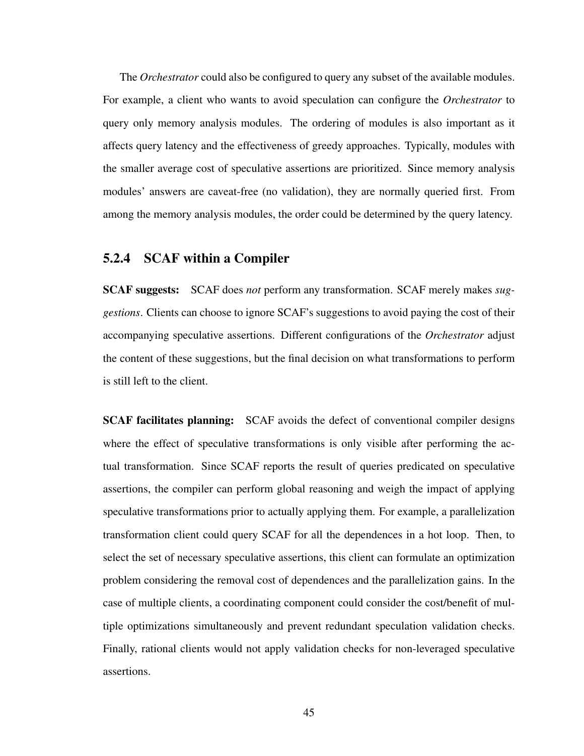The *Orchestrator* could also be configured to query any subset of the available modules. For example, a client who wants to avoid speculation can configure the *Orchestrator* to query only memory analysis modules. The ordering of modules is also important as it affects query latency and the effectiveness of greedy approaches. Typically, modules with the smaller average cost of speculative assertions are prioritized. Since memory analysis modules' answers are caveat-free (no validation), they are normally queried first. From among the memory analysis modules, the order could be determined by the query latency.

### 5.2.4 SCAF within a Compiler

SCAF suggests: SCAF does *not* perform any transformation. SCAF merely makes *suggestions*. Clients can choose to ignore SCAF's suggestions to avoid paying the cost of their accompanying speculative assertions. Different configurations of the *Orchestrator* adjust the content of these suggestions, but the final decision on what transformations to perform is still left to the client.

SCAF facilitates planning: SCAF avoids the defect of conventional compiler designs where the effect of speculative transformations is only visible after performing the actual transformation. Since SCAF reports the result of queries predicated on speculative assertions, the compiler can perform global reasoning and weigh the impact of applying speculative transformations prior to actually applying them. For example, a parallelization transformation client could query SCAF for all the dependences in a hot loop. Then, to select the set of necessary speculative assertions, this client can formulate an optimization problem considering the removal cost of dependences and the parallelization gains. In the case of multiple clients, a coordinating component could consider the cost/benefit of multiple optimizations simultaneously and prevent redundant speculation validation checks. Finally, rational clients would not apply validation checks for non-leveraged speculative assertions.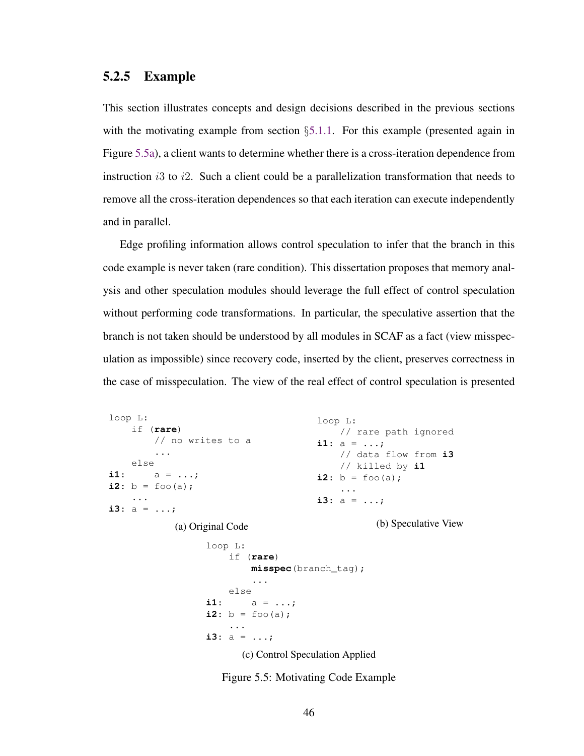#### <span id="page-58-0"></span>5.2.5 Example

This section illustrates concepts and design decisions described in the previous sections with the motivating example from section §[5.1.1.](#page-48-0) For this example (presented again in Figure [5.5a\)](#page-58-1), a client wants to determine whether there is a cross-iteration dependence from instruction is to i.e. Such a client could be a parallelization transformation that needs to remove all the cross-iteration dependences so that each iteration can execute independently and in parallel.

Edge profiling information allows control speculation to infer that the branch in this code example is never taken (rare condition). This dissertation proposes that memory analysis and other speculation modules should leverage the full effect of control speculation without performing code transformations. In particular, the speculative assertion that the branch is not taken should be understood by all modules in SCAF as a fact (view misspeculation as impossible) since recovery code, inserted by the client, preserves correctness in the case of misspeculation. The view of the real effect of control speculation is presented

```
loop L:
    if (rare)
         // no writes to a
         ...
    else
i1: a = ...;
i2: b = f \circ \circ (a);
    ...
i3: a = ...;(a) Original Code
                                          loop L:
                                             // rare path ignored
                                          i1: a = ...;
                                              // data flow from i3
                                              // killed by i1
                                          i2: b = f \circ (a);
                                              ...
                                          i3: a = ...;
                                                      (b) Speculative View
                   loop L:
                        if (rare)
                            misspec(branch_tag);
                            ...
                        else
                   i1: a = ...;
                   i2: b = f \circ \circ (a);
                        ...
                   i3: a = ...;(c) Control Speculation Applied
```
Figure 5.5: Motivating Code Example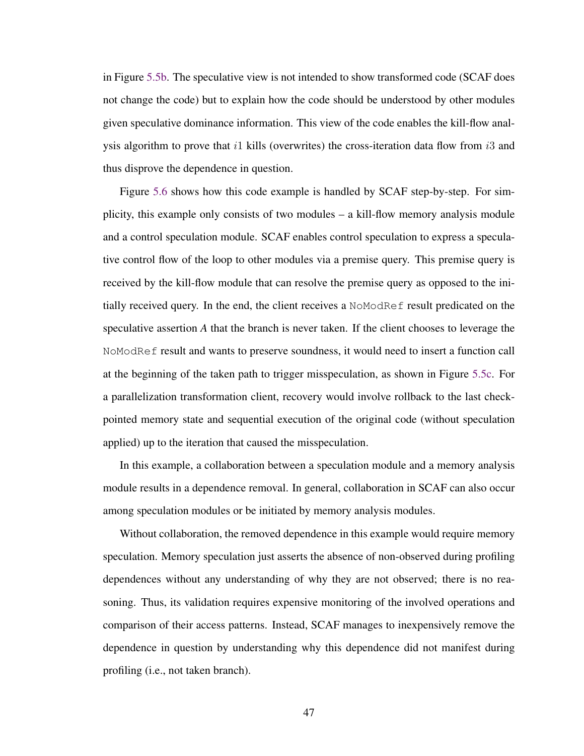in Figure [5.5b.](#page-58-1) The speculative view is not intended to show transformed code (SCAF does not change the code) but to explain how the code should be understood by other modules given speculative dominance information. This view of the code enables the kill-flow analysis algorithm to prove that i1 kills (overwrites) the cross-iteration data flow from i3 and thus disprove the dependence in question.

Figure [5.6](#page-60-0) shows how this code example is handled by SCAF step-by-step. For simplicity, this example only consists of two modules – a kill-flow memory analysis module and a control speculation module. SCAF enables control speculation to express a speculative control flow of the loop to other modules via a premise query. This premise query is received by the kill-flow module that can resolve the premise query as opposed to the initially received query. In the end, the client receives a NoModRef result predicated on the speculative assertion *A* that the branch is never taken. If the client chooses to leverage the NoModRef result and wants to preserve soundness, it would need to insert a function call at the beginning of the taken path to trigger misspeculation, as shown in Figure [5.5c.](#page-58-1) For a parallelization transformation client, recovery would involve rollback to the last checkpointed memory state and sequential execution of the original code (without speculation applied) up to the iteration that caused the misspeculation.

In this example, a collaboration between a speculation module and a memory analysis module results in a dependence removal. In general, collaboration in SCAF can also occur among speculation modules or be initiated by memory analysis modules.

Without collaboration, the removed dependence in this example would require memory speculation. Memory speculation just asserts the absence of non-observed during profiling dependences without any understanding of why they are not observed; there is no reasoning. Thus, its validation requires expensive monitoring of the involved operations and comparison of their access patterns. Instead, SCAF manages to inexpensively remove the dependence in question by understanding why this dependence did not manifest during profiling (i.e., not taken branch).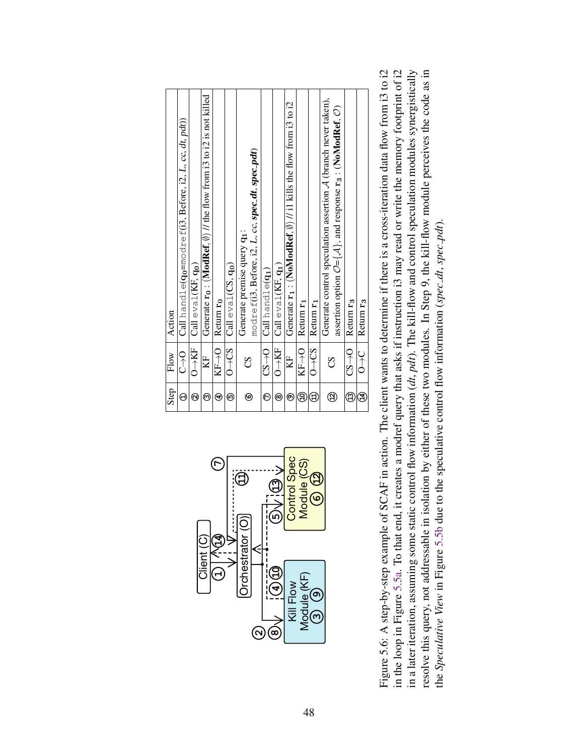<span id="page-60-0"></span>

Figure 5.6: A step-by-step example of SCAF in action. The client wants to determine if there is a cross-iteration data flow from i3 to i2 in the loop in Figure 5.5a. To that end, it creates a modref query that asks if instruction i3 may read or write the memory footprint of i2 in a later iteration, assuming some static control flow information (dt, pdt). The kill-flow and control speculation modules synergistically resolve this query, not addressable in isolation by either of these two modules. In Step 9, the kill-flow module perceives the code as in Figure 5.6: A step-by-step example of SCAF in action. The client wants to determine if there is a cross-iteration data flow from i3 to i2 in the loop in Figure [5.5a.](#page-58-1) To that end, it creates a modref query that asks if instruction i3 may read or write the memory footprint of i2 resolve this query, not addressable in isolation by either of these two modules. In Step 9, the kill-flow module perceives the code as in in a later iteration, assuming some static control flow information (*dt*, *pdt*). The kill-flow and control speculation modules synergistically the *Speculative View* in Figure [5.5b](#page-58-1) due to the speculative control flow information (*spec dt*, *spec pdt*). the Speculative View in Figure 5.5b due to the speculative control flow information (spec.dt, spec.pdt)

<u>ო</u>

**9**

Kill Flow Module (KF)

 $\alpha$ ) (ထ

**4**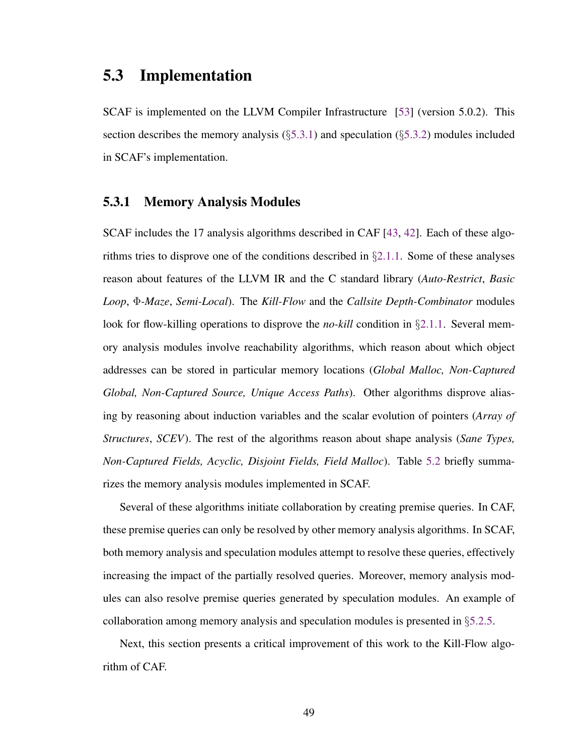## 5.3 Implementation

SCAF is implemented on the LLVM Compiler Infrastructure [\[53\]](#page-117-0) (version 5.0.2). This section describes the memory analysis ( $\S5.3.1$ ) and speculation ( $\S5.3.2$ ) modules included in SCAF's implementation.

#### <span id="page-61-0"></span>5.3.1 Memory Analysis Modules

SCAF includes the 17 analysis algorithms described in CAF [\[43,](#page-115-1) [42\]](#page-115-2). Each of these algorithms tries to disprove one of the conditions described in  $\S 2.1.1$ . Some of these analyses reason about features of the LLVM IR and the C standard library (*Auto-Restrict*, *Basic Loop*, Φ*-Maze*, *Semi-Local*). The *Kill-Flow* and the *Callsite Depth-Combinator* modules look for flow-killing operations to disprove the *no-kill* condition in §[2.1.1.](#page-20-0) Several memory analysis modules involve reachability algorithms, which reason about which object addresses can be stored in particular memory locations (*Global Malloc, Non-Captured Global, Non-Captured Source, Unique Access Paths*). Other algorithms disprove aliasing by reasoning about induction variables and the scalar evolution of pointers (*Array of Structures*, *SCEV*). The rest of the algorithms reason about shape analysis (*Sane Types, Non-Captured Fields, Acyclic, Disjoint Fields, Field Malloc*). Table [5.2](#page-62-0) briefly summarizes the memory analysis modules implemented in SCAF.

Several of these algorithms initiate collaboration by creating premise queries. In CAF, these premise queries can only be resolved by other memory analysis algorithms. In SCAF, both memory analysis and speculation modules attempt to resolve these queries, effectively increasing the impact of the partially resolved queries. Moreover, memory analysis modules can also resolve premise queries generated by speculation modules. An example of collaboration among memory analysis and speculation modules is presented in §[5.2.5.](#page-58-0)

Next, this section presents a critical improvement of this work to the Kill-Flow algorithm of CAF.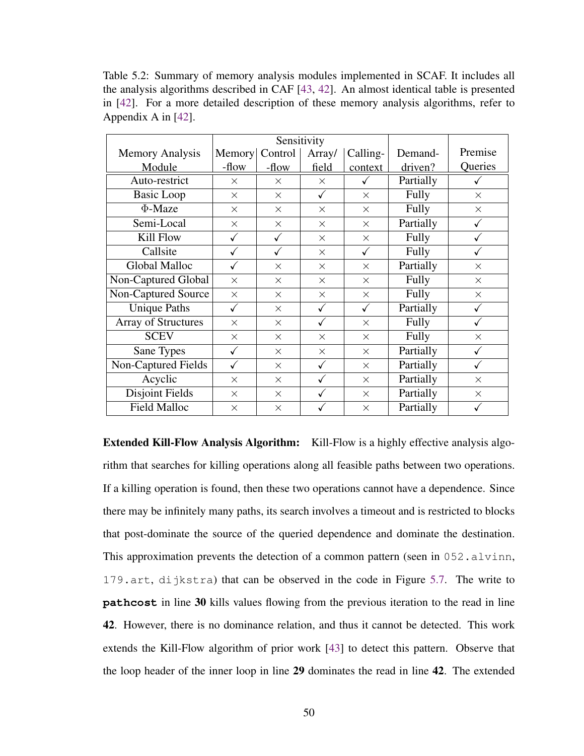<span id="page-62-0"></span>Table 5.2: Summary of memory analysis modules implemented in SCAF. It includes all the analysis algorithms described in CAF [\[43,](#page-115-1) [42\]](#page-115-2). An almost identical table is presented in [\[42\]](#page-115-2). For a more detailed description of these memory analysis algorithms, refer to Appendix A in [\[42\]](#page-115-2).

|                            |          |          | Sensitivity |          |              |          |
|----------------------------|----------|----------|-------------|----------|--------------|----------|
| <b>Memory Analysis</b>     | Memory   | Control  | Array/      | Calling- | Demand-      | Premise  |
| Module                     | -flow    | -flow    | field       | context  | driven?      | Queries  |
| Auto-restrict              | $\times$ | $\times$ | $\times$    | ✓        | Partially    |          |
| <b>Basic Loop</b>          | $\times$ | $\times$ | ✓           | $\times$ | Fully        | $\times$ |
| $\Phi$ -Maze               | $\times$ | $\times$ | $\times$    | $\times$ | <b>Fully</b> | $\times$ |
| Semi-Local                 | $\times$ | $\times$ | $\times$    | $\times$ | Partially    |          |
| Kill Flow                  |          | ✓        | $\times$    | $\times$ | Fully        |          |
| Callsite                   |          |          | $\times$    | ✓        | Fully        |          |
| Global Malloc              |          | $\times$ | $\times$    | $\times$ | Partially    | $\times$ |
| Non-Captured Global        | $\times$ | $\times$ | $\times$    | $\times$ | Fully        | $\times$ |
| <b>Non-Captured Source</b> | $\times$ | $\times$ | $\times$    | $\times$ | Fully        | $\times$ |
| <b>Unique Paths</b>        |          | $\times$ | ✓           | ✓        | Partially    |          |
| <b>Array of Structures</b> | $\times$ | $\times$ |             | $\times$ | Fully        |          |
| <b>SCEV</b>                | $\times$ | $\times$ | $\times$    | $\times$ | Fully        | $\times$ |
| Sane Types                 | ✓        | $\times$ | $\times$    | $\times$ | Partially    |          |
| Non-Captured Fields        |          | $\times$ | ✓           | $\times$ | Partially    |          |
| Acyclic                    | $\times$ | $\times$ | ✓           | $\times$ | Partially    | $\times$ |
| Disjoint Fields            | $\times$ | $\times$ | ✓           | $\times$ | Partially    | $\times$ |
| <b>Field Malloc</b>        | $\times$ | X        |             | $\times$ | Partially    |          |

Extended Kill-Flow Analysis Algorithm: Kill-Flow is a highly effective analysis algorithm that searches for killing operations along all feasible paths between two operations. If a killing operation is found, then these two operations cannot have a dependence. Since there may be infinitely many paths, its search involves a timeout and is restricted to blocks that post-dominate the source of the queried dependence and dominate the destination. This approximation prevents the detection of a common pattern (seen in  $052$ , alvinn, 179.art, dijkstra) that can be observed in the code in Figure [5.7.](#page-63-2) The write to **pathcost** in line 30 kills values flowing from the previous iteration to the read in line 42. However, there is no dominance relation, and thus it cannot be detected. This work extends the Kill-Flow algorithm of prior work [\[43\]](#page-115-1) to detect this pattern. Observe that the loop header of the inner loop in line 29 dominates the read in line 42. The extended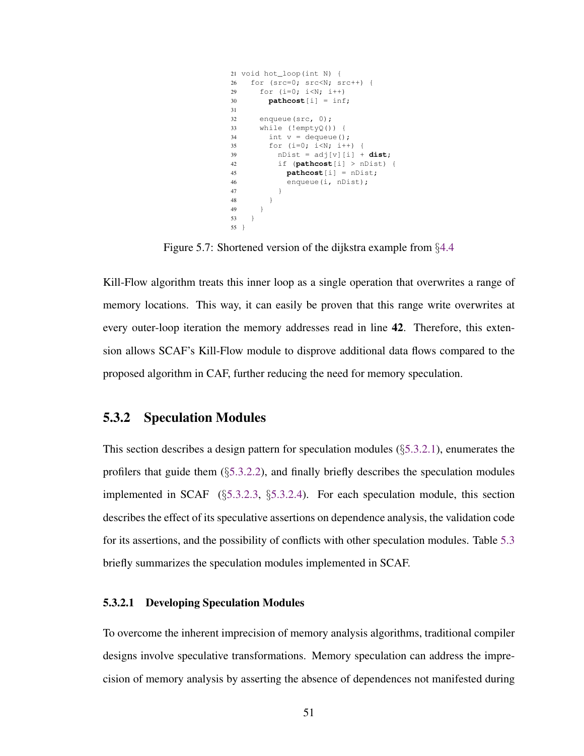```
21 void hot_loop(int N) {
26 for (src=0; src<N; src++) {
29 for (i=0; i<N; i++)
30 pathcost[i] = inf;
31
32 enqueue(src, 0);
33 while (!emptyQ()) {
34 int v = dequeue();
35 for (i=0; i<N; i++) {
39 nDist = adj[v][i] + dist;42 if (pathcost[i] > nDist) {
45 pathcost[i] = nDist;
46 enqueue(i, nDist);
47 }
\begin{array}{ccc} 48 & \hspace{15mm} & \end{array} \qquad \qquad \}49 }
53 }
55 }
```
Figure 5.7: Shortened version of the dijkstra example from §[4.4](#page-40-1)

Kill-Flow algorithm treats this inner loop as a single operation that overwrites a range of memory locations. This way, it can easily be proven that this range write overwrites at every outer-loop iteration the memory addresses read in line 42. Therefore, this extension allows SCAF's Kill-Flow module to disprove additional data flows compared to the proposed algorithm in CAF, further reducing the need for memory speculation.

#### <span id="page-63-1"></span>5.3.2 Speculation Modules

This section describes a design pattern for speculation modules (§[5.3.2.1\)](#page-63-0), enumerates the profilers that guide them (§[5.3.2.2\)](#page-66-1), and finally briefly describes the speculation modules implemented in SCAF (§[5.3.2.3,](#page-66-0) §[5.3.2.4\)](#page-68-0). For each speculation module, this section describes the effect of its speculative assertions on dependence analysis, the validation code for its assertions, and the possibility of conflicts with other speculation modules. Table [5.3](#page-67-0) briefly summarizes the speculation modules implemented in SCAF.

#### <span id="page-63-0"></span>5.3.2.1 Developing Speculation Modules

To overcome the inherent imprecision of memory analysis algorithms, traditional compiler designs involve speculative transformations. Memory speculation can address the imprecision of memory analysis by asserting the absence of dependences not manifested during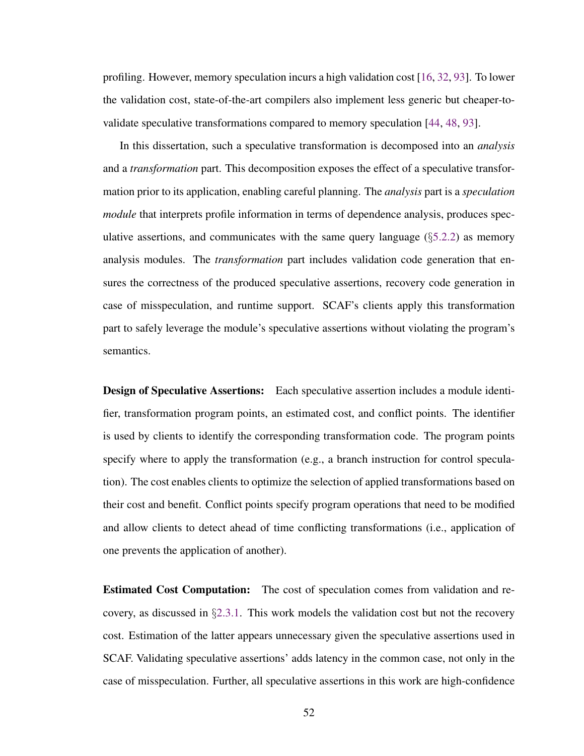profiling. However, memory speculation incurs a high validation cost [\[16,](#page-110-0) [32,](#page-113-1) [93\]](#page-123-1). To lower the validation cost, state-of-the-art compilers also implement less generic but cheaper-tovalidate speculative transformations compared to memory speculation [\[44,](#page-115-0) [48,](#page-116-0) [93\]](#page-123-1).

In this dissertation, such a speculative transformation is decomposed into an *analysis* and a *transformation* part. This decomposition exposes the effect of a speculative transformation prior to its application, enabling careful planning. The *analysis* part is a *speculation module* that interprets profile information in terms of dependence analysis, produces speculative assertions, and communicates with the same query language  $(\S$ [5.2.2\)](#page-50-1) as memory analysis modules. The *transformation* part includes validation code generation that ensures the correctness of the produced speculative assertions, recovery code generation in case of misspeculation, and runtime support. SCAF's clients apply this transformation part to safely leverage the module's speculative assertions without violating the program's semantics.

**Design of Speculative Assertions:** Each speculative assertion includes a module identifier, transformation program points, an estimated cost, and conflict points. The identifier is used by clients to identify the corresponding transformation code. The program points specify where to apply the transformation (e.g., a branch instruction for control speculation). The cost enables clients to optimize the selection of applied transformations based on their cost and benefit. Conflict points specify program operations that need to be modified and allow clients to detect ahead of time conflicting transformations (i.e., application of one prevents the application of another).

Estimated Cost Computation: The cost of speculation comes from validation and recovery, as discussed in §[2.3.1.](#page-24-0) This work models the validation cost but not the recovery cost. Estimation of the latter appears unnecessary given the speculative assertions used in SCAF. Validating speculative assertions' adds latency in the common case, not only in the case of misspeculation. Further, all speculative assertions in this work are high-confidence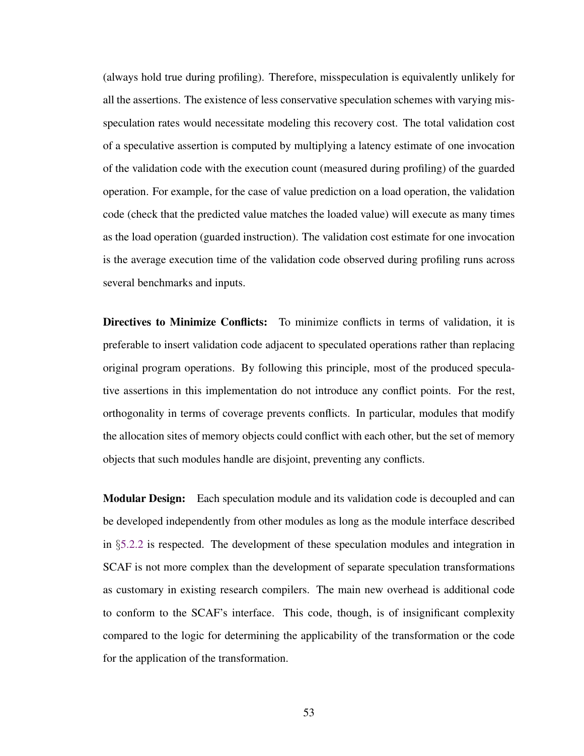(always hold true during profiling). Therefore, misspeculation is equivalently unlikely for all the assertions. The existence of less conservative speculation schemes with varying misspeculation rates would necessitate modeling this recovery cost. The total validation cost of a speculative assertion is computed by multiplying a latency estimate of one invocation of the validation code with the execution count (measured during profiling) of the guarded operation. For example, for the case of value prediction on a load operation, the validation code (check that the predicted value matches the loaded value) will execute as many times as the load operation (guarded instruction). The validation cost estimate for one invocation is the average execution time of the validation code observed during profiling runs across several benchmarks and inputs.

Directives to Minimize Conflicts: To minimize conflicts in terms of validation, it is preferable to insert validation code adjacent to speculated operations rather than replacing original program operations. By following this principle, most of the produced speculative assertions in this implementation do not introduce any conflict points. For the rest, orthogonality in terms of coverage prevents conflicts. In particular, modules that modify the allocation sites of memory objects could conflict with each other, but the set of memory objects that such modules handle are disjoint, preventing any conflicts.

**Modular Design:** Each speculation module and its validation code is decoupled and can be developed independently from other modules as long as the module interface described in §[5.2.2](#page-50-1) is respected. The development of these speculation modules and integration in SCAF is not more complex than the development of separate speculation transformations as customary in existing research compilers. The main new overhead is additional code to conform to the SCAF's interface. This code, though, is of insignificant complexity compared to the logic for determining the applicability of the transformation or the code for the application of the transformation.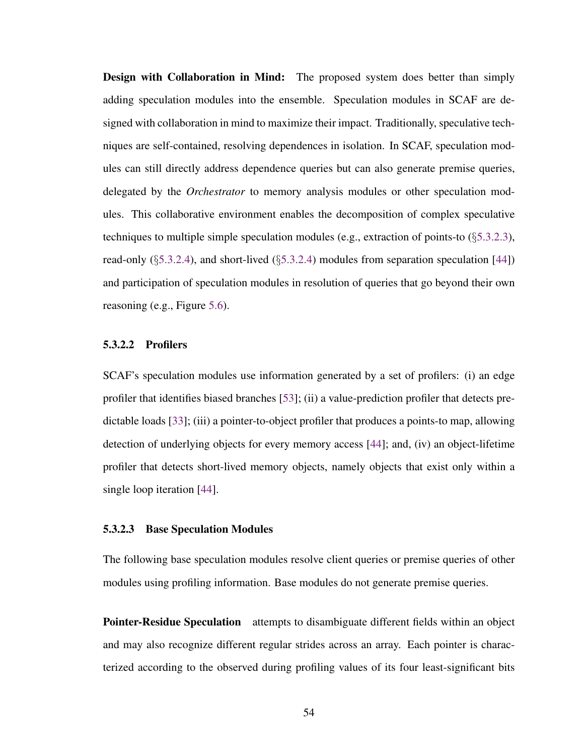**Design with Collaboration in Mind:** The proposed system does better than simply adding speculation modules into the ensemble. Speculation modules in SCAF are designed with collaboration in mind to maximize their impact. Traditionally, speculative techniques are self-contained, resolving dependences in isolation. In SCAF, speculation modules can still directly address dependence queries but can also generate premise queries, delegated by the *Orchestrator* to memory analysis modules or other speculation modules. This collaborative environment enables the decomposition of complex speculative techniques to multiple simple speculation modules (e.g., extraction of points-to  $(\S 5.3.2.3)$  $(\S 5.3.2.3)$ , read-only  $(\S 5.3.2.4)$  $(\S 5.3.2.4)$ , and short-lived  $(\S 5.3.2.4)$  modules from separation speculation [\[44\]](#page-115-0)) and participation of speculation modules in resolution of queries that go beyond their own reasoning (e.g., Figure [5.6\)](#page-60-0).

#### <span id="page-66-1"></span>5.3.2.2 Profilers

SCAF's speculation modules use information generated by a set of profilers: (i) an edge profiler that identifies biased branches [\[53\]](#page-117-0); (ii) a value-prediction profiler that detects predictable loads [\[33\]](#page-113-2); (iii) a pointer-to-object profiler that produces a points-to map, allowing detection of underlying objects for every memory access [\[44\]](#page-115-0); and, (iv) an object-lifetime profiler that detects short-lived memory objects, namely objects that exist only within a single loop iteration [\[44\]](#page-115-0).

#### <span id="page-66-0"></span>5.3.2.3 Base Speculation Modules

The following base speculation modules resolve client queries or premise queries of other modules using profiling information. Base modules do not generate premise queries.

**Pointer-Residue Speculation** attempts to disambiguate different fields within an object and may also recognize different regular strides across an array. Each pointer is characterized according to the observed during profiling values of its four least-significant bits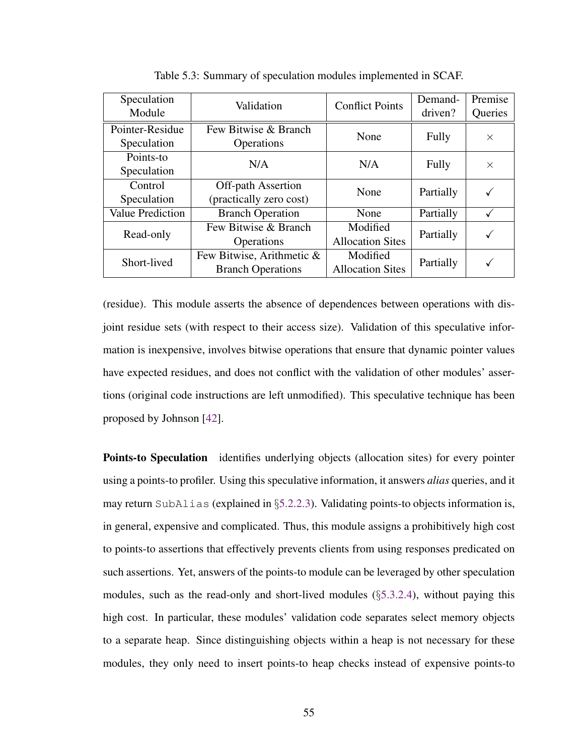<span id="page-67-0"></span>

| Speculation<br>Module          | Validation                                            | <b>Conflict Points</b>              | Demand-<br>driven? | Premise<br>Queries |
|--------------------------------|-------------------------------------------------------|-------------------------------------|--------------------|--------------------|
| Pointer-Residue<br>Speculation | Few Bitwise & Branch<br>Operations                    | None                                | Fully              | $\times$           |
| Points-to<br>Speculation       | N/A                                                   | N/A                                 | Fully              | $\times$           |
| Control<br>Speculation         | <b>Off-path Assertion</b><br>(practically zero cost)  | None                                | Partially          |                    |
| <b>Value Prediction</b>        | <b>Branch Operation</b>                               | None                                | Partially          |                    |
| Read-only                      | Few Bitwise & Branch<br>Operations                    | Modified<br><b>Allocation Sites</b> | Partially          |                    |
| Short-lived                    | Few Bitwise, Arithmetic &<br><b>Branch Operations</b> | Modified<br><b>Allocation Sites</b> | Partially          |                    |

Table 5.3: Summary of speculation modules implemented in SCAF.

(residue). This module asserts the absence of dependences between operations with disjoint residue sets (with respect to their access size). Validation of this speculative information is inexpensive, involves bitwise operations that ensure that dynamic pointer values have expected residues, and does not conflict with the validation of other modules' assertions (original code instructions are left unmodified). This speculative technique has been proposed by Johnson [\[42\]](#page-115-2).

**Points-to Speculation** identifies underlying objects (allocation sites) for every pointer using a points-to profiler. Using this speculative information, it answers *alias* queries, and it may return SubAlias (explained in §[5.2.2.3\)](#page-53-0). Validating points-to objects information is, in general, expensive and complicated. Thus, this module assigns a prohibitively high cost to points-to assertions that effectively prevents clients from using responses predicated on such assertions. Yet, answers of the points-to module can be leveraged by other speculation modules, such as the read-only and short-lived modules (§[5.3.2.4\)](#page-68-0), without paying this high cost. In particular, these modules' validation code separates select memory objects to a separate heap. Since distinguishing objects within a heap is not necessary for these modules, they only need to insert points-to heap checks instead of expensive points-to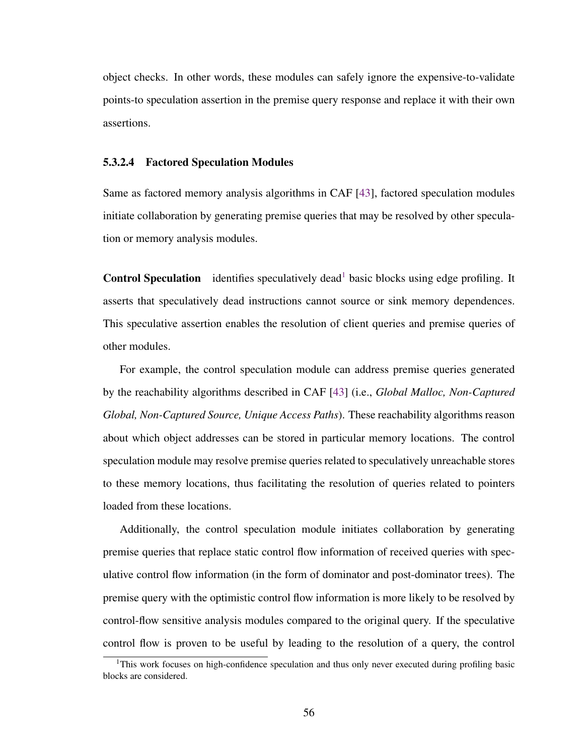object checks. In other words, these modules can safely ignore the expensive-to-validate points-to speculation assertion in the premise query response and replace it with their own assertions.

#### <span id="page-68-0"></span>5.3.2.4 Factored Speculation Modules

Same as factored memory analysis algorithms in CAF [\[43\]](#page-115-1), factored speculation modules initiate collaboration by generating premise queries that may be resolved by other speculation or memory analysis modules.

**Control Speculation** identifies speculatively dead<sup>[1](#page-68-1)</sup> basic blocks using edge profiling. It asserts that speculatively dead instructions cannot source or sink memory dependences. This speculative assertion enables the resolution of client queries and premise queries of other modules.

For example, the control speculation module can address premise queries generated by the reachability algorithms described in CAF [\[43\]](#page-115-1) (i.e., *Global Malloc, Non-Captured Global, Non-Captured Source, Unique Access Paths*). These reachability algorithms reason about which object addresses can be stored in particular memory locations. The control speculation module may resolve premise queries related to speculatively unreachable stores to these memory locations, thus facilitating the resolution of queries related to pointers loaded from these locations.

Additionally, the control speculation module initiates collaboration by generating premise queries that replace static control flow information of received queries with speculative control flow information (in the form of dominator and post-dominator trees). The premise query with the optimistic control flow information is more likely to be resolved by control-flow sensitive analysis modules compared to the original query. If the speculative control flow is proven to be useful by leading to the resolution of a query, the control

<span id="page-68-1"></span><sup>&</sup>lt;sup>1</sup>This work focuses on high-confidence speculation and thus only never executed during profiling basic blocks are considered.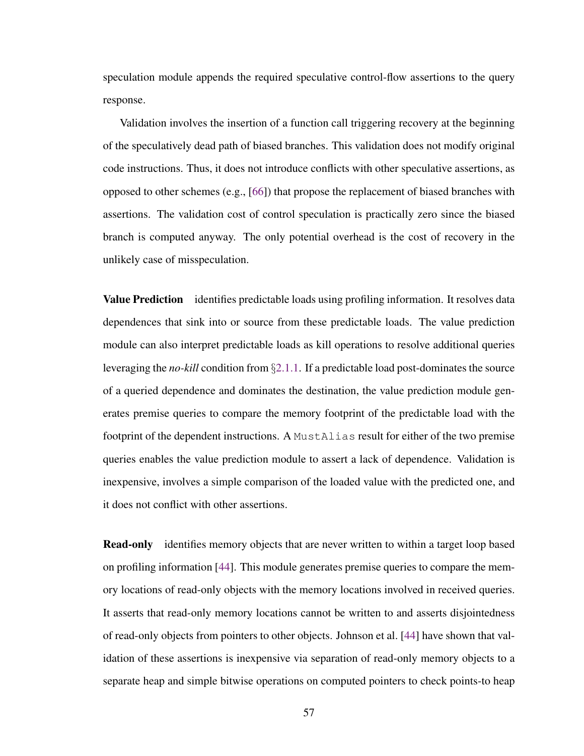speculation module appends the required speculative control-flow assertions to the query response.

Validation involves the insertion of a function call triggering recovery at the beginning of the speculatively dead path of biased branches. This validation does not modify original code instructions. Thus, it does not introduce conflicts with other speculative assertions, as opposed to other schemes (e.g., [\[66\]](#page-119-0)) that propose the replacement of biased branches with assertions. The validation cost of control speculation is practically zero since the biased branch is computed anyway. The only potential overhead is the cost of recovery in the unlikely case of misspeculation.

Value Prediction identifies predictable loads using profiling information. It resolves data dependences that sink into or source from these predictable loads. The value prediction module can also interpret predictable loads as kill operations to resolve additional queries leveraging the *no-kill* condition from §[2.1.1.](#page-20-0) If a predictable load post-dominates the source of a queried dependence and dominates the destination, the value prediction module generates premise queries to compare the memory footprint of the predictable load with the footprint of the dependent instructions. A MustAlias result for either of the two premise queries enables the value prediction module to assert a lack of dependence. Validation is inexpensive, involves a simple comparison of the loaded value with the predicted one, and it does not conflict with other assertions.

**Read-only** identifies memory objects that are never written to within a target loop based on profiling information [\[44\]](#page-115-0). This module generates premise queries to compare the memory locations of read-only objects with the memory locations involved in received queries. It asserts that read-only memory locations cannot be written to and asserts disjointedness of read-only objects from pointers to other objects. Johnson et al. [\[44\]](#page-115-0) have shown that validation of these assertions is inexpensive via separation of read-only memory objects to a separate heap and simple bitwise operations on computed pointers to check points-to heap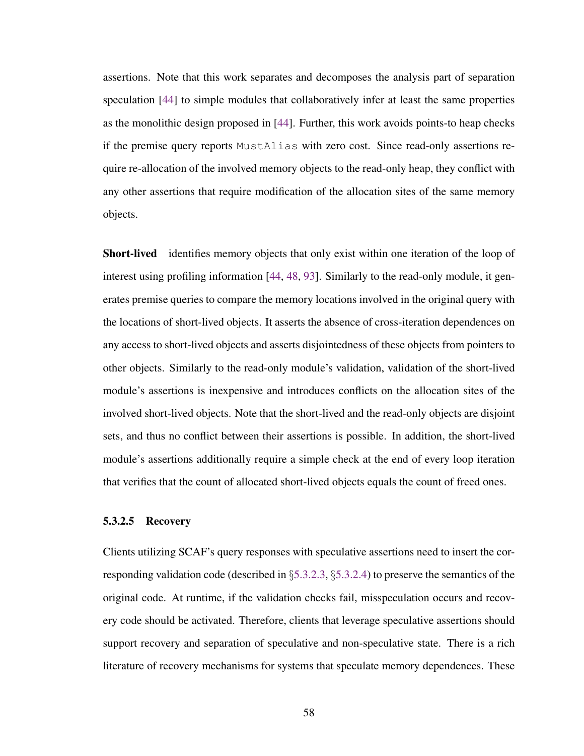assertions. Note that this work separates and decomposes the analysis part of separation speculation [\[44\]](#page-115-0) to simple modules that collaboratively infer at least the same properties as the monolithic design proposed in [\[44\]](#page-115-0). Further, this work avoids points-to heap checks if the premise query reports MustAlias with zero cost. Since read-only assertions require re-allocation of the involved memory objects to the read-only heap, they conflict with any other assertions that require modification of the allocation sites of the same memory objects.

Short-lived identifies memory objects that only exist within one iteration of the loop of interest using profiling information [\[44,](#page-115-0) [48,](#page-116-0) [93\]](#page-123-1). Similarly to the read-only module, it generates premise queries to compare the memory locations involved in the original query with the locations of short-lived objects. It asserts the absence of cross-iteration dependences on any access to short-lived objects and asserts disjointedness of these objects from pointers to other objects. Similarly to the read-only module's validation, validation of the short-lived module's assertions is inexpensive and introduces conflicts on the allocation sites of the involved short-lived objects. Note that the short-lived and the read-only objects are disjoint sets, and thus no conflict between their assertions is possible. In addition, the short-lived module's assertions additionally require a simple check at the end of every loop iteration that verifies that the count of allocated short-lived objects equals the count of freed ones.

#### 5.3.2.5 Recovery

Clients utilizing SCAF's query responses with speculative assertions need to insert the corresponding validation code (described in §[5.3.2.3,](#page-66-0) §[5.3.2.4\)](#page-68-0) to preserve the semantics of the original code. At runtime, if the validation checks fail, misspeculation occurs and recovery code should be activated. Therefore, clients that leverage speculative assertions should support recovery and separation of speculative and non-speculative state. There is a rich literature of recovery mechanisms for systems that speculate memory dependences. These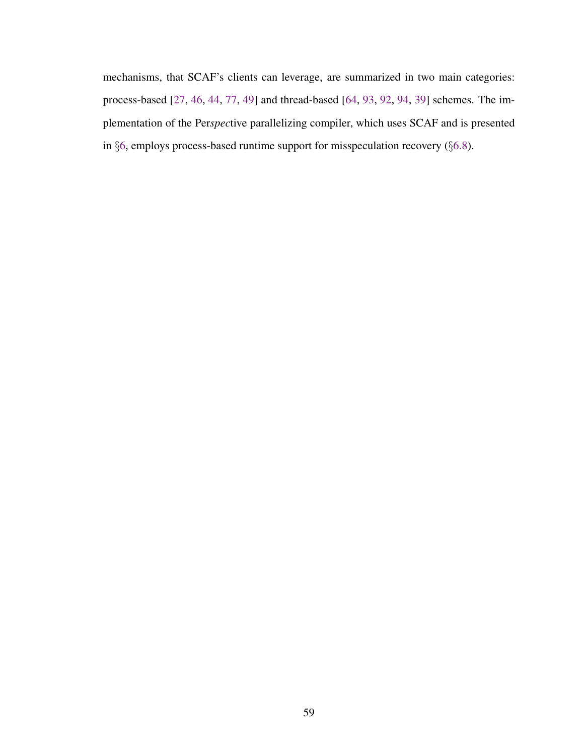mechanisms, that SCAF's clients can leverage, are summarized in two main categories: process-based [\[27,](#page-112-1) [46,](#page-116-1) [44,](#page-115-0) [77,](#page-120-0) [49\]](#page-116-2) and thread-based [\[64,](#page-118-0) [93,](#page-123-1) [92,](#page-123-2) [94,](#page-123-3) [39\]](#page-114-1) schemes. The implementation of the Per*spec*tive parallelizing compiler, which uses SCAF and is presented in §[6,](#page-72-0) employs process-based runtime support for misspeculation recovery (§[6.8\)](#page-81-0).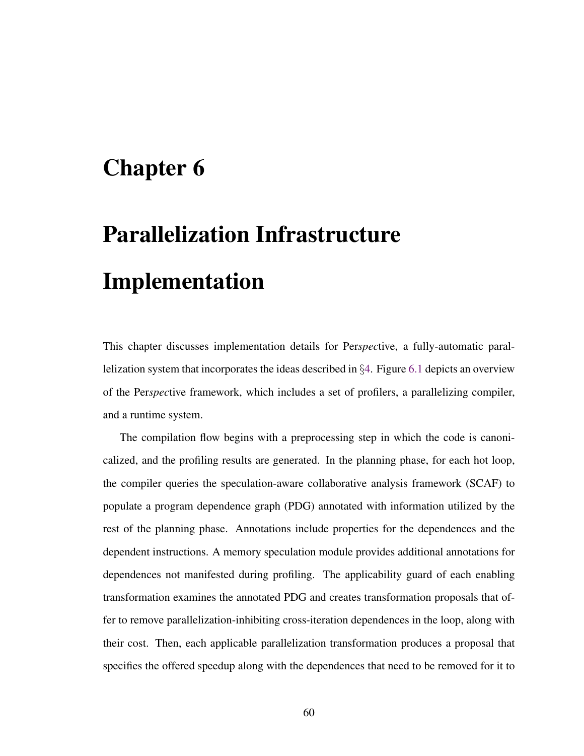# Chapter 6

# Parallelization Infrastructure Implementation

This chapter discusses implementation details for Per*spec*tive, a fully-automatic parallelization system that incorporates the ideas described in §[4.](#page-36-0) Figure [6.1](#page-73-0) depicts an overview of the Per*spec*tive framework, which includes a set of profilers, a parallelizing compiler, and a runtime system.

The compilation flow begins with a preprocessing step in which the code is canonicalized, and the profiling results are generated. In the planning phase, for each hot loop, the compiler queries the speculation-aware collaborative analysis framework (SCAF) to populate a program dependence graph (PDG) annotated with information utilized by the rest of the planning phase. Annotations include properties for the dependences and the dependent instructions. A memory speculation module provides additional annotations for dependences not manifested during profiling. The applicability guard of each enabling transformation examines the annotated PDG and creates transformation proposals that offer to remove parallelization-inhibiting cross-iteration dependences in the loop, along with their cost. Then, each applicable parallelization transformation produces a proposal that specifies the offered speedup along with the dependences that need to be removed for it to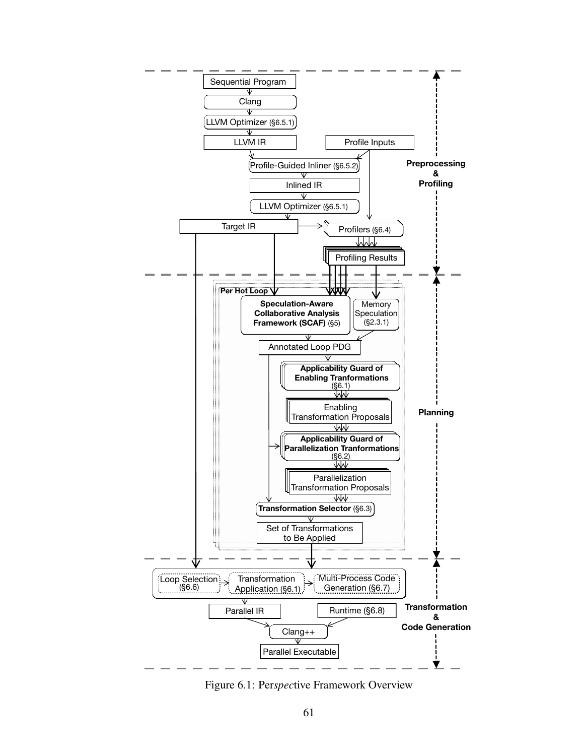<span id="page-73-0"></span>

Figure 6.1: Per*spec*tive Framework Overview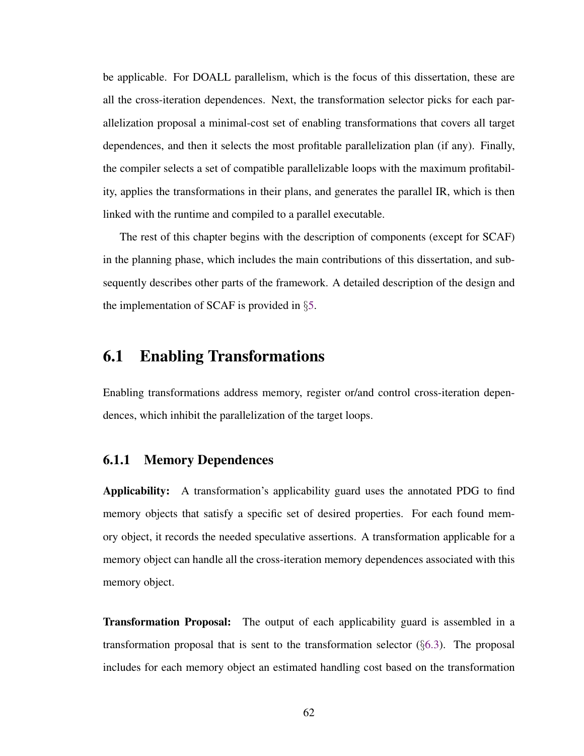be applicable. For DOALL parallelism, which is the focus of this dissertation, these are all the cross-iteration dependences. Next, the transformation selector picks for each parallelization proposal a minimal-cost set of enabling transformations that covers all target dependences, and then it selects the most profitable parallelization plan (if any). Finally, the compiler selects a set of compatible parallelizable loops with the maximum profitability, applies the transformations in their plans, and generates the parallel IR, which is then linked with the runtime and compiled to a parallel executable.

The rest of this chapter begins with the description of components (except for SCAF) in the planning phase, which includes the main contributions of this dissertation, and subsequently describes other parts of the framework. A detailed description of the design and the implementation of SCAF is provided in §[5.](#page-46-0)

### 6.1 Enabling Transformations

Enabling transformations address memory, register or/and control cross-iteration dependences, which inhibit the parallelization of the target loops.

#### <span id="page-74-0"></span>6.1.1 Memory Dependences

Applicability: A transformation's applicability guard uses the annotated PDG to find memory objects that satisfy a specific set of desired properties. For each found memory object, it records the needed speculative assertions. A transformation applicable for a memory object can handle all the cross-iteration memory dependences associated with this memory object.

**Transformation Proposal:** The output of each applicability guard is assembled in a transformation proposal that is sent to the transformation selector (§[6.3\)](#page-78-0). The proposal includes for each memory object an estimated handling cost based on the transformation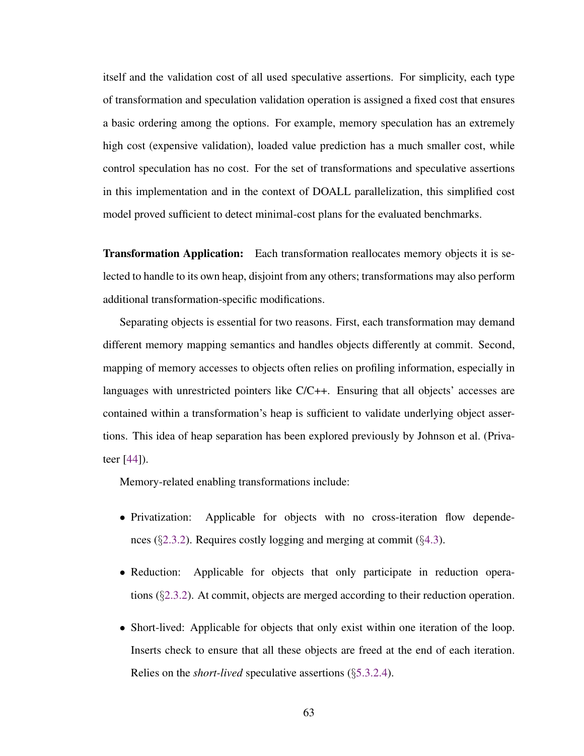itself and the validation cost of all used speculative assertions. For simplicity, each type of transformation and speculation validation operation is assigned a fixed cost that ensures a basic ordering among the options. For example, memory speculation has an extremely high cost (expensive validation), loaded value prediction has a much smaller cost, while control speculation has no cost. For the set of transformations and speculative assertions in this implementation and in the context of DOALL parallelization, this simplified cost model proved sufficient to detect minimal-cost plans for the evaluated benchmarks.

Transformation Application: Each transformation reallocates memory objects it is selected to handle to its own heap, disjoint from any others; transformations may also perform additional transformation-specific modifications.

Separating objects is essential for two reasons. First, each transformation may demand different memory mapping semantics and handles objects differently at commit. Second, mapping of memory accesses to objects often relies on profiling information, especially in languages with unrestricted pointers like C/C++. Ensuring that all objects' accesses are contained within a transformation's heap is sufficient to validate underlying object assertions. This idea of heap separation has been explored previously by Johnson et al. (Privateer [\[44\]](#page-115-0)).

Memory-related enabling transformations include:

- Privatization: Applicable for objects with no cross-iteration flow dependences (§[2.3.2\)](#page-27-0). Requires costly logging and merging at commit (§[4.3\)](#page-38-0).
- Reduction: Applicable for objects that only participate in reduction operations  $(\S2.3.2)$  $(\S2.3.2)$ . At commit, objects are merged according to their reduction operation.
- Short-lived: Applicable for objects that only exist within one iteration of the loop. Inserts check to ensure that all these objects are freed at the end of each iteration. Relies on the *short-lived* speculative assertions (§[5.3.2.4\)](#page-68-0).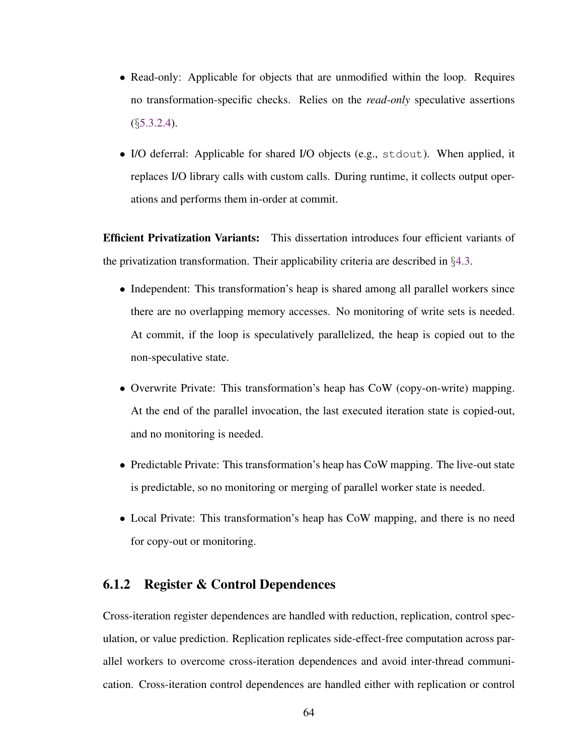- Read-only: Applicable for objects that are unmodified within the loop. Requires no transformation-specific checks. Relies on the *read-only* speculative assertions  $(S5.3.2.4)$  $(S5.3.2.4)$ .
- I/O deferral: Applicable for shared I/O objects (e.g., stdout). When applied, it replaces I/O library calls with custom calls. During runtime, it collects output operations and performs them in-order at commit.

Efficient Privatization Variants: This dissertation introduces four efficient variants of the privatization transformation. Their applicability criteria are described in  $\S 4.3$ .

- Independent: This transformation's heap is shared among all parallel workers since there are no overlapping memory accesses. No monitoring of write sets is needed. At commit, if the loop is speculatively parallelized, the heap is copied out to the non-speculative state.
- Overwrite Private: This transformation's heap has CoW (copy-on-write) mapping. At the end of the parallel invocation, the last executed iteration state is copied-out, and no monitoring is needed.
- Predictable Private: This transformation's heap has CoW mapping. The live-out state is predictable, so no monitoring or merging of parallel worker state is needed.
- Local Private: This transformation's heap has CoW mapping, and there is no need for copy-out or monitoring.

#### 6.1.2 Register & Control Dependences

Cross-iteration register dependences are handled with reduction, replication, control speculation, or value prediction. Replication replicates side-effect-free computation across parallel workers to overcome cross-iteration dependences and avoid inter-thread communication. Cross-iteration control dependences are handled either with replication or control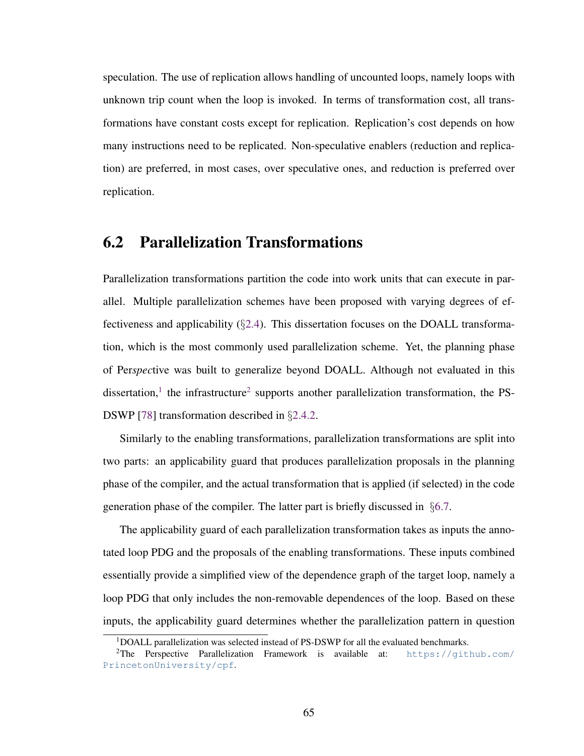speculation. The use of replication allows handling of uncounted loops, namely loops with unknown trip count when the loop is invoked. In terms of transformation cost, all transformations have constant costs except for replication. Replication's cost depends on how many instructions need to be replicated. Non-speculative enablers (reduction and replication) are preferred, in most cases, over speculative ones, and reduction is preferred over replication.

# <span id="page-77-2"></span>6.2 Parallelization Transformations

Parallelization transformations partition the code into work units that can execute in parallel. Multiple parallelization schemes have been proposed with varying degrees of effectiveness and applicability (§[2.4\)](#page-28-0). This dissertation focuses on the DOALL transformation, which is the most commonly used parallelization scheme. Yet, the planning phase of Per*spec*tive was built to generalize beyond DOALL. Although not evaluated in this dissertation,<sup>[1](#page-77-0)</sup> the infrastructure<sup>[2](#page-77-1)</sup> supports another parallelization transformation, the PS-DSWP [\[78\]](#page-121-0) transformation described in §[2.4.2.](#page-29-0)

Similarly to the enabling transformations, parallelization transformations are split into two parts: an applicability guard that produces parallelization proposals in the planning phase of the compiler, and the actual transformation that is applied (if selected) in the code generation phase of the compiler. The latter part is briefly discussed in §[6.7.](#page-81-0)

The applicability guard of each parallelization transformation takes as inputs the annotated loop PDG and the proposals of the enabling transformations. These inputs combined essentially provide a simplified view of the dependence graph of the target loop, namely a loop PDG that only includes the non-removable dependences of the loop. Based on these inputs, the applicability guard determines whether the parallelization pattern in question

<span id="page-77-1"></span><span id="page-77-0"></span> $1$ DOALL parallelization was selected instead of PS-DSWP for all the evaluated benchmarks.

<sup>&</sup>lt;sup>2</sup>The Perspective Parallelization Framework is available at: [https://github.com/](https://github.com/PrincetonUniversity/cpf) [PrincetonUniversity/cpf](https://github.com/PrincetonUniversity/cpf).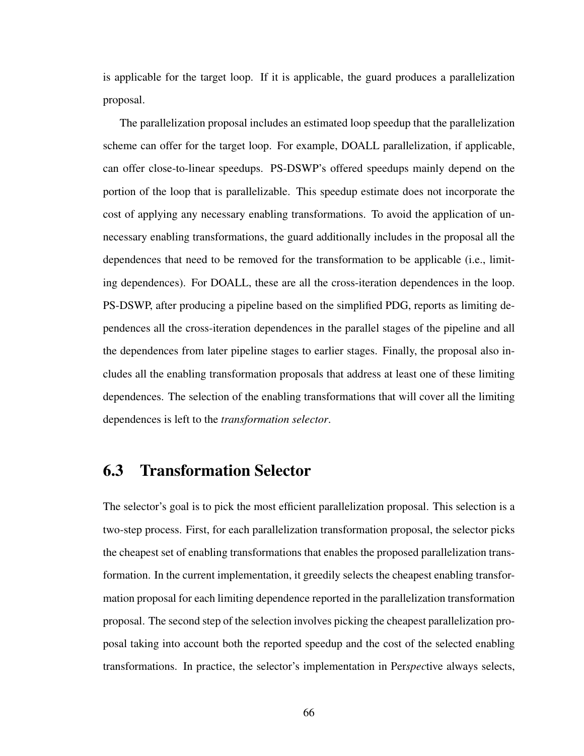is applicable for the target loop. If it is applicable, the guard produces a parallelization proposal.

The parallelization proposal includes an estimated loop speedup that the parallelization scheme can offer for the target loop. For example, DOALL parallelization, if applicable, can offer close-to-linear speedups. PS-DSWP's offered speedups mainly depend on the portion of the loop that is parallelizable. This speedup estimate does not incorporate the cost of applying any necessary enabling transformations. To avoid the application of unnecessary enabling transformations, the guard additionally includes in the proposal all the dependences that need to be removed for the transformation to be applicable (i.e., limiting dependences). For DOALL, these are all the cross-iteration dependences in the loop. PS-DSWP, after producing a pipeline based on the simplified PDG, reports as limiting dependences all the cross-iteration dependences in the parallel stages of the pipeline and all the dependences from later pipeline stages to earlier stages. Finally, the proposal also includes all the enabling transformation proposals that address at least one of these limiting dependences. The selection of the enabling transformations that will cover all the limiting dependences is left to the *transformation selector*.

# <span id="page-78-0"></span>6.3 Transformation Selector

The selector's goal is to pick the most efficient parallelization proposal. This selection is a two-step process. First, for each parallelization transformation proposal, the selector picks the cheapest set of enabling transformations that enables the proposed parallelization transformation. In the current implementation, it greedily selects the cheapest enabling transformation proposal for each limiting dependence reported in the parallelization transformation proposal. The second step of the selection involves picking the cheapest parallelization proposal taking into account both the reported speedup and the cost of the selected enabling transformations. In practice, the selector's implementation in Per*spec*tive always selects,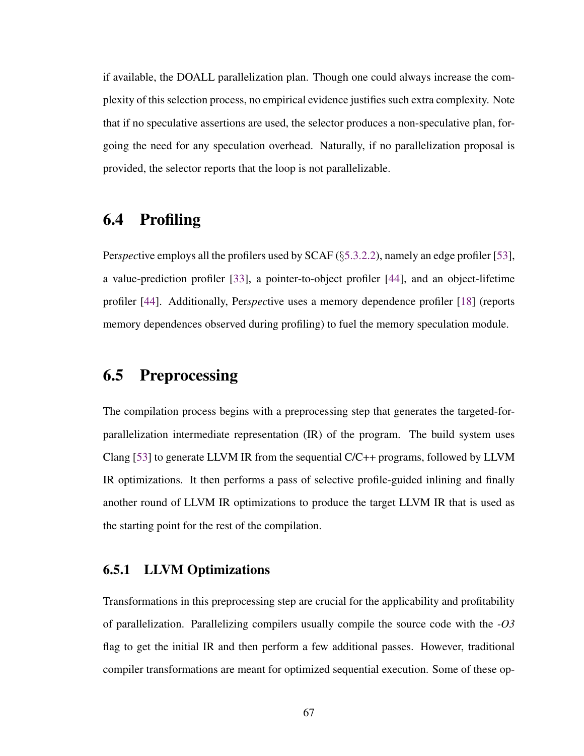if available, the DOALL parallelization plan. Though one could always increase the complexity of this selection process, no empirical evidence justifies such extra complexity. Note that if no speculative assertions are used, the selector produces a non-speculative plan, forgoing the need for any speculation overhead. Naturally, if no parallelization proposal is provided, the selector reports that the loop is not parallelizable.

# 6.4 Profiling

Per*spec*tive employs all the profilers used by SCAF (§[5.3.2.2\)](#page-66-0), namely an edge profiler [\[53\]](#page-117-0), a value-prediction profiler [\[33\]](#page-113-0), a pointer-to-object profiler [\[44\]](#page-115-0), and an object-lifetime profiler [\[44\]](#page-115-0). Additionally, Per*spec*tive uses a memory dependence profiler [\[18\]](#page-111-0) (reports memory dependences observed during profiling) to fuel the memory speculation module.

# 6.5 Preprocessing

The compilation process begins with a preprocessing step that generates the targeted-forparallelization intermediate representation (IR) of the program. The build system uses Clang [\[53\]](#page-117-0) to generate LLVM IR from the sequential  $C/C++$  programs, followed by LLVM IR optimizations. It then performs a pass of selective profile-guided inlining and finally another round of LLVM IR optimizations to produce the target LLVM IR that is used as the starting point for the rest of the compilation.

#### 6.5.1 LLVM Optimizations

Transformations in this preprocessing step are crucial for the applicability and profitability of parallelization. Parallelizing compilers usually compile the source code with the *-O3* flag to get the initial IR and then perform a few additional passes. However, traditional compiler transformations are meant for optimized sequential execution. Some of these op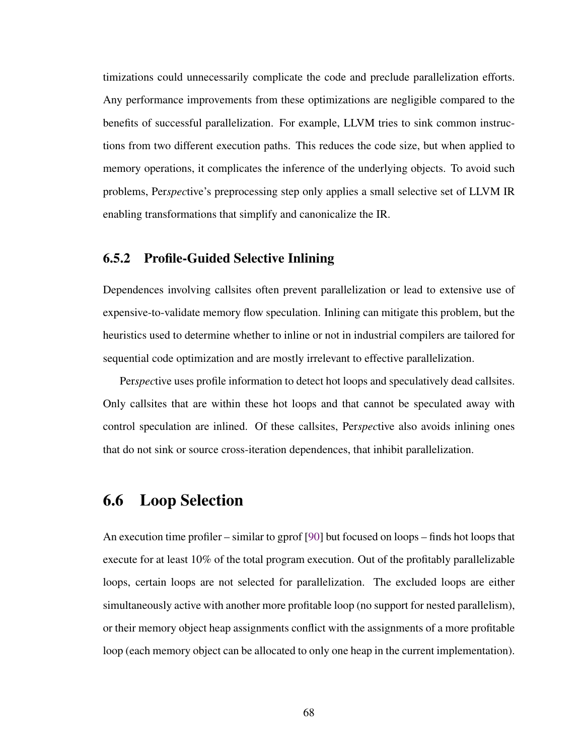timizations could unnecessarily complicate the code and preclude parallelization efforts. Any performance improvements from these optimizations are negligible compared to the benefits of successful parallelization. For example, LLVM tries to sink common instructions from two different execution paths. This reduces the code size, but when applied to memory operations, it complicates the inference of the underlying objects. To avoid such problems, Per*spec*tive's preprocessing step only applies a small selective set of LLVM IR enabling transformations that simplify and canonicalize the IR.

#### 6.5.2 Profile-Guided Selective Inlining

Dependences involving callsites often prevent parallelization or lead to extensive use of expensive-to-validate memory flow speculation. Inlining can mitigate this problem, but the heuristics used to determine whether to inline or not in industrial compilers are tailored for sequential code optimization and are mostly irrelevant to effective parallelization.

Per*spec*tive uses profile information to detect hot loops and speculatively dead callsites. Only callsites that are within these hot loops and that cannot be speculated away with control speculation are inlined. Of these callsites, Per*spec*tive also avoids inlining ones that do not sink or source cross-iteration dependences, that inhibit parallelization.

### 6.6 Loop Selection

An execution time profiler – similar to gprof [\[90\]](#page-122-0) but focused on loops – finds hot loops that execute for at least 10% of the total program execution. Out of the profitably parallelizable loops, certain loops are not selected for parallelization. The excluded loops are either simultaneously active with another more profitable loop (no support for nested parallelism), or their memory object heap assignments conflict with the assignments of a more profitable loop (each memory object can be allocated to only one heap in the current implementation).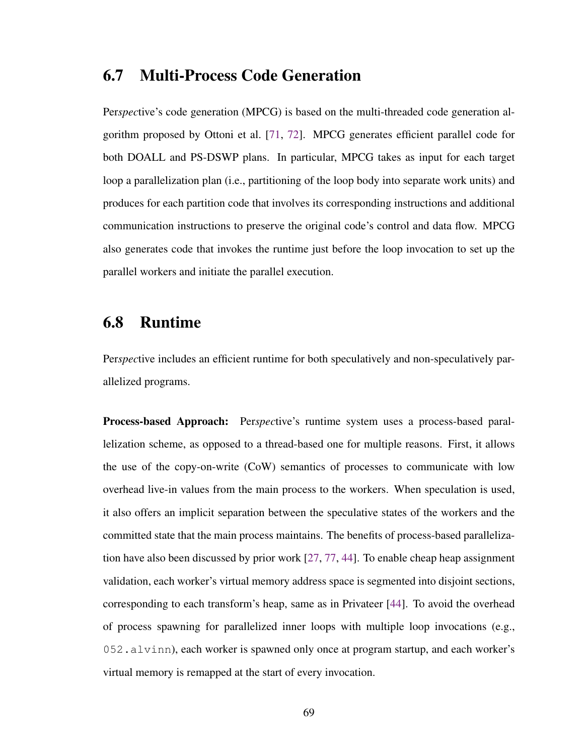### <span id="page-81-0"></span>6.7 Multi-Process Code Generation

Per*spec*tive's code generation (MPCG) is based on the multi-threaded code generation algorithm proposed by Ottoni et al. [\[71,](#page-119-0) [72\]](#page-120-0). MPCG generates efficient parallel code for both DOALL and PS-DSWP plans. In particular, MPCG takes as input for each target loop a parallelization plan (i.e., partitioning of the loop body into separate work units) and produces for each partition code that involves its corresponding instructions and additional communication instructions to preserve the original code's control and data flow. MPCG also generates code that invokes the runtime just before the loop invocation to set up the parallel workers and initiate the parallel execution.

# 6.8 Runtime

Per*spec*tive includes an efficient runtime for both speculatively and non-speculatively parallelized programs.

Process-based Approach: Per*spec*tive's runtime system uses a process-based parallelization scheme, as opposed to a thread-based one for multiple reasons. First, it allows the use of the copy-on-write (CoW) semantics of processes to communicate with low overhead live-in values from the main process to the workers. When speculation is used, it also offers an implicit separation between the speculative states of the workers and the committed state that the main process maintains. The benefits of process-based parallelization have also been discussed by prior work [\[27,](#page-112-0) [77,](#page-120-1) [44\]](#page-115-0). To enable cheap heap assignment validation, each worker's virtual memory address space is segmented into disjoint sections, corresponding to each transform's heap, same as in Privateer [\[44\]](#page-115-0). To avoid the overhead of process spawning for parallelized inner loops with multiple loop invocations (e.g., 052.alvinn), each worker is spawned only once at program startup, and each worker's virtual memory is remapped at the start of every invocation.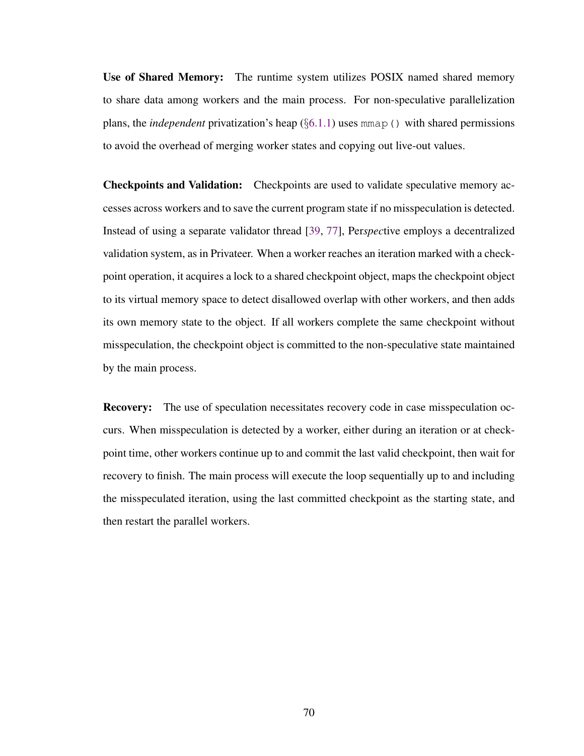Use of Shared Memory: The runtime system utilizes POSIX named shared memory to share data among workers and the main process. For non-speculative parallelization plans, the *independent* privatization's heap  $(\S6.1.1)$  $(\S6.1.1)$  uses mmap() with shared permissions to avoid the overhead of merging worker states and copying out live-out values.

Checkpoints and Validation: Checkpoints are used to validate speculative memory accesses across workers and to save the current program state if no misspeculation is detected. Instead of using a separate validator thread [\[39,](#page-114-0) [77\]](#page-120-1), Per*spec*tive employs a decentralized validation system, as in Privateer. When a worker reaches an iteration marked with a checkpoint operation, it acquires a lock to a shared checkpoint object, maps the checkpoint object to its virtual memory space to detect disallowed overlap with other workers, and then adds its own memory state to the object. If all workers complete the same checkpoint without misspeculation, the checkpoint object is committed to the non-speculative state maintained by the main process.

Recovery: The use of speculation necessitates recovery code in case misspeculation occurs. When misspeculation is detected by a worker, either during an iteration or at checkpoint time, other workers continue up to and commit the last valid checkpoint, then wait for recovery to finish. The main process will execute the loop sequentially up to and including the misspeculated iteration, using the last committed checkpoint as the starting state, and then restart the parallel workers.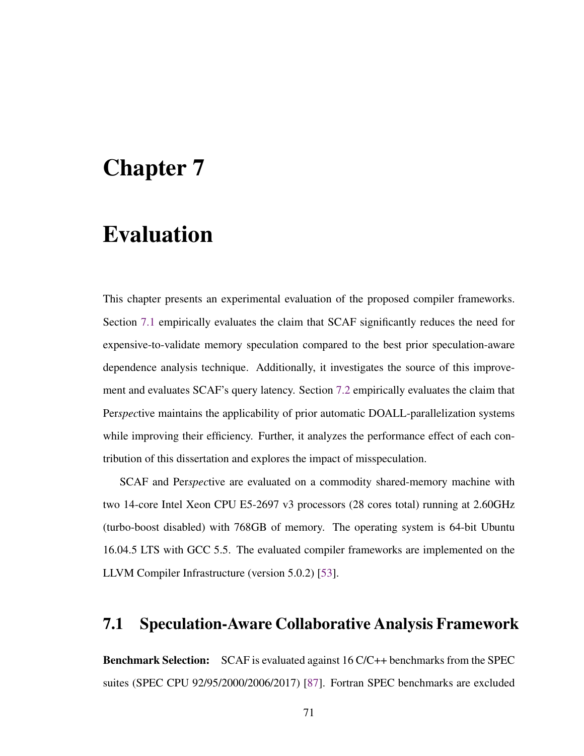# Chapter 7

# Evaluation

This chapter presents an experimental evaluation of the proposed compiler frameworks. Section [7.1](#page-83-0) empirically evaluates the claim that SCAF significantly reduces the need for expensive-to-validate memory speculation compared to the best prior speculation-aware dependence analysis technique. Additionally, it investigates the source of this improvement and evaluates SCAF's query latency. Section [7.2](#page-91-0) empirically evaluates the claim that Per*spec*tive maintains the applicability of prior automatic DOALL-parallelization systems while improving their efficiency. Further, it analyzes the performance effect of each contribution of this dissertation and explores the impact of misspeculation.

SCAF and Per*spec*tive are evaluated on a commodity shared-memory machine with two 14-core Intel Xeon CPU E5-2697 v3 processors (28 cores total) running at 2.60GHz (turbo-boost disabled) with 768GB of memory. The operating system is 64-bit Ubuntu 16.04.5 LTS with GCC 5.5. The evaluated compiler frameworks are implemented on the LLVM Compiler Infrastructure (version 5.0.2) [\[53\]](#page-117-0).

#### <span id="page-83-0"></span>7.1 Speculation-Aware Collaborative Analysis Framework

Benchmark Selection: SCAF is evaluated against 16 C/C++ benchmarks from the SPEC suites (SPEC CPU 92/95/2000/2006/2017) [\[87\]](#page-122-1). Fortran SPEC benchmarks are excluded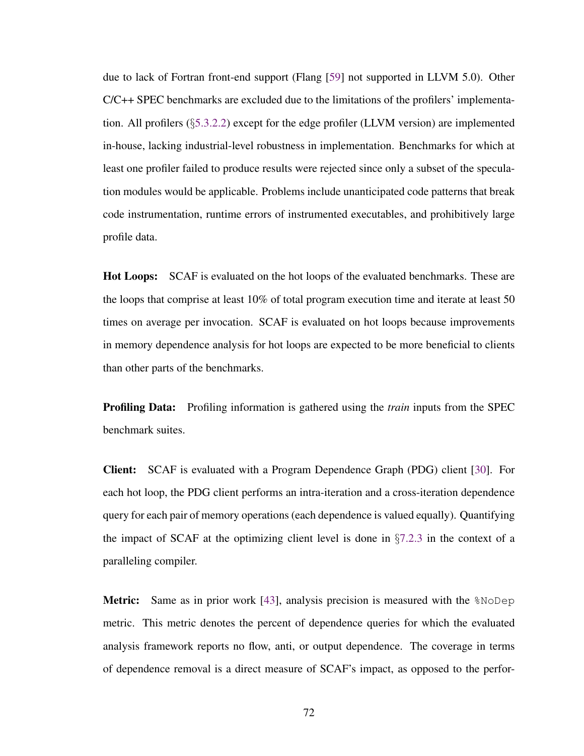due to lack of Fortran front-end support (Flang [\[59\]](#page-118-0) not supported in LLVM 5.0). Other C/C++ SPEC benchmarks are excluded due to the limitations of the profilers' implementation. All profilers  $(\S$ [5.3.2.2\)](#page-66-0) except for the edge profiler (LLVM version) are implemented in-house, lacking industrial-level robustness in implementation. Benchmarks for which at least one profiler failed to produce results were rejected since only a subset of the speculation modules would be applicable. Problems include unanticipated code patterns that break code instrumentation, runtime errors of instrumented executables, and prohibitively large profile data.

Hot Loops: SCAF is evaluated on the hot loops of the evaluated benchmarks. These are the loops that comprise at least 10% of total program execution time and iterate at least 50 times on average per invocation. SCAF is evaluated on hot loops because improvements in memory dependence analysis for hot loops are expected to be more beneficial to clients than other parts of the benchmarks.

Profiling Data: Profiling information is gathered using the *train* inputs from the SPEC benchmark suites.

Client: SCAF is evaluated with a Program Dependence Graph (PDG) client [\[30\]](#page-113-1). For each hot loop, the PDG client performs an intra-iteration and a cross-iteration dependence query for each pair of memory operations (each dependence is valued equally). Quantifying the impact of SCAF at the optimizing client level is done in  $\S7.2.3$  $\S7.2.3$  in the context of a paralleling compiler.

Metric: Same as in prior work [\[43\]](#page-115-1), analysis precision is measured with the  $\textdegree$ NoDep metric. This metric denotes the percent of dependence queries for which the evaluated analysis framework reports no flow, anti, or output dependence. The coverage in terms of dependence removal is a direct measure of SCAF's impact, as opposed to the perfor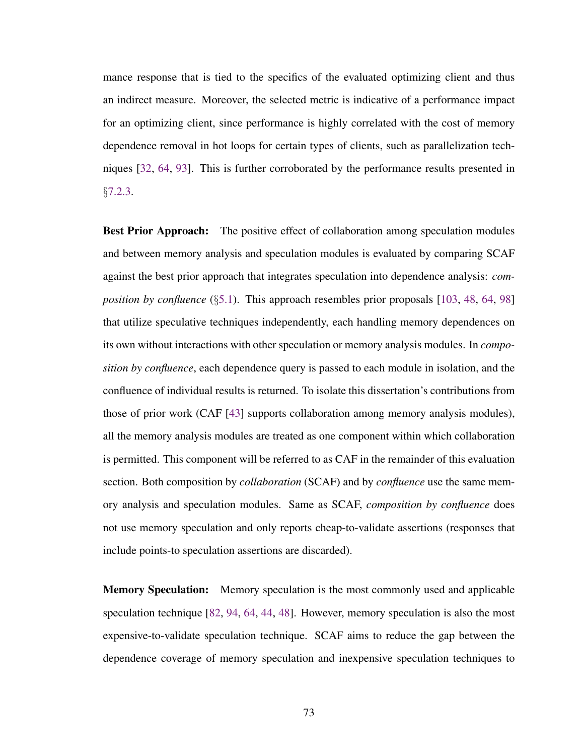mance response that is tied to the specifics of the evaluated optimizing client and thus an indirect measure. Moreover, the selected metric is indicative of a performance impact for an optimizing client, since performance is highly correlated with the cost of memory dependence removal in hot loops for certain types of clients, such as parallelization techniques [\[32,](#page-113-2) [64,](#page-118-1) [93\]](#page-123-0). This is further corroborated by the performance results presented in §[7.2.3.](#page-95-0)

**Best Prior Approach:** The positive effect of collaboration among speculation modules and between memory analysis and speculation modules is evaluated by comparing SCAF against the best prior approach that integrates speculation into dependence analysis: *composition by confluence* (§[5.1\)](#page-46-1). This approach resembles prior proposals [\[103,](#page-125-0) [48,](#page-116-0) [64,](#page-118-1) [98\]](#page-124-0) that utilize speculative techniques independently, each handling memory dependences on its own without interactions with other speculation or memory analysis modules. In *composition by confluence*, each dependence query is passed to each module in isolation, and the confluence of individual results is returned. To isolate this dissertation's contributions from those of prior work (CAF [\[43\]](#page-115-1) supports collaboration among memory analysis modules), all the memory analysis modules are treated as one component within which collaboration is permitted. This component will be referred to as CAF in the remainder of this evaluation section. Both composition by *collaboration* (SCAF) and by *confluence* use the same memory analysis and speculation modules. Same as SCAF, *composition by confluence* does not use memory speculation and only reports cheap-to-validate assertions (responses that include points-to speculation assertions are discarded).

**Memory Speculation:** Memory speculation is the most commonly used and applicable speculation technique [\[82,](#page-121-1) [94,](#page-123-1) [64,](#page-118-1) [44,](#page-115-0) [48\]](#page-116-0). However, memory speculation is also the most expensive-to-validate speculation technique. SCAF aims to reduce the gap between the dependence coverage of memory speculation and inexpensive speculation techniques to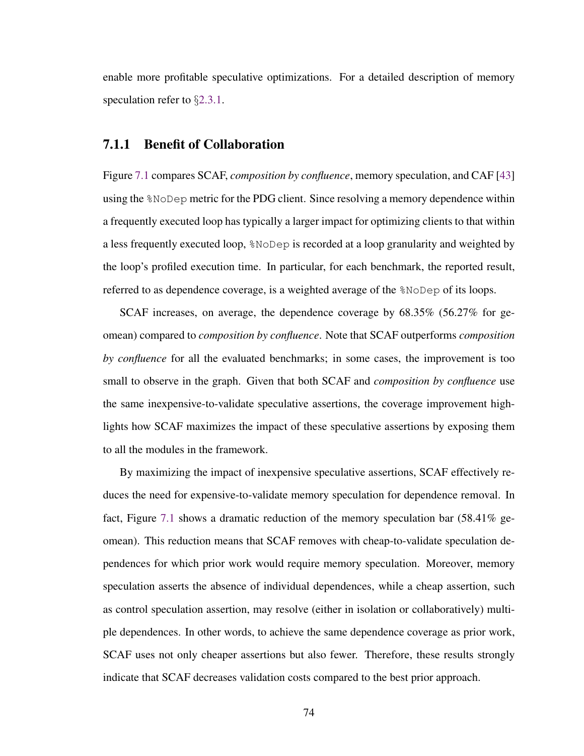enable more profitable speculative optimizations. For a detailed description of memory speculation refer to §[2.3.1.](#page-25-0)

#### <span id="page-86-0"></span>7.1.1 Benefit of Collaboration

Figure [7.1](#page-87-0) compares SCAF, *composition by confluence*, memory speculation, and CAF [\[43\]](#page-115-1) using the %NoDep metric for the PDG client. Since resolving a memory dependence within a frequently executed loop has typically a larger impact for optimizing clients to that within a less frequently executed loop, %NoDep is recorded at a loop granularity and weighted by the loop's profiled execution time. In particular, for each benchmark, the reported result, referred to as dependence coverage, is a weighted average of the %NoDep of its loops.

SCAF increases, on average, the dependence coverage by 68.35% (56.27% for geomean) compared to *composition by confluence*. Note that SCAF outperforms *composition by confluence* for all the evaluated benchmarks; in some cases, the improvement is too small to observe in the graph. Given that both SCAF and *composition by confluence* use the same inexpensive-to-validate speculative assertions, the coverage improvement highlights how SCAF maximizes the impact of these speculative assertions by exposing them to all the modules in the framework.

By maximizing the impact of inexpensive speculative assertions, SCAF effectively reduces the need for expensive-to-validate memory speculation for dependence removal. In fact, Figure [7.1](#page-87-0) shows a dramatic reduction of the memory speculation bar (58.41% geomean). This reduction means that SCAF removes with cheap-to-validate speculation dependences for which prior work would require memory speculation. Moreover, memory speculation asserts the absence of individual dependences, while a cheap assertion, such as control speculation assertion, may resolve (either in isolation or collaboratively) multiple dependences. In other words, to achieve the same dependence coverage as prior work, SCAF uses not only cheaper assertions but also fewer. Therefore, these results strongly indicate that SCAF decreases validation costs compared to the best prior approach.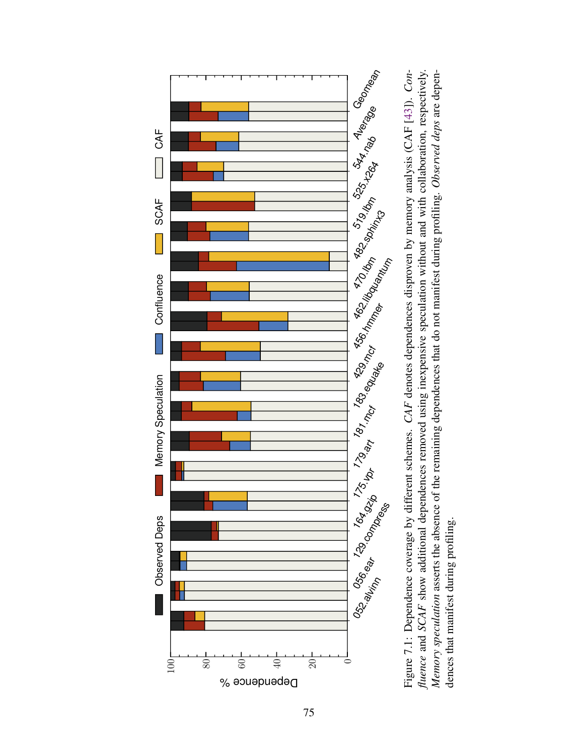<span id="page-87-0"></span>

Figure 7.1: Dependence coverage by different schemes. CAF denotes dependences disproven by memory analysis (CAF [43]). Confluence and SCAF show additional dependences removed using inexpensive speculation without and with collaboration, respectively. Memory speculation asserts the absence of the remaining dependences that do not manifest during profiling. Observed deps are depen-Figure 7.1: Dependence coverage by different schemes. *CAF* denotes dependences disproven by memory analysis (CAF [\[43\]](#page-115-1)). *Con-*<br>*fluence* and *SCAF* show additional dependences removed using inexpensive speculation without dences that manifest during profiling.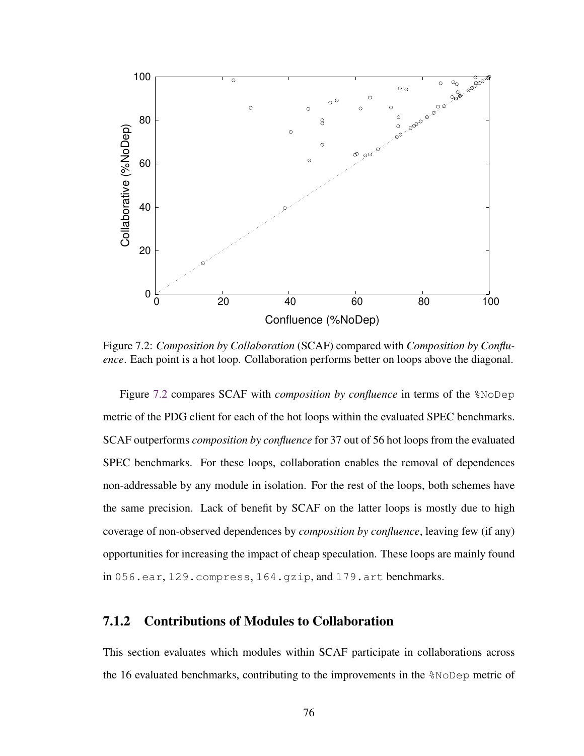<span id="page-88-0"></span>

Figure 7.2: *Composition by Collaboration* (SCAF) compared with *Composition by Confluence*. Each point is a hot loop. Collaboration performs better on loops above the diagonal.

Figure [7.2](#page-88-0) compares SCAF with *composition by confluence* in terms of the %NoDep metric of the PDG client for each of the hot loops within the evaluated SPEC benchmarks. SCAF outperforms *composition by confluence* for 37 out of 56 hot loops from the evaluated SPEC benchmarks. For these loops, collaboration enables the removal of dependences non-addressable by any module in isolation. For the rest of the loops, both schemes have the same precision. Lack of benefit by SCAF on the latter loops is mostly due to high coverage of non-observed dependences by *composition by confluence*, leaving few (if any) opportunities for increasing the impact of cheap speculation. These loops are mainly found in 056.ear, 129.compress, 164.gzip, and 179.art benchmarks.

#### 7.1.2 Contributions of Modules to Collaboration

This section evaluates which modules within SCAF participate in collaborations across the 16 evaluated benchmarks, contributing to the improvements in the %NoDep metric of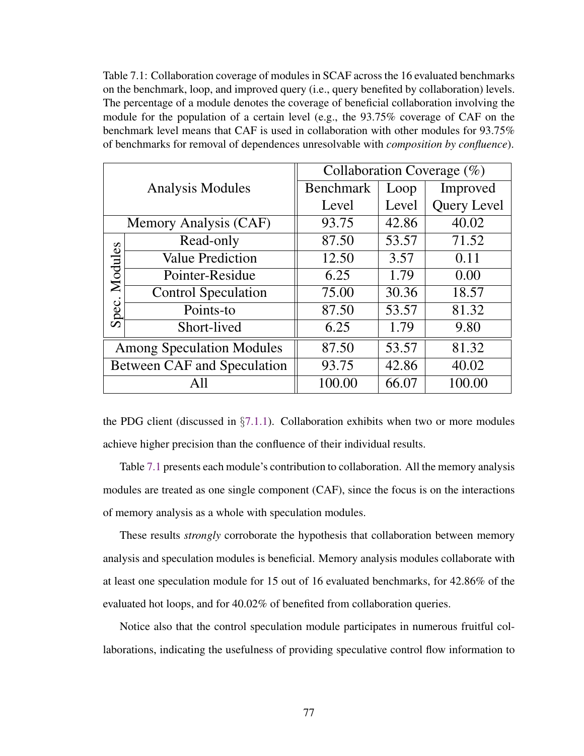<span id="page-89-0"></span>Table 7.1: Collaboration coverage of modules in SCAF across the 16 evaluated benchmarks on the benchmark, loop, and improved query (i.e., query benefited by collaboration) levels. The percentage of a module denotes the coverage of beneficial collaboration involving the module for the population of a certain level (e.g., the 93.75% coverage of CAF on the benchmark level means that CAF is used in collaboration with other modules for 93.75% of benchmarks for removal of dependences unresolvable with *composition by confluence*).

|                                  |                                    | Collaboration Coverage $(\%)$ |       |                    |  |  |  |  |
|----------------------------------|------------------------------------|-------------------------------|-------|--------------------|--|--|--|--|
|                                  | <b>Analysis Modules</b>            | <b>Benchmark</b>              | Loop  | Improved           |  |  |  |  |
|                                  |                                    | Level                         | Level | <b>Query Level</b> |  |  |  |  |
|                                  | Memory Analysis (CAF)              | 93.75                         | 42.86 | 40.02              |  |  |  |  |
|                                  | Read-only                          | 87.50                         | 53.57 | 71.52              |  |  |  |  |
| Modules<br>Spec.                 | <b>Value Prediction</b>            | 12.50                         | 3.57  | 0.11               |  |  |  |  |
|                                  | Pointer-Residue                    | 6.25                          | 1.79  | 0.00               |  |  |  |  |
|                                  | <b>Control Speculation</b>         | 75.00                         | 30.36 | 18.57              |  |  |  |  |
|                                  | Points-to                          | 87.50                         | 53.57 | 81.32              |  |  |  |  |
|                                  | Short-lived                        | 6.25                          | 1.79  | 9.80               |  |  |  |  |
| <b>Among Speculation Modules</b> |                                    | 87.50                         | 53.57 | 81.32              |  |  |  |  |
|                                  | <b>Between CAF and Speculation</b> | 93.75                         | 42.86 | 40.02              |  |  |  |  |
|                                  | All                                | 100.00                        | 66.07 | 100.00             |  |  |  |  |

the PDG client (discussed in  $\S7.1.1$ ). Collaboration exhibits when two or more modules achieve higher precision than the confluence of their individual results.

Table [7.1](#page-89-0) presents each module's contribution to collaboration. All the memory analysis modules are treated as one single component (CAF), since the focus is on the interactions of memory analysis as a whole with speculation modules.

These results *strongly* corroborate the hypothesis that collaboration between memory analysis and speculation modules is beneficial. Memory analysis modules collaborate with at least one speculation module for 15 out of 16 evaluated benchmarks, for 42.86% of the evaluated hot loops, and for 40.02% of benefited from collaboration queries.

Notice also that the control speculation module participates in numerous fruitful collaborations, indicating the usefulness of providing speculative control flow information to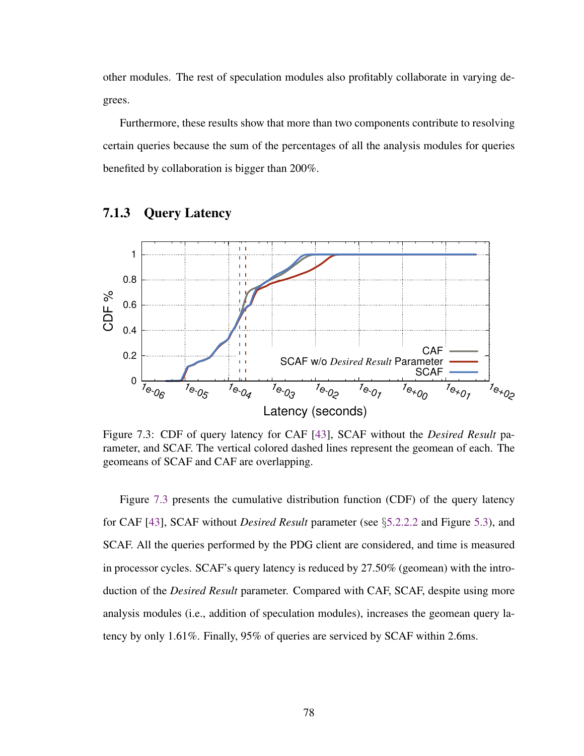other modules. The rest of speculation modules also profitably collaborate in varying degrees.

Furthermore, these results show that more than two components contribute to resolving certain queries because the sum of the percentages of all the analysis modules for queries benefited by collaboration is bigger than 200%.

<span id="page-90-0"></span>

#### 7.1.3 Query Latency

Figure 7.3: CDF of query latency for CAF [\[43\]](#page-115-1), SCAF without the *Desired Result* parameter, and SCAF. The vertical colored dashed lines represent the geomean of each. The geomeans of SCAF and CAF are overlapping.

Figure [7.3](#page-90-0) presents the cumulative distribution function (CDF) of the query latency for CAF [\[43\]](#page-115-1), SCAF without *Desired Result* parameter (see §[5.2.2.2](#page-52-0) and Figure [5.3\)](#page-51-0), and SCAF. All the queries performed by the PDG client are considered, and time is measured in processor cycles. SCAF's query latency is reduced by 27.50% (geomean) with the introduction of the *Desired Result* parameter. Compared with CAF, SCAF, despite using more analysis modules (i.e., addition of speculation modules), increases the geomean query latency by only 1.61%. Finally, 95% of queries are serviced by SCAF within 2.6ms.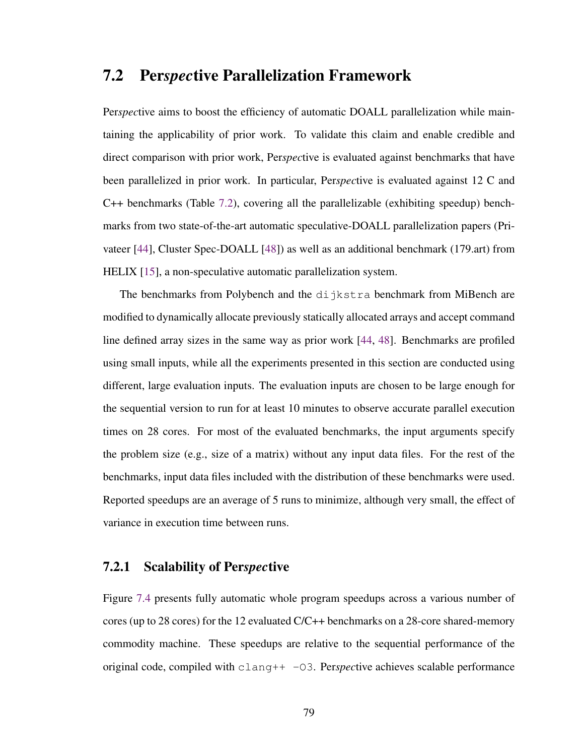### <span id="page-91-0"></span>7.2 Per*spec*tive Parallelization Framework

Per*spec*tive aims to boost the efficiency of automatic DOALL parallelization while maintaining the applicability of prior work. To validate this claim and enable credible and direct comparison with prior work, Per*spec*tive is evaluated against benchmarks that have been parallelized in prior work. In particular, Per*spec*tive is evaluated against 12 C and C++ benchmarks (Table [7.2\)](#page-92-0), covering all the parallelizable (exhibiting speedup) benchmarks from two state-of-the-art automatic speculative-DOALL parallelization papers (Privateer [\[44\]](#page-115-0), Cluster Spec-DOALL [\[48\]](#page-116-0)) as well as an additional benchmark (179.art) from HELIX [\[15\]](#page-110-0), a non-speculative automatic parallelization system.

The benchmarks from Polybench and the dijkstra benchmark from MiBench are modified to dynamically allocate previously statically allocated arrays and accept command line defined array sizes in the same way as prior work [\[44,](#page-115-0) [48\]](#page-116-0). Benchmarks are profiled using small inputs, while all the experiments presented in this section are conducted using different, large evaluation inputs. The evaluation inputs are chosen to be large enough for the sequential version to run for at least 10 minutes to observe accurate parallel execution times on 28 cores. For most of the evaluated benchmarks, the input arguments specify the problem size (e.g., size of a matrix) without any input data files. For the rest of the benchmarks, input data files included with the distribution of these benchmarks were used. Reported speedups are an average of 5 runs to minimize, although very small, the effect of variance in execution time between runs.

#### 7.2.1 Scalability of Per*spec*tive

Figure [7.4](#page-93-0) presents fully automatic whole program speedups across a various number of cores (up to 28 cores) for the 12 evaluated C/C++ benchmarks on a 28-core shared-memory commodity machine. These speedups are relative to the sequential performance of the original code, compiled with clang++ -O3. Per*spec*tive achieves scalable performance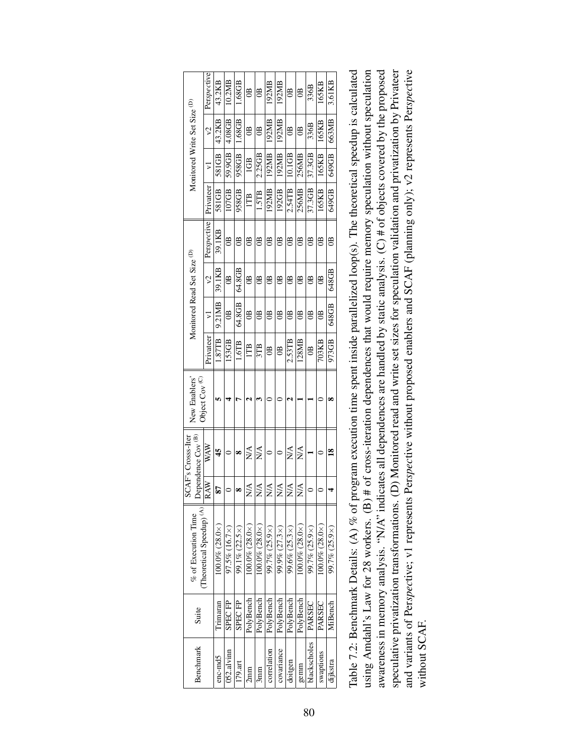<span id="page-92-0"></span>

|                                                     | Perspective                          | 43.2KB                   | 10.2MB             | 1.68GB             | $\mathbb{B}$                  | $\mathbb{B}$              | 192MB                     | 192MB                     | $\mathbf{B}$              | $\mathbb{B}$              | 336B             | 165KB                    | 3.61KB         |
|-----------------------------------------------------|--------------------------------------|--------------------------|--------------------|--------------------|-------------------------------|---------------------------|---------------------------|---------------------------|---------------------------|---------------------------|------------------|--------------------------|----------------|
| Monitored Write Set Size (D)                        | $\Im$                                | 43.2KB                   | 4.08GB             | 1.68GB             | Ê                             | $\mathbb{B}$              | 192MB                     | 192MB                     | g                         | $\mathbb{B}$              | 336B             | 165KB                    | 663MB          |
|                                                     | $\overline{\phantom{0}}$             | 581GB                    | 59.9GB             | 958GB              | 1GB                           | 2.25GB                    | 192MB                     | 192MB                     | 10.1GB                    | 256MB                     | 37.3GB           | 165KB                    | 649GB          |
|                                                     | Privateer                            | 581 GB                   | 107GB              | 958GB              | E                             | 1.5TB                     | 192MB                     | 192GB                     | 2.54TB                    | 256MB                     | 37.3GB           | 165KB                    | 649 GB         |
|                                                     | Perspective                          | 39.1KB                   | g                  | B                  | $\overline{a}$                | $\mathbb{B}$              | $\overline{a}$            | $\mathbb{B}$              | $\overline{a}$            | $\overline{a}$            | $\mathbb{B}$     | $\mathbb{B}$             | $\mathbf{B}$   |
|                                                     | $\mathcal{E}$                        | 39.1KB                   | $\mathbb{B}$       | 64.8GB             | $\mathbf{e}$                  | $\overline{a}$            | $\mathbb{B}$              | $\overline{a}$            | $\mathbb{B}$              | $\mathbb{B}$              | $\mathbb{B}$     | $\mathbb{B}$             | 648GB          |
| Monitored Read Set Size (D)                         | ⋝                                    | 9.21MB                   | g                  | 64.8GB             | g                             | $\mathbb{B}$              | $\mathbb{B}$              | $\mathbf{e}$              | $\mathbb{B}$              | $\mathbb{B}$              | $\mathbb{B}$     | g                        | 648GB          |
|                                                     | Privateer                            | 1.87TB                   | 153GB              | $1.6$ TB           | ITB                           | 3TB                       | $\mathbb{B}$              | $\mathfrak{B}$            | $2.53$ TB                 | 128MB                     | $\circledcirc$   | 703KB                    | 973GB          |
| New Enablers'<br>Object Cov <sup>(C)</sup>          |                                      |                          |                    |                    |                               |                           |                           |                           |                           |                           |                  |                          | œ              |
| Dependence Cov <sup>(B)</sup><br>SCAF's Crosss-Iter | WAW                                  | 45                       |                    | ∞                  | N/A                           | NA<br>Z                   |                           |                           | $\stackrel{\triangle}{N}$ | N/A                       |                  |                          | $\frac{8}{16}$ |
|                                                     | RAW                                  |                          |                    |                    | $\frac{\triangle}{\triangle}$ | $\stackrel{\triangle}{N}$ | $\stackrel{\triangle}{N}$ | $\stackrel{\triangle}{N}$ | $\stackrel{\triangle}{N}$ | $\stackrel{\triangle}{N}$ |                  |                          |                |
| % of Execution Time                                 | (Theoretical Speedup) <sup>(A)</sup> | $100.0\%$ $(28.0\times)$ | $97.5\%$ (16.7 ×)  | 99.1% (22.5×)      | $100.0\%$ $(28.0\times)$      | $100.0\%$ $(28.0\times)$  | $99.7\% (25.9×)$          | $99.9\% (27.3×)$          | $99.6\% (25.3×)$          | $100.0\%$ $(28.0\times)$  | $99.7\% (25.9×)$ | $100.0\%$ $(28.0\times)$ | 99.7% (25.9×)  |
| Suite                                               |                                      | Trimaran                 | SPEC <sub>FP</sub> | SPEC <sub>FP</sub> | PolyBench                     | PolyBench                 | PolyBench                 | PolyBench                 | PolyBench                 | PolyBench                 | PARSEC           | PARSEC                   | MiBench        |
| Benchmark                                           |                                      | enc-md5                  | 052.alvinn         | $179.$ art         | 2mm                           | 5mm                       | correlation               | covariance                | doitgen                   | gemm                      | blackscholes     | swaptions                | dijkstra       |

| Table 7.2: Benchmark Details: (A) % of program execution time spent inside parallelized loop(s). The theoretical speedup is calculated<br>using Amdahl's Law for 28 workers. (B) # of cross-iteration dependences that would require memory speculation without speculation<br>awareness in memory analysis. "N/A" indicates all dependences are handled by static analysis. (C) # of objects covered by the proposed<br>speculative privatization transformations. (D) Monitored read and write set sizes for speculation validation and privatization by Privateer<br>and variants of Perspective; v1 represents Perspective without proposed enablers and SCAF (planning only); v2 represents Perspective |
|--------------------------------------------------------------------------------------------------------------------------------------------------------------------------------------------------------------------------------------------------------------------------------------------------------------------------------------------------------------------------------------------------------------------------------------------------------------------------------------------------------------------------------------------------------------------------------------------------------------------------------------------------------------------------------------------------------------|
| vithout SCAF.                                                                                                                                                                                                                                                                                                                                                                                                                                                                                                                                                                                                                                                                                                |
|                                                                                                                                                                                                                                                                                                                                                                                                                                                                                                                                                                                                                                                                                                              |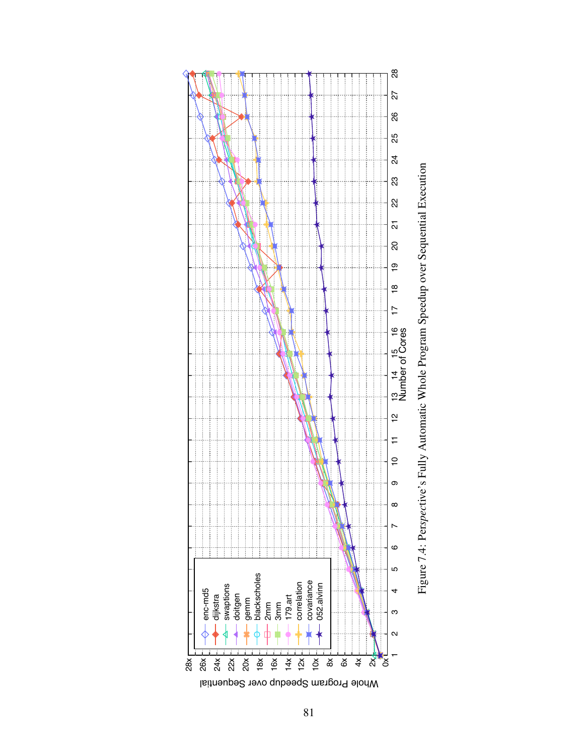<span id="page-93-0"></span>

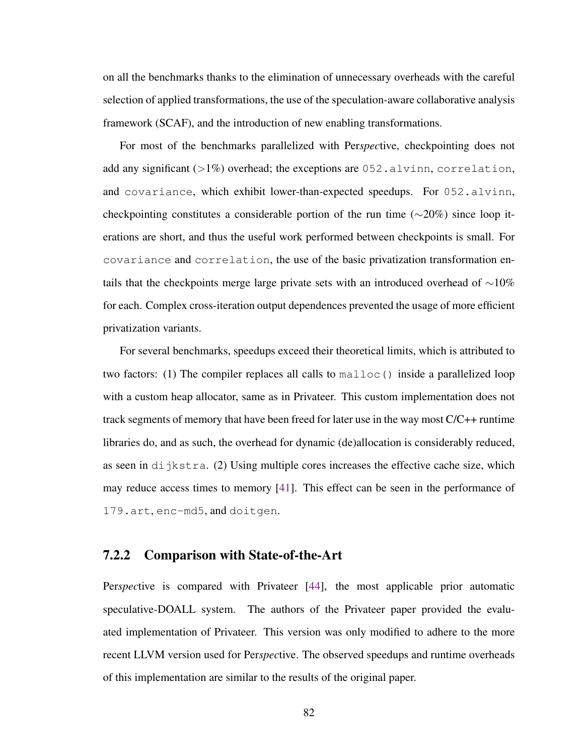on all the benchmarks thanks to the elimination of unnecessary overheads with the careful selection of applied transformations, the use of the speculation-aware collaborative analysis framework (SCAF), and the introduction of new enabling transformations.

For most of the benchmarks parallelized with Per*spec*tive, checkpointing does not add any significant  $(>1%)$  overhead; the exceptions are 052.alvinn, correlation, and covariance, which exhibit lower-than-expected speedups. For 052.alvinn, checkpointing constitutes a considerable portion of the run time (∼20%) since loop iterations are short, and thus the useful work performed between checkpoints is small. For covariance and correlation, the use of the basic privatization transformation entails that the checkpoints merge large private sets with an introduced overhead of ∼10% for each. Complex cross-iteration output dependences prevented the usage of more efficient privatization variants.

For several benchmarks, speedups exceed their theoretical limits, which is attributed to two factors: (1) The compiler replaces all calls to malloc() inside a parallelized loop with a custom heap allocator, same as in Privateer. This custom implementation does not track segments of memory that have been freed for later use in the way most C/C++ runtime libraries do, and as such, the overhead for dynamic (de)allocation is considerably reduced, as seen in  $di$  jkstra. (2) Using multiple cores increases the effective cache size, which may reduce access times to memory [\[41\]](#page-115-2). This effect can be seen in the performance of 179.art, enc-md5, and doitgen.

#### 7.2.2 Comparison with State-of-the-Art

Per*spec*tive is compared with Privateer [\[44\]](#page-115-0), the most applicable prior automatic speculative-DOALL system. The authors of the Privateer paper provided the evaluated implementation of Privateer. This version was only modified to adhere to the more recent LLVM version used for Per*spec*tive. The observed speedups and runtime overheads of this implementation are similar to the results of the original paper.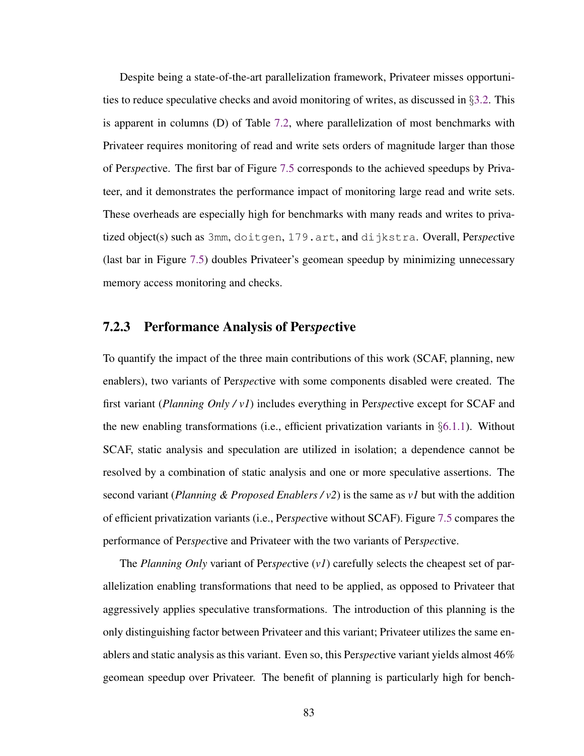Despite being a state-of-the-art parallelization framework, Privateer misses opportunities to reduce speculative checks and avoid monitoring of writes, as discussed in §[3.2.](#page-33-0) This is apparent in columns (D) of Table [7.2,](#page-92-0) where parallelization of most benchmarks with Privateer requires monitoring of read and write sets orders of magnitude larger than those of Per*spec*tive. The first bar of Figure [7.5](#page-96-0) corresponds to the achieved speedups by Privateer, and it demonstrates the performance impact of monitoring large read and write sets. These overheads are especially high for benchmarks with many reads and writes to privatized object(s) such as 3mm, doitgen, 179.art, and dijkstra. Overall, Per*spec*tive (last bar in Figure [7.5\)](#page-96-0) doubles Privateer's geomean speedup by minimizing unnecessary memory access monitoring and checks.

#### <span id="page-95-0"></span>7.2.3 Performance Analysis of Per*spec*tive

To quantify the impact of the three main contributions of this work (SCAF, planning, new enablers), two variants of Per*spec*tive with some components disabled were created. The first variant (*Planning Only / v1*) includes everything in Per*spec*tive except for SCAF and the new enabling transformations (i.e., efficient privatization variants in §[6.1.1\)](#page-74-0). Without SCAF, static analysis and speculation are utilized in isolation; a dependence cannot be resolved by a combination of static analysis and one or more speculative assertions. The second variant (*Planning & Proposed Enablers / v2*) is the same as *v1* but with the addition of efficient privatization variants (i.e., Per*spec*tive without SCAF). Figure [7.5](#page-96-0) compares the performance of Per*spec*tive and Privateer with the two variants of Per*spec*tive.

The *Planning Only* variant of Per*spec*tive (*v1*) carefully selects the cheapest set of parallelization enabling transformations that need to be applied, as opposed to Privateer that aggressively applies speculative transformations. The introduction of this planning is the only distinguishing factor between Privateer and this variant; Privateer utilizes the same enablers and static analysis as this variant. Even so, this Per*spec*tive variant yields almost 46% geomean speedup over Privateer. The benefit of planning is particularly high for bench-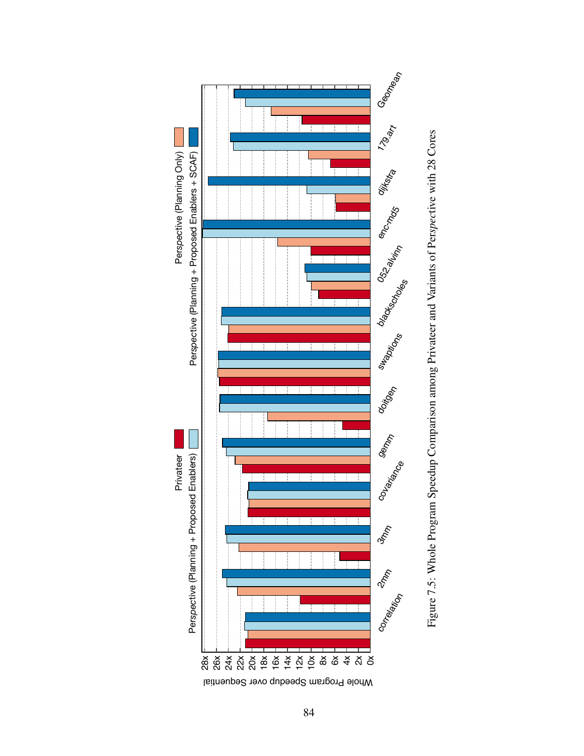<span id="page-96-0"></span>

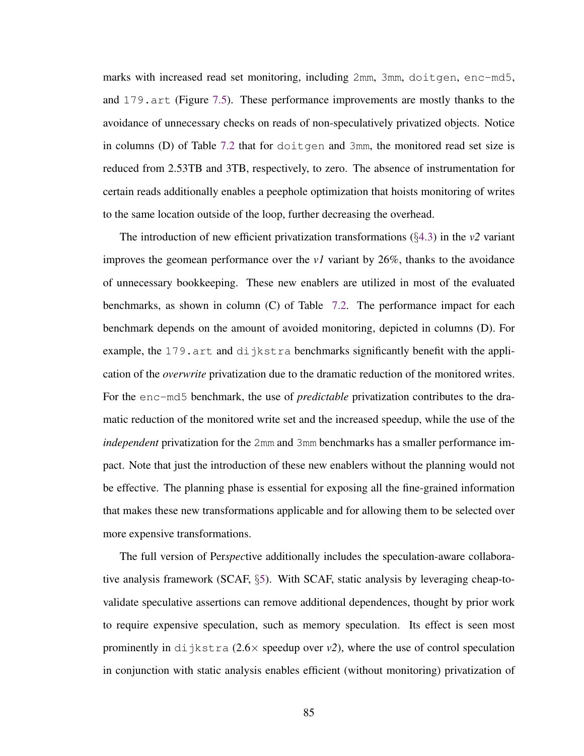marks with increased read set monitoring, including 2mm, 3mm, doitgen, enc-md5, and 179.art (Figure [7.5\)](#page-96-0). These performance improvements are mostly thanks to the avoidance of unnecessary checks on reads of non-speculatively privatized objects. Notice in columns (D) of Table [7.2](#page-92-0) that for doitgen and 3mm, the monitored read set size is reduced from 2.53TB and 3TB, respectively, to zero. The absence of instrumentation for certain reads additionally enables a peephole optimization that hoists monitoring of writes to the same location outside of the loop, further decreasing the overhead.

The introduction of new efficient privatization transformations  $(\S 4.3)$  $(\S 4.3)$  in the *v2* variant improves the geomean performance over the *v1* variant by 26%, thanks to the avoidance of unnecessary bookkeeping. These new enablers are utilized in most of the evaluated benchmarks, as shown in column (C) of Table [7.2.](#page-92-0) The performance impact for each benchmark depends on the amount of avoided monitoring, depicted in columns (D). For example, the 179.art and dijkstra benchmarks significantly benefit with the application of the *overwrite* privatization due to the dramatic reduction of the monitored writes. For the enc-md5 benchmark, the use of *predictable* privatization contributes to the dramatic reduction of the monitored write set and the increased speedup, while the use of the *independent* privatization for the 2mm and 3mm benchmarks has a smaller performance impact. Note that just the introduction of these new enablers without the planning would not be effective. The planning phase is essential for exposing all the fine-grained information that makes these new transformations applicable and for allowing them to be selected over more expensive transformations.

The full version of Per*spec*tive additionally includes the speculation-aware collaborative analysis framework (SCAF, §[5\)](#page-46-0). With SCAF, static analysis by leveraging cheap-tovalidate speculative assertions can remove additional dependences, thought by prior work to require expensive speculation, such as memory speculation. Its effect is seen most prominently in dijkstra  $(2.6 \times$  speedup over  $v2$ ), where the use of control speculation in conjunction with static analysis enables efficient (without monitoring) privatization of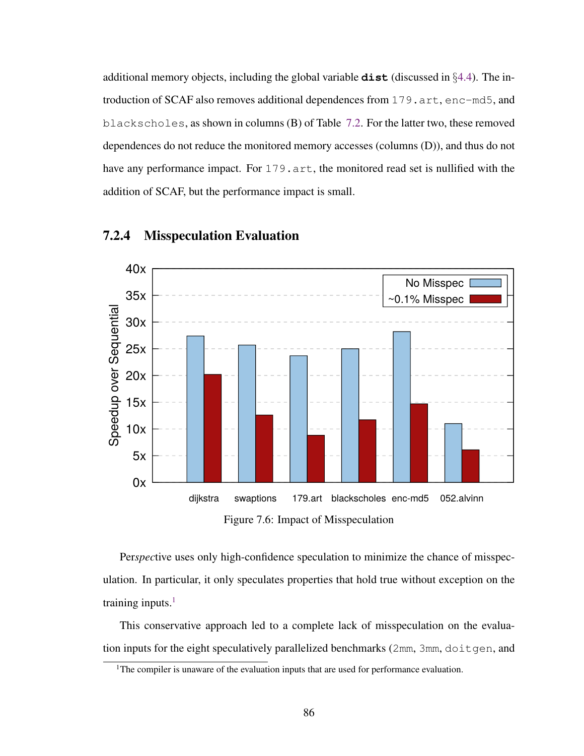additional memory objects, including the global variable **dist** (discussed in §[4.4\)](#page-40-0). The introduction of SCAF also removes additional dependences from 179.art, enc-md5, and blackscholes, as shown in columns (B) of Table [7.2.](#page-92-0) For the latter two, these removed dependences do not reduce the monitored memory accesses (columns (D)), and thus do not have any performance impact. For 179, art, the monitored read set is nullified with the addition of SCAF, but the performance impact is small.

<span id="page-98-1"></span>

#### 7.2.4 Misspeculation Evaluation

Figure 7.6: Impact of Misspeculation

Per*spec*tive uses only high-confidence speculation to minimize the chance of misspeculation. In particular, it only speculates properties that hold true without exception on the training inputs. $<sup>1</sup>$  $<sup>1</sup>$  $<sup>1</sup>$ </sup>

This conservative approach led to a complete lack of misspeculation on the evaluation inputs for the eight speculatively parallelized benchmarks (2mm, 3mm, doitgen, and

<span id="page-98-0"></span><sup>&</sup>lt;sup>1</sup>The compiler is unaware of the evaluation inputs that are used for performance evaluation.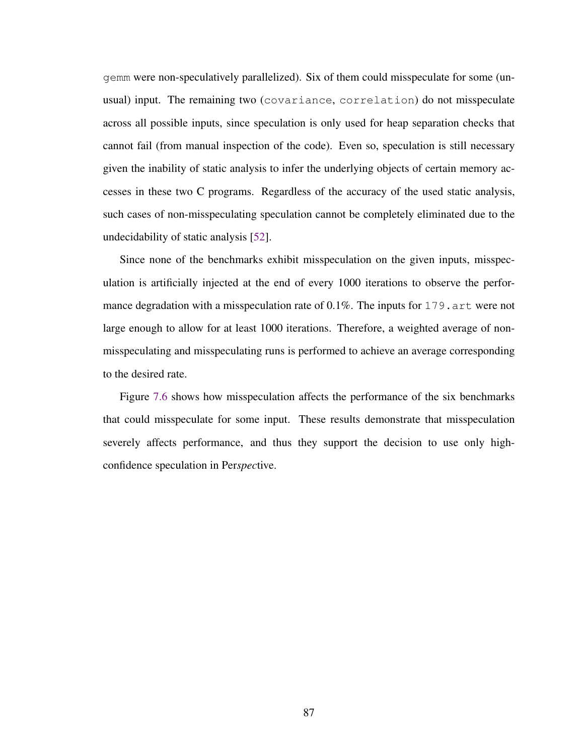gemm were non-speculatively parallelized). Six of them could misspeculate for some (unusual) input. The remaining two (covariance, correlation) do not misspeculate across all possible inputs, since speculation is only used for heap separation checks that cannot fail (from manual inspection of the code). Even so, speculation is still necessary given the inability of static analysis to infer the underlying objects of certain memory accesses in these two C programs. Regardless of the accuracy of the used static analysis, such cases of non-misspeculating speculation cannot be completely eliminated due to the undecidability of static analysis [\[52\]](#page-117-1).

Since none of the benchmarks exhibit misspeculation on the given inputs, misspeculation is artificially injected at the end of every 1000 iterations to observe the performance degradation with a misspeculation rate of  $0.1\%$ . The inputs for 179. art were not large enough to allow for at least 1000 iterations. Therefore, a weighted average of nonmisspeculating and misspeculating runs is performed to achieve an average corresponding to the desired rate.

Figure [7.6](#page-98-1) shows how misspeculation affects the performance of the six benchmarks that could misspeculate for some input. These results demonstrate that misspeculation severely affects performance, and thus they support the decision to use only highconfidence speculation in Per*spec*tive.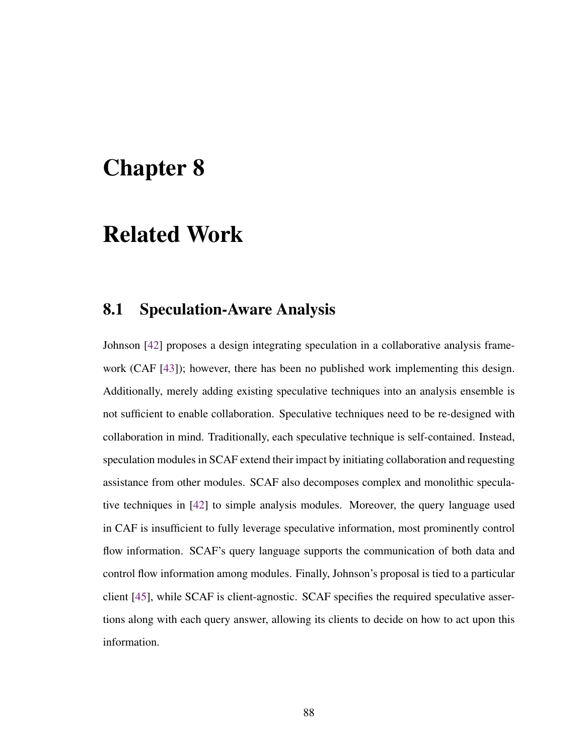# Chapter 8

# Related Work

### 8.1 Speculation-Aware Analysis

Johnson [\[42\]](#page-115-3) proposes a design integrating speculation in a collaborative analysis framework (CAF [\[43\]](#page-115-1)); however, there has been no published work implementing this design. Additionally, merely adding existing speculative techniques into an analysis ensemble is not sufficient to enable collaboration. Speculative techniques need to be re-designed with collaboration in mind. Traditionally, each speculative technique is self-contained. Instead, speculation modules in SCAF extend their impact by initiating collaboration and requesting assistance from other modules. SCAF also decomposes complex and monolithic speculative techniques in [\[42\]](#page-115-3) to simple analysis modules. Moreover, the query language used in CAF is insufficient to fully leverage speculative information, most prominently control flow information. SCAF's query language supports the communication of both data and control flow information among modules. Finally, Johnson's proposal is tied to a particular client [\[45\]](#page-115-4), while SCAF is client-agnostic. SCAF specifies the required speculative assertions along with each query answer, allowing its clients to decide on how to act upon this information.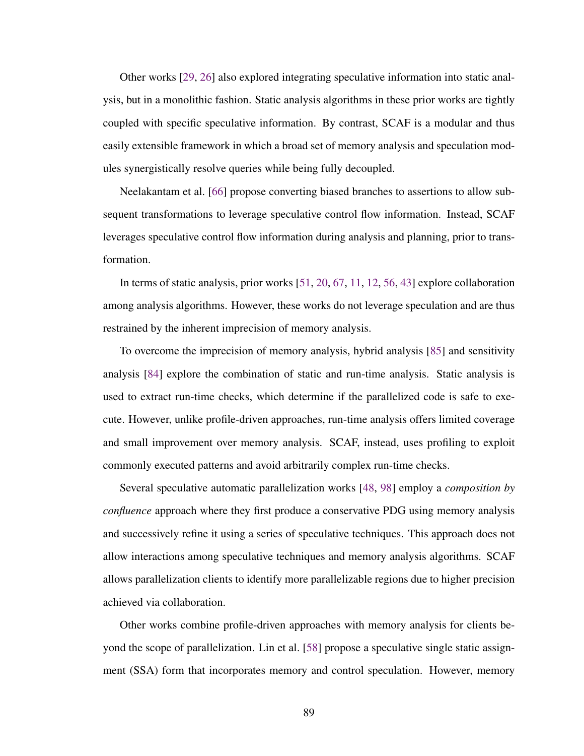Other works [\[29,](#page-113-3) [26\]](#page-112-1) also explored integrating speculative information into static analysis, but in a monolithic fashion. Static analysis algorithms in these prior works are tightly coupled with specific speculative information. By contrast, SCAF is a modular and thus easily extensible framework in which a broad set of memory analysis and speculation modules synergistically resolve queries while being fully decoupled.

Neelakantam et al. [\[66\]](#page-119-1) propose converting biased branches to assertions to allow subsequent transformations to leverage speculative control flow information. Instead, SCAF leverages speculative control flow information during analysis and planning, prior to transformation.

In terms of static analysis, prior works [\[51,](#page-116-1) [20,](#page-111-1) [67,](#page-119-2) [11,](#page-109-0) [12,](#page-110-1) [56,](#page-117-2) [43\]](#page-115-1) explore collaboration among analysis algorithms. However, these works do not leverage speculation and are thus restrained by the inherent imprecision of memory analysis.

To overcome the imprecision of memory analysis, hybrid analysis [\[85\]](#page-122-2) and sensitivity analysis [\[84\]](#page-122-3) explore the combination of static and run-time analysis. Static analysis is used to extract run-time checks, which determine if the parallelized code is safe to execute. However, unlike profile-driven approaches, run-time analysis offers limited coverage and small improvement over memory analysis. SCAF, instead, uses profiling to exploit commonly executed patterns and avoid arbitrarily complex run-time checks.

Several speculative automatic parallelization works [\[48,](#page-116-0) [98\]](#page-124-0) employ a *composition by confluence* approach where they first produce a conservative PDG using memory analysis and successively refine it using a series of speculative techniques. This approach does not allow interactions among speculative techniques and memory analysis algorithms. SCAF allows parallelization clients to identify more parallelizable regions due to higher precision achieved via collaboration.

Other works combine profile-driven approaches with memory analysis for clients beyond the scope of parallelization. Lin et al. [\[58\]](#page-117-3) propose a speculative single static assignment (SSA) form that incorporates memory and control speculation. However, memory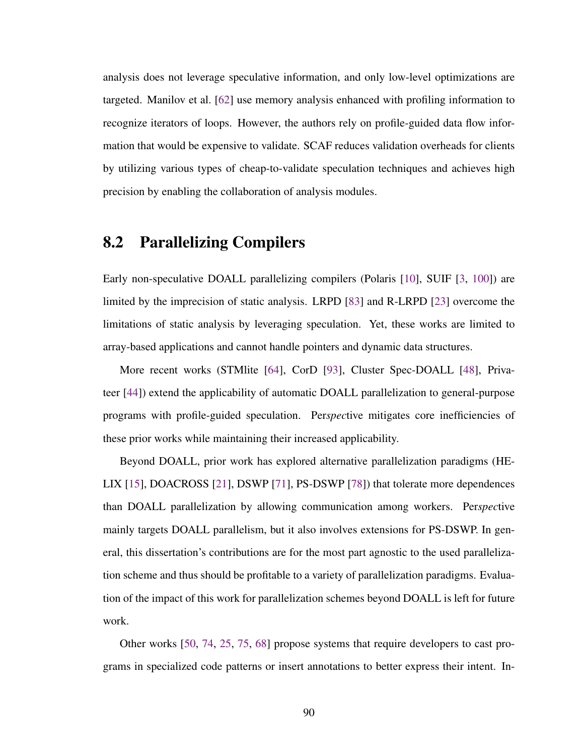analysis does not leverage speculative information, and only low-level optimizations are targeted. Manilov et al. [\[62\]](#page-118-2) use memory analysis enhanced with profiling information to recognize iterators of loops. However, the authors rely on profile-guided data flow information that would be expensive to validate. SCAF reduces validation overheads for clients by utilizing various types of cheap-to-validate speculation techniques and achieves high precision by enabling the collaboration of analysis modules.

# 8.2 Parallelizing Compilers

Early non-speculative DOALL parallelizing compilers (Polaris [\[10\]](#page-109-1), SUIF [\[3,](#page-108-0) [100\]](#page-124-1)) are limited by the imprecision of static analysis. LRPD [\[83\]](#page-121-2) and R-LRPD [\[23\]](#page-112-2) overcome the limitations of static analysis by leveraging speculation. Yet, these works are limited to array-based applications and cannot handle pointers and dynamic data structures.

More recent works (STMlite [\[64\]](#page-118-1), CorD [\[93\]](#page-123-0), Cluster Spec-DOALL [\[48\]](#page-116-0), Privateer [\[44\]](#page-115-0)) extend the applicability of automatic DOALL parallelization to general-purpose programs with profile-guided speculation. Per*spec*tive mitigates core inefficiencies of these prior works while maintaining their increased applicability.

Beyond DOALL, prior work has explored alternative parallelization paradigms (HE-LIX [\[15\]](#page-110-0), DOACROSS [\[21\]](#page-111-2), DSWP [\[71\]](#page-119-0), PS-DSWP [\[78\]](#page-121-0)) that tolerate more dependences than DOALL parallelization by allowing communication among workers. Per*spec*tive mainly targets DOALL parallelism, but it also involves extensions for PS-DSWP. In general, this dissertation's contributions are for the most part agnostic to the used parallelization scheme and thus should be profitable to a variety of parallelization paradigms. Evaluation of the impact of this work for parallelization schemes beyond DOALL is left for future work.

Other works [\[50,](#page-116-2) [74,](#page-120-2) [25,](#page-112-3) [75,](#page-120-3) [68\]](#page-119-3) propose systems that require developers to cast programs in specialized code patterns or insert annotations to better express their intent. In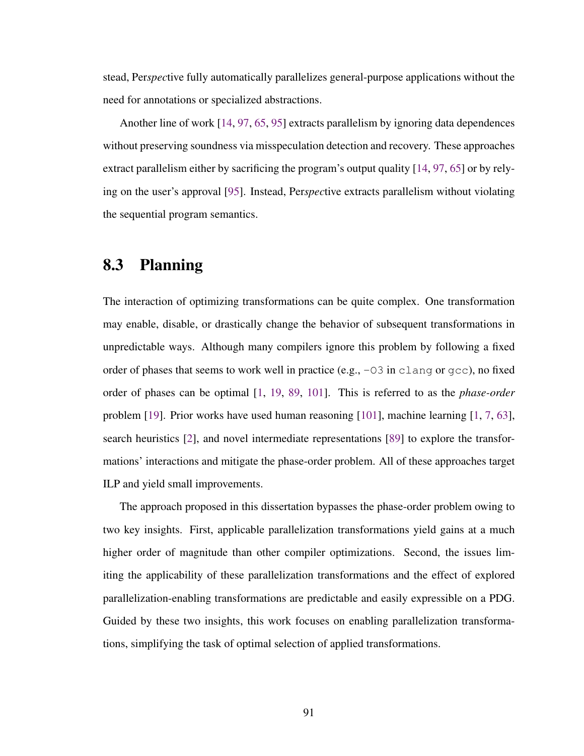stead, Per*spec*tive fully automatically parallelizes general-purpose applications without the need for annotations or specialized abstractions.

Another line of work [\[14,](#page-110-2) [97,](#page-124-2) [65,](#page-118-3) [95\]](#page-123-2) extracts parallelism by ignoring data dependences without preserving soundness via misspeculation detection and recovery. These approaches extract parallelism either by sacrificing the program's output quality [\[14,](#page-110-2) [97,](#page-124-2) [65\]](#page-118-3) or by relying on the user's approval [\[95\]](#page-123-2). Instead, Per*spec*tive extracts parallelism without violating the sequential program semantics.

# 8.3 Planning

The interaction of optimizing transformations can be quite complex. One transformation may enable, disable, or drastically change the behavior of subsequent transformations in unpredictable ways. Although many compilers ignore this problem by following a fixed order of phases that seems to work well in practice (e.g., -O3 in clang or gcc), no fixed order of phases can be optimal [\[1,](#page-108-1) [19,](#page-111-3) [89,](#page-122-4) [101\]](#page-124-3). This is referred to as the *phase-order* problem [\[19\]](#page-111-3). Prior works have used human reasoning [\[101\]](#page-124-3), machine learning [\[1,](#page-108-1) [7,](#page-109-2) [63\]](#page-118-4), search heuristics [\[2\]](#page-108-2), and novel intermediate representations [\[89\]](#page-122-4) to explore the transformations' interactions and mitigate the phase-order problem. All of these approaches target ILP and yield small improvements.

The approach proposed in this dissertation bypasses the phase-order problem owing to two key insights. First, applicable parallelization transformations yield gains at a much higher order of magnitude than other compiler optimizations. Second, the issues limiting the applicability of these parallelization transformations and the effect of explored parallelization-enabling transformations are predictable and easily expressible on a PDG. Guided by these two insights, this work focuses on enabling parallelization transformations, simplifying the task of optimal selection of applied transformations.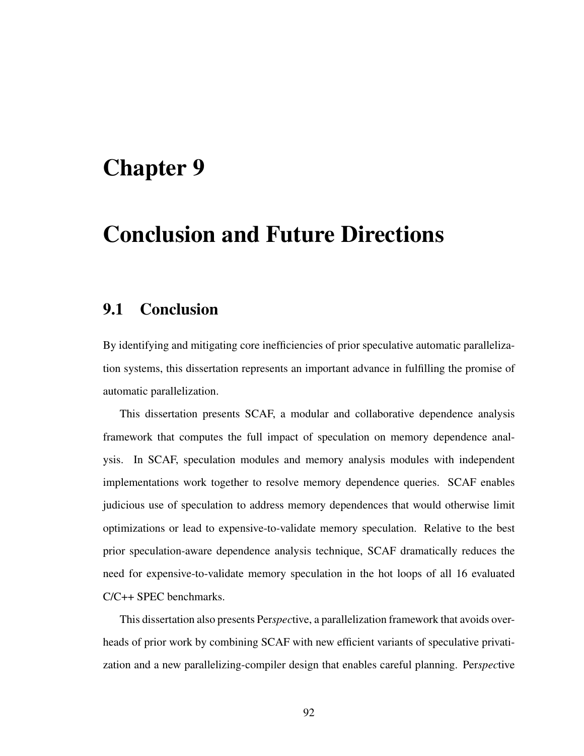# Chapter 9

# Conclusion and Future Directions

### 9.1 Conclusion

By identifying and mitigating core inefficiencies of prior speculative automatic parallelization systems, this dissertation represents an important advance in fulfilling the promise of automatic parallelization.

This dissertation presents SCAF, a modular and collaborative dependence analysis framework that computes the full impact of speculation on memory dependence analysis. In SCAF, speculation modules and memory analysis modules with independent implementations work together to resolve memory dependence queries. SCAF enables judicious use of speculation to address memory dependences that would otherwise limit optimizations or lead to expensive-to-validate memory speculation. Relative to the best prior speculation-aware dependence analysis technique, SCAF dramatically reduces the need for expensive-to-validate memory speculation in the hot loops of all 16 evaluated C/C++ SPEC benchmarks.

This dissertation also presents Per*spec*tive, a parallelization framework that avoids overheads of prior work by combining SCAF with new efficient variants of speculative privatization and a new parallelizing-compiler design that enables careful planning. Per*spec*tive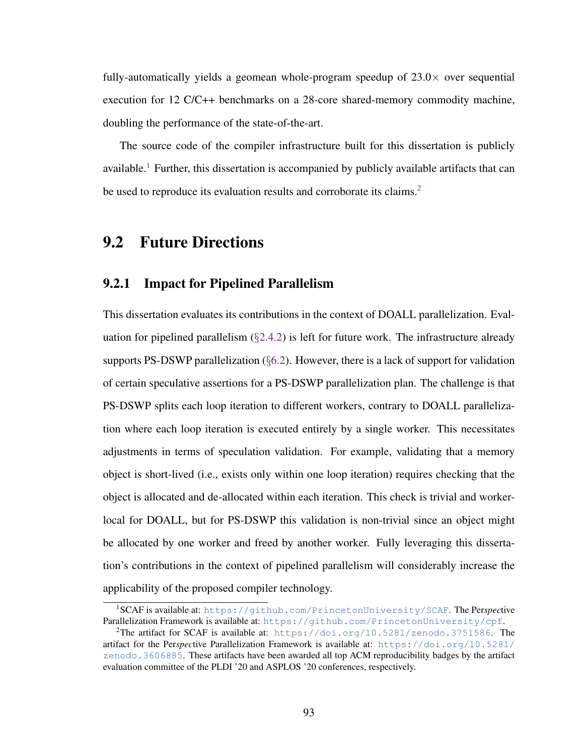fully-automatically yields a geomean whole-program speedup of  $23.0\times$  over sequential execution for 12 C/C++ benchmarks on a 28-core shared-memory commodity machine, doubling the performance of the state-of-the-art.

The source code of the compiler infrastructure built for this dissertation is publicly available.<sup>[1](#page-105-0)</sup> Further, this dissertation is accompanied by publicly available artifacts that can be used to reproduce its evaluation results and corroborate its claims.<sup>[2](#page-105-1)</sup>

### 9.2 Future Directions

#### 9.2.1 Impact for Pipelined Parallelism

This dissertation evaluates its contributions in the context of DOALL parallelization. Evaluation for pipelined parallelism  $(\S2.4.2)$  $(\S2.4.2)$  is left for future work. The infrastructure already supports PS-DSWP parallelization  $(\S6.2)$  $(\S6.2)$ . However, there is a lack of support for validation of certain speculative assertions for a PS-DSWP parallelization plan. The challenge is that PS-DSWP splits each loop iteration to different workers, contrary to DOALL parallelization where each loop iteration is executed entirely by a single worker. This necessitates adjustments in terms of speculation validation. For example, validating that a memory object is short-lived (i.e., exists only within one loop iteration) requires checking that the object is allocated and de-allocated within each iteration. This check is trivial and workerlocal for DOALL, but for PS-DSWP this validation is non-trivial since an object might be allocated by one worker and freed by another worker. Fully leveraging this dissertation's contributions in the context of pipelined parallelism will considerably increase the applicability of the proposed compiler technology.

<span id="page-105-0"></span><sup>1</sup>SCAF is available at: <https://github.com/PrincetonUniversity/SCAF>. The Per*spec*tive Parallelization Framework is available at: <https://github.com/PrincetonUniversity/cpf>.

<span id="page-105-1"></span><sup>&</sup>lt;sup>2</sup>The artifact for SCAF is available at: <https://doi.org/10.5281/zenodo.3751586>. The artifact for the Per*spec*tive Parallelization Framework is available at: [https://doi.org/10.5281/](https://doi.org/10.5281/zenodo.3606885) [zenodo.3606885](https://doi.org/10.5281/zenodo.3606885). These artifacts have been awarded all top ACM reproducibility badges by the artifact evaluation committee of the PLDI '20 and ASPLOS '20 conferences, respectively.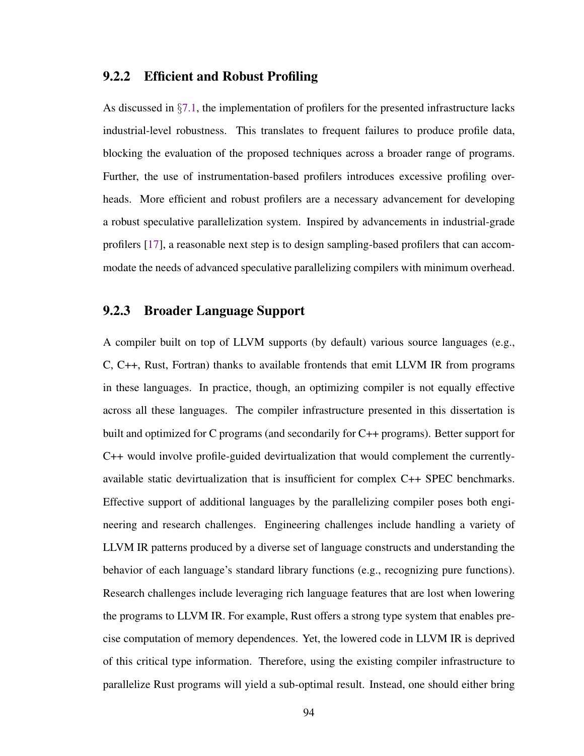#### 9.2.2 Efficient and Robust Profiling

As discussed in  $\S 7.1$ , the implementation of profilers for the presented infrastructure lacks industrial-level robustness. This translates to frequent failures to produce profile data, blocking the evaluation of the proposed techniques across a broader range of programs. Further, the use of instrumentation-based profilers introduces excessive profiling overheads. More efficient and robust profilers are a necessary advancement for developing a robust speculative parallelization system. Inspired by advancements in industrial-grade profilers [\[17\]](#page-111-4), a reasonable next step is to design sampling-based profilers that can accommodate the needs of advanced speculative parallelizing compilers with minimum overhead.

#### 9.2.3 Broader Language Support

A compiler built on top of LLVM supports (by default) various source languages (e.g., C, C++, Rust, Fortran) thanks to available frontends that emit LLVM IR from programs in these languages. In practice, though, an optimizing compiler is not equally effective across all these languages. The compiler infrastructure presented in this dissertation is built and optimized for C programs (and secondarily for C++ programs). Better support for C++ would involve profile-guided devirtualization that would complement the currentlyavailable static devirtualization that is insufficient for complex C++ SPEC benchmarks. Effective support of additional languages by the parallelizing compiler poses both engineering and research challenges. Engineering challenges include handling a variety of LLVM IR patterns produced by a diverse set of language constructs and understanding the behavior of each language's standard library functions (e.g., recognizing pure functions). Research challenges include leveraging rich language features that are lost when lowering the programs to LLVM IR. For example, Rust offers a strong type system that enables precise computation of memory dependences. Yet, the lowered code in LLVM IR is deprived of this critical type information. Therefore, using the existing compiler infrastructure to parallelize Rust programs will yield a sub-optimal result. Instead, one should either bring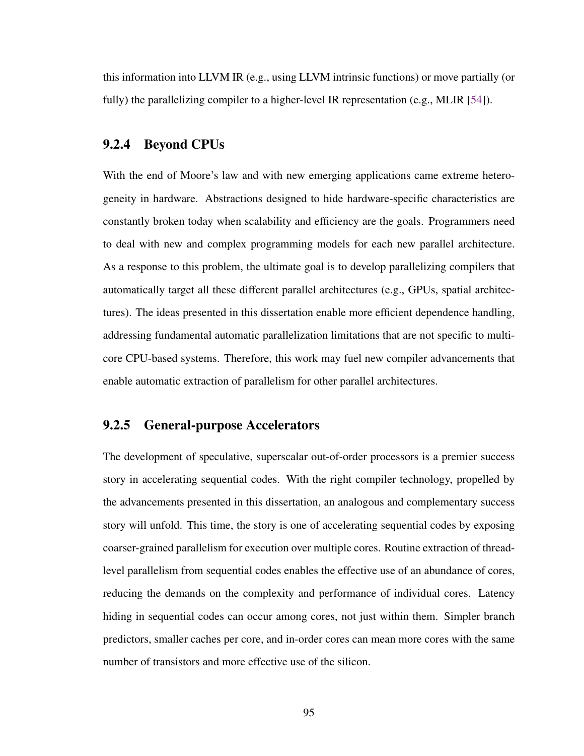this information into LLVM IR (e.g., using LLVM intrinsic functions) or move partially (or fully) the parallelizing compiler to a higher-level IR representation (e.g., MLIR [\[54\]](#page-117-4)).

#### 9.2.4 Beyond CPUs

With the end of Moore's law and with new emerging applications came extreme heterogeneity in hardware. Abstractions designed to hide hardware-specific characteristics are constantly broken today when scalability and efficiency are the goals. Programmers need to deal with new and complex programming models for each new parallel architecture. As a response to this problem, the ultimate goal is to develop parallelizing compilers that automatically target all these different parallel architectures (e.g., GPUs, spatial architectures). The ideas presented in this dissertation enable more efficient dependence handling, addressing fundamental automatic parallelization limitations that are not specific to multicore CPU-based systems. Therefore, this work may fuel new compiler advancements that enable automatic extraction of parallelism for other parallel architectures.

#### 9.2.5 General-purpose Accelerators

The development of speculative, superscalar out-of-order processors is a premier success story in accelerating sequential codes. With the right compiler technology, propelled by the advancements presented in this dissertation, an analogous and complementary success story will unfold. This time, the story is one of accelerating sequential codes by exposing coarser-grained parallelism for execution over multiple cores. Routine extraction of threadlevel parallelism from sequential codes enables the effective use of an abundance of cores, reducing the demands on the complexity and performance of individual cores. Latency hiding in sequential codes can occur among cores, not just within them. Simpler branch predictors, smaller caches per core, and in-order cores can mean more cores with the same number of transistors and more effective use of the silicon.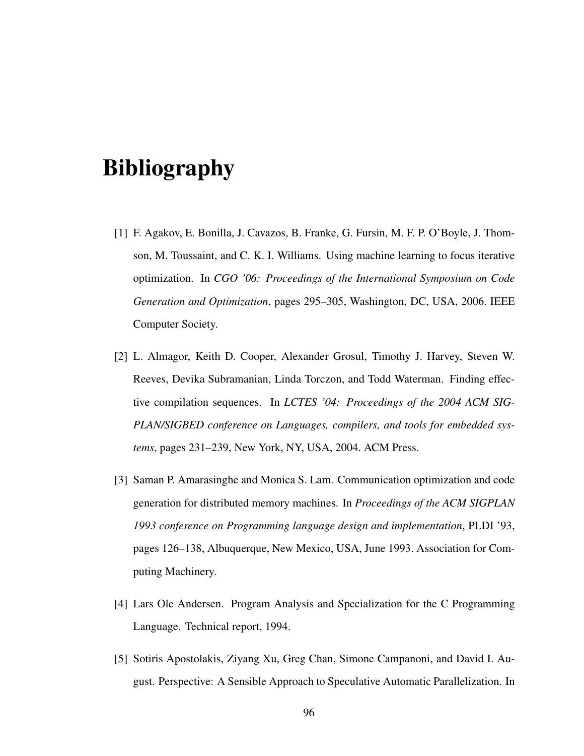## Bibliography

- [1] F. Agakov, E. Bonilla, J. Cavazos, B. Franke, G. Fursin, M. F. P. O'Boyle, J. Thomson, M. Toussaint, and C. K. I. Williams. Using machine learning to focus iterative optimization. In *CGO '06: Proceedings of the International Symposium on Code Generation and Optimization*, pages 295–305, Washington, DC, USA, 2006. IEEE Computer Society.
- [2] L. Almagor, Keith D. Cooper, Alexander Grosul, Timothy J. Harvey, Steven W. Reeves, Devika Subramanian, Linda Torczon, and Todd Waterman. Finding effective compilation sequences. In *LCTES '04: Proceedings of the 2004 ACM SIG-PLAN/SIGBED conference on Languages, compilers, and tools for embedded systems*, pages 231–239, New York, NY, USA, 2004. ACM Press.
- [3] Saman P. Amarasinghe and Monica S. Lam. Communication optimization and code generation for distributed memory machines. In *Proceedings of the ACM SIGPLAN 1993 conference on Programming language design and implementation*, PLDI '93, pages 126–138, Albuquerque, New Mexico, USA, June 1993. Association for Computing Machinery.
- [4] Lars Ole Andersen. Program Analysis and Specialization for the C Programming Language. Technical report, 1994.
- [5] Sotiris Apostolakis, Ziyang Xu, Greg Chan, Simone Campanoni, and David I. August. Perspective: A Sensible Approach to Speculative Automatic Parallelization. In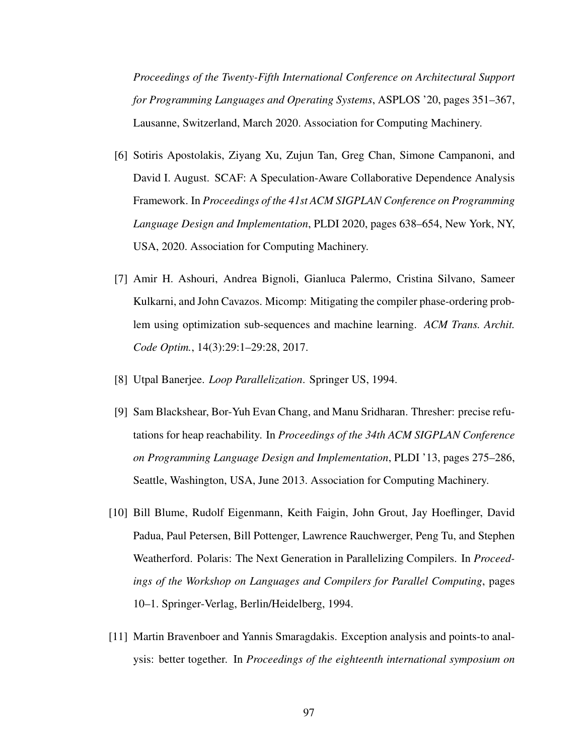*Proceedings of the Twenty-Fifth International Conference on Architectural Support for Programming Languages and Operating Systems*, ASPLOS '20, pages 351–367, Lausanne, Switzerland, March 2020. Association for Computing Machinery.

- [6] Sotiris Apostolakis, Ziyang Xu, Zujun Tan, Greg Chan, Simone Campanoni, and David I. August. SCAF: A Speculation-Aware Collaborative Dependence Analysis Framework. In *Proceedings of the 41st ACM SIGPLAN Conference on Programming Language Design and Implementation*, PLDI 2020, pages 638–654, New York, NY, USA, 2020. Association for Computing Machinery.
- [7] Amir H. Ashouri, Andrea Bignoli, Gianluca Palermo, Cristina Silvano, Sameer Kulkarni, and John Cavazos. Micomp: Mitigating the compiler phase-ordering problem using optimization sub-sequences and machine learning. *ACM Trans. Archit. Code Optim.*, 14(3):29:1–29:28, 2017.
- [8] Utpal Banerjee. *Loop Parallelization*. Springer US, 1994.
- [9] Sam Blackshear, Bor-Yuh Evan Chang, and Manu Sridharan. Thresher: precise refutations for heap reachability. In *Proceedings of the 34th ACM SIGPLAN Conference on Programming Language Design and Implementation*, PLDI '13, pages 275–286, Seattle, Washington, USA, June 2013. Association for Computing Machinery.
- [10] Bill Blume, Rudolf Eigenmann, Keith Faigin, John Grout, Jay Hoeflinger, David Padua, Paul Petersen, Bill Pottenger, Lawrence Rauchwerger, Peng Tu, and Stephen Weatherford. Polaris: The Next Generation in Parallelizing Compilers. In *Proceedings of the Workshop on Languages and Compilers for Parallel Computing*, pages 10–1. Springer-Verlag, Berlin/Heidelberg, 1994.
- [11] Martin Bravenboer and Yannis Smaragdakis. Exception analysis and points-to analysis: better together. In *Proceedings of the eighteenth international symposium on*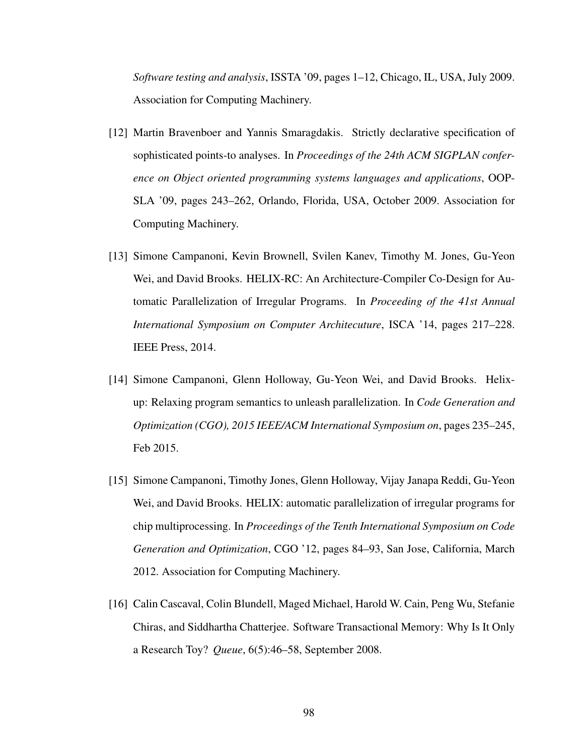*Software testing and analysis*, ISSTA '09, pages 1–12, Chicago, IL, USA, July 2009. Association for Computing Machinery.

- [12] Martin Bravenboer and Yannis Smaragdakis. Strictly declarative specification of sophisticated points-to analyses. In *Proceedings of the 24th ACM SIGPLAN conference on Object oriented programming systems languages and applications*, OOP-SLA '09, pages 243–262, Orlando, Florida, USA, October 2009. Association for Computing Machinery.
- [13] Simone Campanoni, Kevin Brownell, Svilen Kanev, Timothy M. Jones, Gu-Yeon Wei, and David Brooks. HELIX-RC: An Architecture-Compiler Co-Design for Automatic Parallelization of Irregular Programs. In *Proceeding of the 41st Annual International Symposium on Computer Architecuture*, ISCA '14, pages 217–228. IEEE Press, 2014.
- [14] Simone Campanoni, Glenn Holloway, Gu-Yeon Wei, and David Brooks. Helixup: Relaxing program semantics to unleash parallelization. In *Code Generation and Optimization (CGO), 2015 IEEE/ACM International Symposium on*, pages 235–245, Feb 2015.
- [15] Simone Campanoni, Timothy Jones, Glenn Holloway, Vijay Janapa Reddi, Gu-Yeon Wei, and David Brooks. HELIX: automatic parallelization of irregular programs for chip multiprocessing. In *Proceedings of the Tenth International Symposium on Code Generation and Optimization*, CGO '12, pages 84–93, San Jose, California, March 2012. Association for Computing Machinery.
- [16] Calin Cascaval, Colin Blundell, Maged Michael, Harold W. Cain, Peng Wu, Stefanie Chiras, and Siddhartha Chatterjee. Software Transactional Memory: Why Is It Only a Research Toy? *Queue*, 6(5):46–58, September 2008.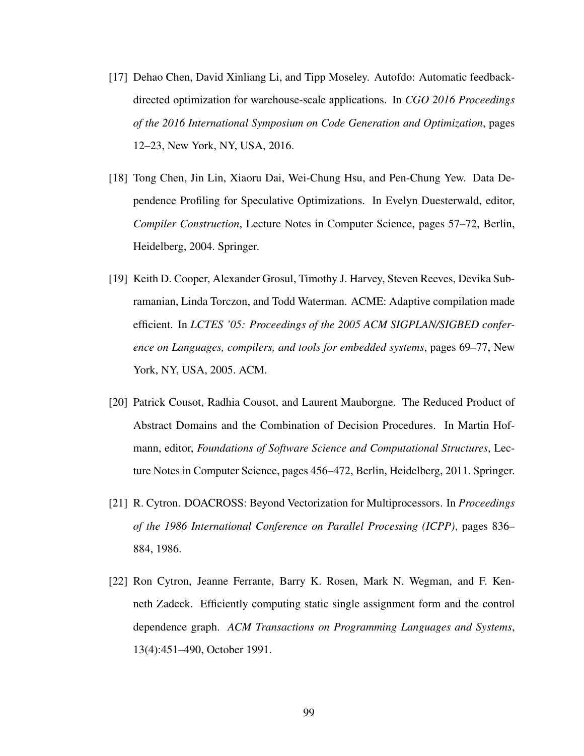- [17] Dehao Chen, David Xinliang Li, and Tipp Moseley. Autofdo: Automatic feedbackdirected optimization for warehouse-scale applications. In *CGO 2016 Proceedings of the 2016 International Symposium on Code Generation and Optimization*, pages 12–23, New York, NY, USA, 2016.
- [18] Tong Chen, Jin Lin, Xiaoru Dai, Wei-Chung Hsu, and Pen-Chung Yew. Data Dependence Profiling for Speculative Optimizations. In Evelyn Duesterwald, editor, *Compiler Construction*, Lecture Notes in Computer Science, pages 57–72, Berlin, Heidelberg, 2004. Springer.
- [19] Keith D. Cooper, Alexander Grosul, Timothy J. Harvey, Steven Reeves, Devika Subramanian, Linda Torczon, and Todd Waterman. ACME: Adaptive compilation made efficient. In *LCTES '05: Proceedings of the 2005 ACM SIGPLAN/SIGBED conference on Languages, compilers, and tools for embedded systems*, pages 69–77, New York, NY, USA, 2005. ACM.
- [20] Patrick Cousot, Radhia Cousot, and Laurent Mauborgne. The Reduced Product of Abstract Domains and the Combination of Decision Procedures. In Martin Hofmann, editor, *Foundations of Software Science and Computational Structures*, Lecture Notes in Computer Science, pages 456–472, Berlin, Heidelberg, 2011. Springer.
- [21] R. Cytron. DOACROSS: Beyond Vectorization for Multiprocessors. In *Proceedings of the 1986 International Conference on Parallel Processing (ICPP)*, pages 836– 884, 1986.
- [22] Ron Cytron, Jeanne Ferrante, Barry K. Rosen, Mark N. Wegman, and F. Kenneth Zadeck. Efficiently computing static single assignment form and the control dependence graph. *ACM Transactions on Programming Languages and Systems*, 13(4):451–490, October 1991.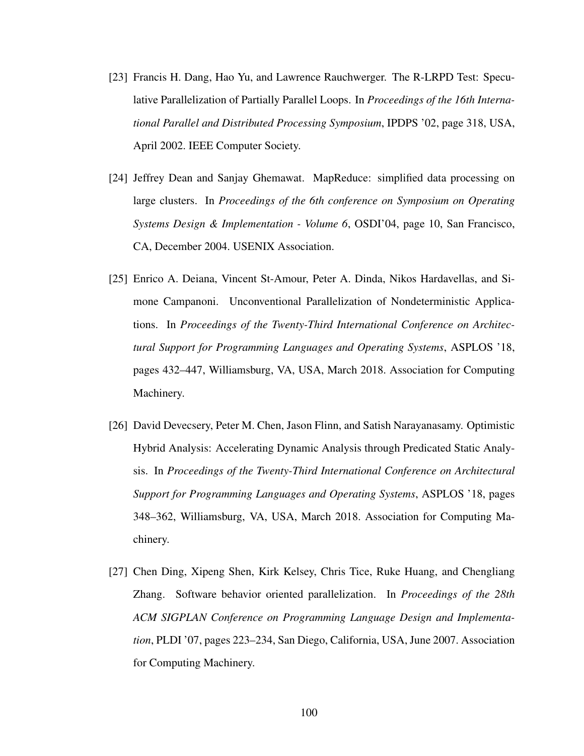- [23] Francis H. Dang, Hao Yu, and Lawrence Rauchwerger. The R-LRPD Test: Speculative Parallelization of Partially Parallel Loops. In *Proceedings of the 16th International Parallel and Distributed Processing Symposium*, IPDPS '02, page 318, USA, April 2002. IEEE Computer Society.
- [24] Jeffrey Dean and Sanjay Ghemawat. MapReduce: simplified data processing on large clusters. In *Proceedings of the 6th conference on Symposium on Operating Systems Design & Implementation - Volume 6*, OSDI'04, page 10, San Francisco, CA, December 2004. USENIX Association.
- [25] Enrico A. Deiana, Vincent St-Amour, Peter A. Dinda, Nikos Hardavellas, and Simone Campanoni. Unconventional Parallelization of Nondeterministic Applications. In *Proceedings of the Twenty-Third International Conference on Architectural Support for Programming Languages and Operating Systems*, ASPLOS '18, pages 432–447, Williamsburg, VA, USA, March 2018. Association for Computing Machinery.
- [26] David Devecsery, Peter M. Chen, Jason Flinn, and Satish Narayanasamy. Optimistic Hybrid Analysis: Accelerating Dynamic Analysis through Predicated Static Analysis. In *Proceedings of the Twenty-Third International Conference on Architectural Support for Programming Languages and Operating Systems*, ASPLOS '18, pages 348–362, Williamsburg, VA, USA, March 2018. Association for Computing Machinery.
- [27] Chen Ding, Xipeng Shen, Kirk Kelsey, Chris Tice, Ruke Huang, and Chengliang Zhang. Software behavior oriented parallelization. In *Proceedings of the 28th ACM SIGPLAN Conference on Programming Language Design and Implementation*, PLDI '07, pages 223–234, San Diego, California, USA, June 2007. Association for Computing Machinery.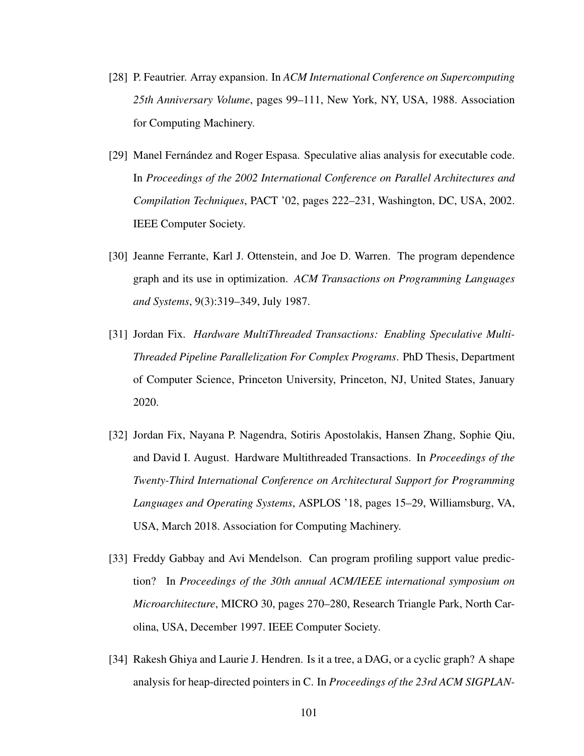- [28] P. Feautrier. Array expansion. In *ACM International Conference on Supercomputing 25th Anniversary Volume*, pages 99–111, New York, NY, USA, 1988. Association for Computing Machinery.
- [29] Manel Fernández and Roger Espasa. Speculative alias analysis for executable code. In *Proceedings of the 2002 International Conference on Parallel Architectures and Compilation Techniques*, PACT '02, pages 222–231, Washington, DC, USA, 2002. IEEE Computer Society.
- [30] Jeanne Ferrante, Karl J. Ottenstein, and Joe D. Warren. The program dependence graph and its use in optimization. *ACM Transactions on Programming Languages and Systems*, 9(3):319–349, July 1987.
- [31] Jordan Fix. *Hardware MultiThreaded Transactions: Enabling Speculative Multi-Threaded Pipeline Parallelization For Complex Programs*. PhD Thesis, Department of Computer Science, Princeton University, Princeton, NJ, United States, January 2020.
- [32] Jordan Fix, Nayana P. Nagendra, Sotiris Apostolakis, Hansen Zhang, Sophie Qiu, and David I. August. Hardware Multithreaded Transactions. In *Proceedings of the Twenty-Third International Conference on Architectural Support for Programming Languages and Operating Systems*, ASPLOS '18, pages 15–29, Williamsburg, VA, USA, March 2018. Association for Computing Machinery.
- [33] Freddy Gabbay and Avi Mendelson. Can program profiling support value prediction? In *Proceedings of the 30th annual ACM/IEEE international symposium on Microarchitecture*, MICRO 30, pages 270–280, Research Triangle Park, North Carolina, USA, December 1997. IEEE Computer Society.
- [34] Rakesh Ghiya and Laurie J. Hendren. Is it a tree, a DAG, or a cyclic graph? A shape analysis for heap-directed pointers in C. In *Proceedings of the 23rd ACM SIGPLAN-*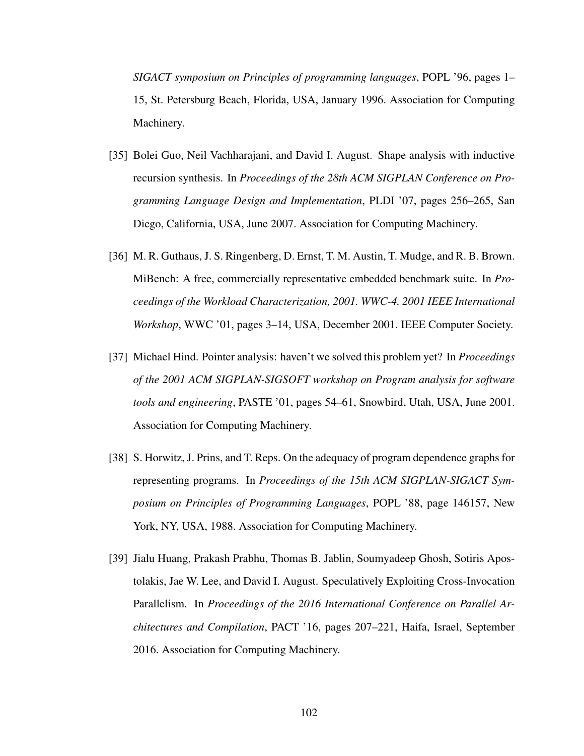*SIGACT symposium on Principles of programming languages*, POPL '96, pages 1– 15, St. Petersburg Beach, Florida, USA, January 1996. Association for Computing Machinery.

- [35] Bolei Guo, Neil Vachharajani, and David I. August. Shape analysis with inductive recursion synthesis. In *Proceedings of the 28th ACM SIGPLAN Conference on Programming Language Design and Implementation*, PLDI '07, pages 256–265, San Diego, California, USA, June 2007. Association for Computing Machinery.
- [36] M. R. Guthaus, J. S. Ringenberg, D. Ernst, T. M. Austin, T. Mudge, and R. B. Brown. MiBench: A free, commercially representative embedded benchmark suite. In *Proceedings of the Workload Characterization, 2001. WWC-4. 2001 IEEE International Workshop*, WWC '01, pages 3–14, USA, December 2001. IEEE Computer Society.
- [37] Michael Hind. Pointer analysis: haven't we solved this problem yet? In *Proceedings of the 2001 ACM SIGPLAN-SIGSOFT workshop on Program analysis for software tools and engineering*, PASTE '01, pages 54–61, Snowbird, Utah, USA, June 2001. Association for Computing Machinery.
- [38] S. Horwitz, J. Prins, and T. Reps. On the adequacy of program dependence graphs for representing programs. In *Proceedings of the 15th ACM SIGPLAN-SIGACT Symposium on Principles of Programming Languages*, POPL '88, page 146157, New York, NY, USA, 1988. Association for Computing Machinery.
- [39] Jialu Huang, Prakash Prabhu, Thomas B. Jablin, Soumyadeep Ghosh, Sotiris Apostolakis, Jae W. Lee, and David I. August. Speculatively Exploiting Cross-Invocation Parallelism. In *Proceedings of the 2016 International Conference on Parallel Architectures and Compilation*, PACT '16, pages 207–221, Haifa, Israel, September 2016. Association for Computing Machinery.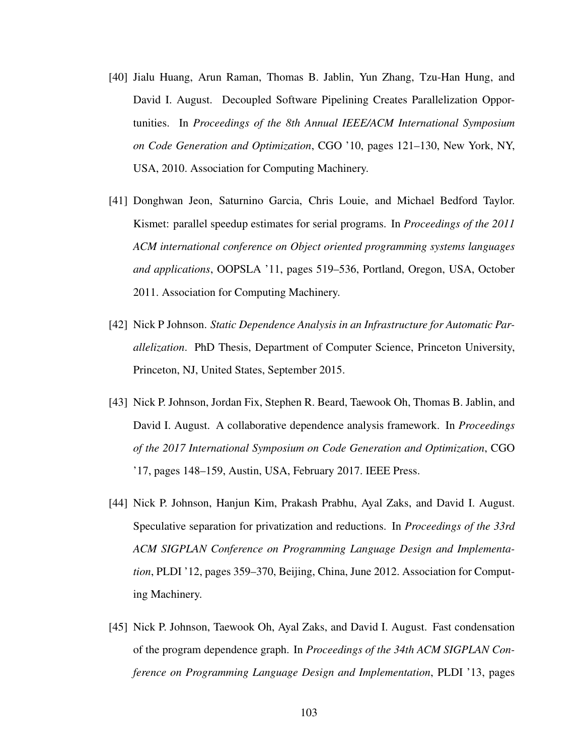- [40] Jialu Huang, Arun Raman, Thomas B. Jablin, Yun Zhang, Tzu-Han Hung, and David I. August. Decoupled Software Pipelining Creates Parallelization Opportunities. In *Proceedings of the 8th Annual IEEE/ACM International Symposium on Code Generation and Optimization*, CGO '10, pages 121–130, New York, NY, USA, 2010. Association for Computing Machinery.
- [41] Donghwan Jeon, Saturnino Garcia, Chris Louie, and Michael Bedford Taylor. Kismet: parallel speedup estimates for serial programs. In *Proceedings of the 2011 ACM international conference on Object oriented programming systems languages and applications*, OOPSLA '11, pages 519–536, Portland, Oregon, USA, October 2011. Association for Computing Machinery.
- [42] Nick P Johnson. *Static Dependence Analysis in an Infrastructure for Automatic Parallelization*. PhD Thesis, Department of Computer Science, Princeton University, Princeton, NJ, United States, September 2015.
- [43] Nick P. Johnson, Jordan Fix, Stephen R. Beard, Taewook Oh, Thomas B. Jablin, and David I. August. A collaborative dependence analysis framework. In *Proceedings of the 2017 International Symposium on Code Generation and Optimization*, CGO '17, pages 148–159, Austin, USA, February 2017. IEEE Press.
- [44] Nick P. Johnson, Hanjun Kim, Prakash Prabhu, Ayal Zaks, and David I. August. Speculative separation for privatization and reductions. In *Proceedings of the 33rd ACM SIGPLAN Conference on Programming Language Design and Implementation*, PLDI '12, pages 359–370, Beijing, China, June 2012. Association for Computing Machinery.
- [45] Nick P. Johnson, Taewook Oh, Ayal Zaks, and David I. August. Fast condensation of the program dependence graph. In *Proceedings of the 34th ACM SIGPLAN Conference on Programming Language Design and Implementation*, PLDI '13, pages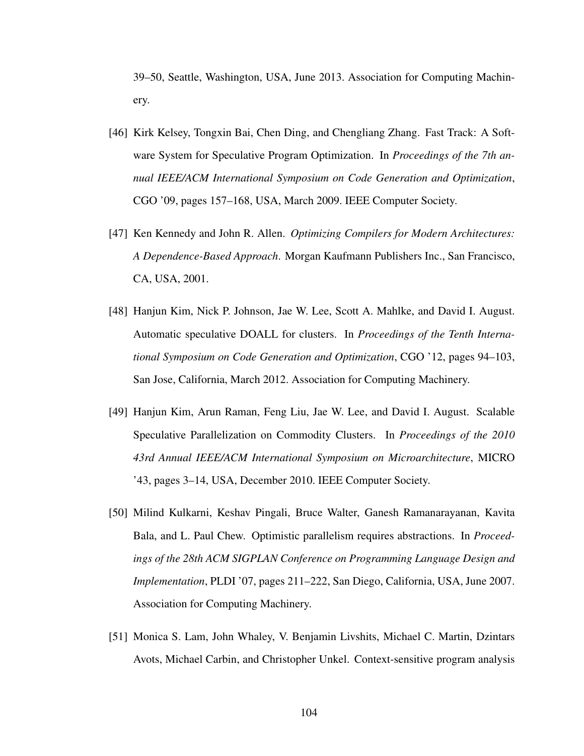39–50, Seattle, Washington, USA, June 2013. Association for Computing Machinery.

- [46] Kirk Kelsey, Tongxin Bai, Chen Ding, and Chengliang Zhang. Fast Track: A Software System for Speculative Program Optimization. In *Proceedings of the 7th annual IEEE/ACM International Symposium on Code Generation and Optimization*, CGO '09, pages 157–168, USA, March 2009. IEEE Computer Society.
- [47] Ken Kennedy and John R. Allen. *Optimizing Compilers for Modern Architectures: A Dependence-Based Approach*. Morgan Kaufmann Publishers Inc., San Francisco, CA, USA, 2001.
- [48] Hanjun Kim, Nick P. Johnson, Jae W. Lee, Scott A. Mahlke, and David I. August. Automatic speculative DOALL for clusters. In *Proceedings of the Tenth International Symposium on Code Generation and Optimization*, CGO '12, pages 94–103, San Jose, California, March 2012. Association for Computing Machinery.
- [49] Hanjun Kim, Arun Raman, Feng Liu, Jae W. Lee, and David I. August. Scalable Speculative Parallelization on Commodity Clusters. In *Proceedings of the 2010 43rd Annual IEEE/ACM International Symposium on Microarchitecture*, MICRO '43, pages 3–14, USA, December 2010. IEEE Computer Society.
- [50] Milind Kulkarni, Keshav Pingali, Bruce Walter, Ganesh Ramanarayanan, Kavita Bala, and L. Paul Chew. Optimistic parallelism requires abstractions. In *Proceedings of the 28th ACM SIGPLAN Conference on Programming Language Design and Implementation*, PLDI '07, pages 211–222, San Diego, California, USA, June 2007. Association for Computing Machinery.
- [51] Monica S. Lam, John Whaley, V. Benjamin Livshits, Michael C. Martin, Dzintars Avots, Michael Carbin, and Christopher Unkel. Context-sensitive program analysis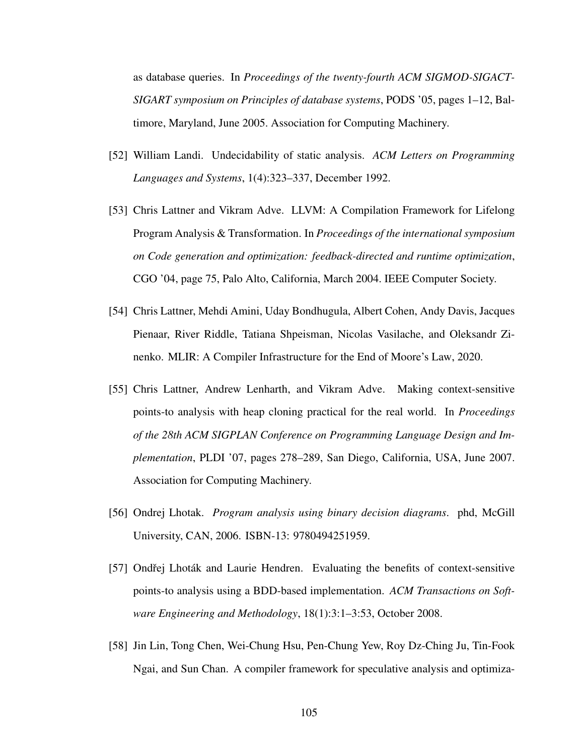as database queries. In *Proceedings of the twenty-fourth ACM SIGMOD-SIGACT-SIGART symposium on Principles of database systems*, PODS '05, pages 1–12, Baltimore, Maryland, June 2005. Association for Computing Machinery.

- [52] William Landi. Undecidability of static analysis. *ACM Letters on Programming Languages and Systems*, 1(4):323–337, December 1992.
- [53] Chris Lattner and Vikram Adve. LLVM: A Compilation Framework for Lifelong Program Analysis & Transformation. In *Proceedings of the international symposium on Code generation and optimization: feedback-directed and runtime optimization*, CGO '04, page 75, Palo Alto, California, March 2004. IEEE Computer Society.
- [54] Chris Lattner, Mehdi Amini, Uday Bondhugula, Albert Cohen, Andy Davis, Jacques Pienaar, River Riddle, Tatiana Shpeisman, Nicolas Vasilache, and Oleksandr Zinenko. MLIR: A Compiler Infrastructure for the End of Moore's Law, 2020.
- [55] Chris Lattner, Andrew Lenharth, and Vikram Adve. Making context-sensitive points-to analysis with heap cloning practical for the real world. In *Proceedings of the 28th ACM SIGPLAN Conference on Programming Language Design and Implementation*, PLDI '07, pages 278–289, San Diego, California, USA, June 2007. Association for Computing Machinery.
- [56] Ondrej Lhotak. *Program analysis using binary decision diagrams*. phd, McGill University, CAN, 2006. ISBN-13: 9780494251959.
- [57] Ondřej Lhoták and Laurie Hendren. Evaluating the benefits of context-sensitive points-to analysis using a BDD-based implementation. *ACM Transactions on Software Engineering and Methodology*, 18(1):3:1–3:53, October 2008.
- [58] Jin Lin, Tong Chen, Wei-Chung Hsu, Pen-Chung Yew, Roy Dz-Ching Ju, Tin-Fook Ngai, and Sun Chan. A compiler framework for speculative analysis and optimiza-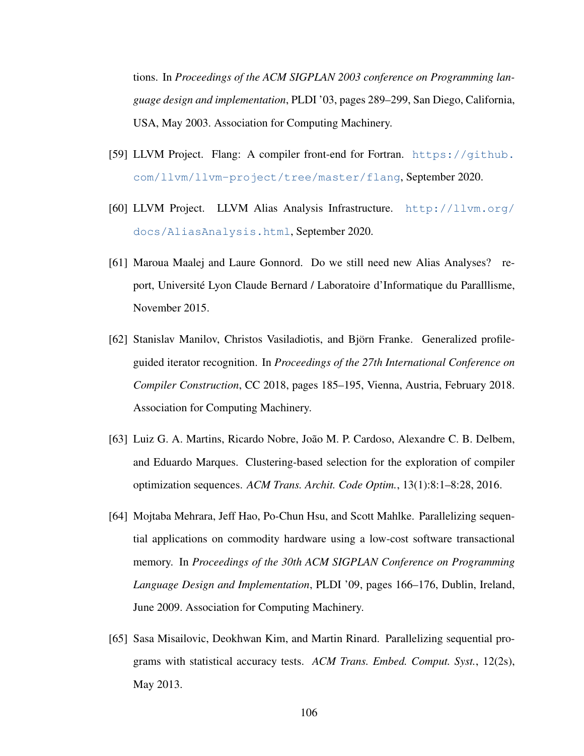tions. In *Proceedings of the ACM SIGPLAN 2003 conference on Programming language design and implementation*, PLDI '03, pages 289–299, San Diego, California, USA, May 2003. Association for Computing Machinery.

- [59] LLVM Project. Flang: A compiler front-end for Fortran. [https://github.](https://github.com/llvm/llvm-project/tree/master/flang) [com/llvm/llvm-project/tree/master/flang](https://github.com/llvm/llvm-project/tree/master/flang), September 2020.
- [60] LLVM Project. LLVM Alias Analysis Infrastructure. [http://llvm.org/](http://llvm.org/docs/AliasAnalysis.html) [docs/AliasAnalysis.html](http://llvm.org/docs/AliasAnalysis.html), September 2020.
- [61] Maroua Maalej and Laure Gonnord. Do we still need new Alias Analyses? report, Université Lyon Claude Bernard / Laboratoire d'Informatique du Paralllisme, November 2015.
- [62] Stanislav Manilov, Christos Vasiladiotis, and Björn Franke. Generalized profileguided iterator recognition. In *Proceedings of the 27th International Conference on Compiler Construction*, CC 2018, pages 185–195, Vienna, Austria, February 2018. Association for Computing Machinery.
- [63] Luiz G. A. Martins, Ricardo Nobre, João M. P. Cardoso, Alexandre C. B. Delbem, and Eduardo Marques. Clustering-based selection for the exploration of compiler optimization sequences. *ACM Trans. Archit. Code Optim.*, 13(1):8:1–8:28, 2016.
- [64] Mojtaba Mehrara, Jeff Hao, Po-Chun Hsu, and Scott Mahlke. Parallelizing sequential applications on commodity hardware using a low-cost software transactional memory. In *Proceedings of the 30th ACM SIGPLAN Conference on Programming Language Design and Implementation*, PLDI '09, pages 166–176, Dublin, Ireland, June 2009. Association for Computing Machinery.
- [65] Sasa Misailovic, Deokhwan Kim, and Martin Rinard. Parallelizing sequential programs with statistical accuracy tests. *ACM Trans. Embed. Comput. Syst.*, 12(2s), May 2013.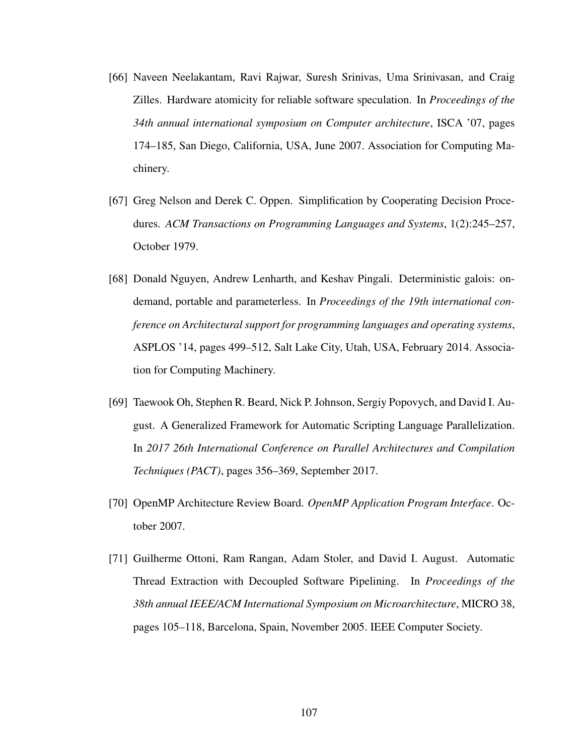- [66] Naveen Neelakantam, Ravi Rajwar, Suresh Srinivas, Uma Srinivasan, and Craig Zilles. Hardware atomicity for reliable software speculation. In *Proceedings of the 34th annual international symposium on Computer architecture*, ISCA '07, pages 174–185, San Diego, California, USA, June 2007. Association for Computing Machinery.
- [67] Greg Nelson and Derek C. Oppen. Simplification by Cooperating Decision Procedures. *ACM Transactions on Programming Languages and Systems*, 1(2):245–257, October 1979.
- [68] Donald Nguyen, Andrew Lenharth, and Keshav Pingali. Deterministic galois: ondemand, portable and parameterless. In *Proceedings of the 19th international conference on Architectural support for programming languages and operating systems*, ASPLOS '14, pages 499–512, Salt Lake City, Utah, USA, February 2014. Association for Computing Machinery.
- [69] Taewook Oh, Stephen R. Beard, Nick P. Johnson, Sergiy Popovych, and David I. August. A Generalized Framework for Automatic Scripting Language Parallelization. In *2017 26th International Conference on Parallel Architectures and Compilation Techniques (PACT)*, pages 356–369, September 2017.
- [70] OpenMP Architecture Review Board. *OpenMP Application Program Interface*. October 2007.
- [71] Guilherme Ottoni, Ram Rangan, Adam Stoler, and David I. August. Automatic Thread Extraction with Decoupled Software Pipelining. In *Proceedings of the 38th annual IEEE/ACM International Symposium on Microarchitecture*, MICRO 38, pages 105–118, Barcelona, Spain, November 2005. IEEE Computer Society.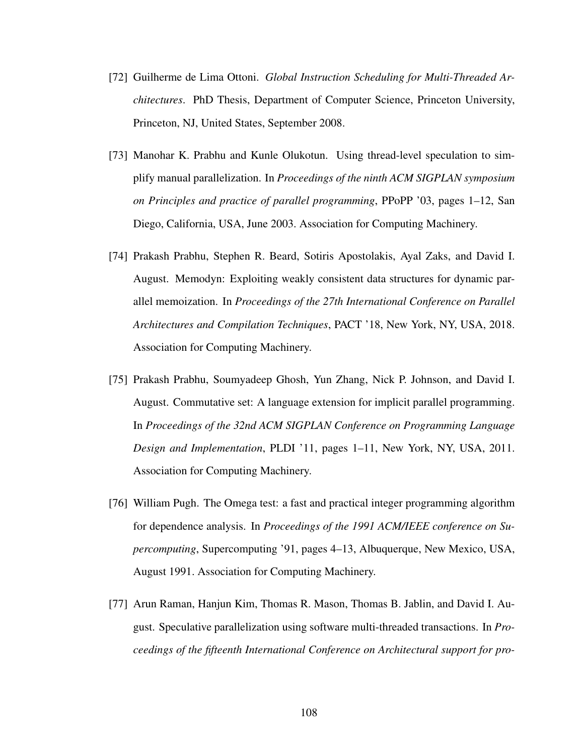- [72] Guilherme de Lima Ottoni. *Global Instruction Scheduling for Multi-Threaded Architectures*. PhD Thesis, Department of Computer Science, Princeton University, Princeton, NJ, United States, September 2008.
- [73] Manohar K. Prabhu and Kunle Olukotun. Using thread-level speculation to simplify manual parallelization. In *Proceedings of the ninth ACM SIGPLAN symposium on Principles and practice of parallel programming*, PPoPP '03, pages 1–12, San Diego, California, USA, June 2003. Association for Computing Machinery.
- [74] Prakash Prabhu, Stephen R. Beard, Sotiris Apostolakis, Ayal Zaks, and David I. August. Memodyn: Exploiting weakly consistent data structures for dynamic parallel memoization. In *Proceedings of the 27th International Conference on Parallel Architectures and Compilation Techniques*, PACT '18, New York, NY, USA, 2018. Association for Computing Machinery.
- [75] Prakash Prabhu, Soumyadeep Ghosh, Yun Zhang, Nick P. Johnson, and David I. August. Commutative set: A language extension for implicit parallel programming. In *Proceedings of the 32nd ACM SIGPLAN Conference on Programming Language Design and Implementation*, PLDI '11, pages 1–11, New York, NY, USA, 2011. Association for Computing Machinery.
- [76] William Pugh. The Omega test: a fast and practical integer programming algorithm for dependence analysis. In *Proceedings of the 1991 ACM/IEEE conference on Supercomputing*, Supercomputing '91, pages 4–13, Albuquerque, New Mexico, USA, August 1991. Association for Computing Machinery.
- [77] Arun Raman, Hanjun Kim, Thomas R. Mason, Thomas B. Jablin, and David I. August. Speculative parallelization using software multi-threaded transactions. In *Proceedings of the fifteenth International Conference on Architectural support for pro-*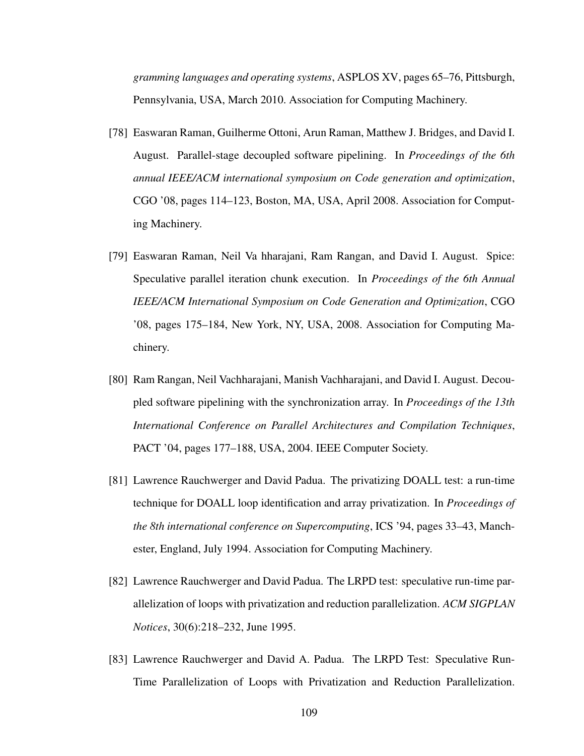*gramming languages and operating systems*, ASPLOS XV, pages 65–76, Pittsburgh, Pennsylvania, USA, March 2010. Association for Computing Machinery.

- [78] Easwaran Raman, Guilherme Ottoni, Arun Raman, Matthew J. Bridges, and David I. August. Parallel-stage decoupled software pipelining. In *Proceedings of the 6th annual IEEE/ACM international symposium on Code generation and optimization*, CGO '08, pages 114–123, Boston, MA, USA, April 2008. Association for Computing Machinery.
- [79] Easwaran Raman, Neil Va hharajani, Ram Rangan, and David I. August. Spice: Speculative parallel iteration chunk execution. In *Proceedings of the 6th Annual IEEE/ACM International Symposium on Code Generation and Optimization*, CGO '08, pages 175–184, New York, NY, USA, 2008. Association for Computing Machinery.
- [80] Ram Rangan, Neil Vachharajani, Manish Vachharajani, and David I. August. Decoupled software pipelining with the synchronization array. In *Proceedings of the 13th International Conference on Parallel Architectures and Compilation Techniques*, PACT '04, pages 177–188, USA, 2004. IEEE Computer Society.
- [81] Lawrence Rauchwerger and David Padua. The privatizing DOALL test: a run-time technique for DOALL loop identification and array privatization. In *Proceedings of the 8th international conference on Supercomputing*, ICS '94, pages 33–43, Manchester, England, July 1994. Association for Computing Machinery.
- [82] Lawrence Rauchwerger and David Padua. The LRPD test: speculative run-time parallelization of loops with privatization and reduction parallelization. *ACM SIGPLAN Notices*, 30(6):218–232, June 1995.
- [83] Lawrence Rauchwerger and David A. Padua. The LRPD Test: Speculative Run-Time Parallelization of Loops with Privatization and Reduction Parallelization.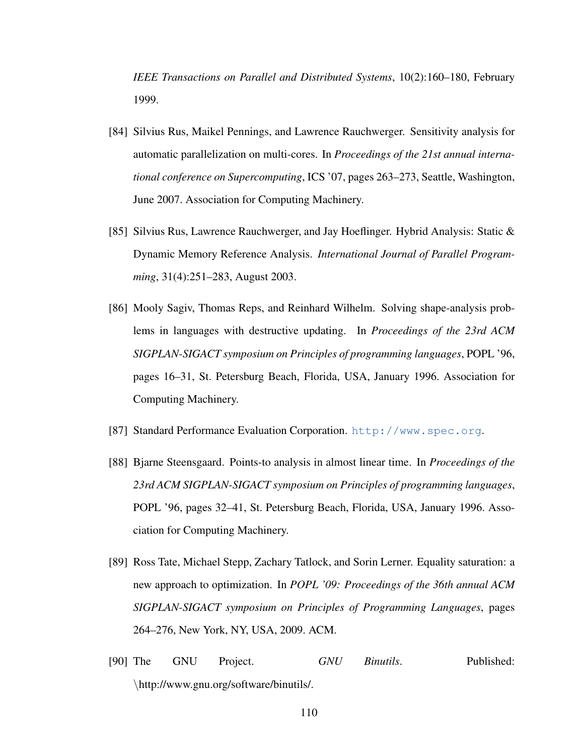*IEEE Transactions on Parallel and Distributed Systems*, 10(2):160–180, February 1999.

- [84] Silvius Rus, Maikel Pennings, and Lawrence Rauchwerger. Sensitivity analysis for automatic parallelization on multi-cores. In *Proceedings of the 21st annual international conference on Supercomputing*, ICS '07, pages 263–273, Seattle, Washington, June 2007. Association for Computing Machinery.
- [85] Silvius Rus, Lawrence Rauchwerger, and Jay Hoeflinger. Hybrid Analysis: Static & Dynamic Memory Reference Analysis. *International Journal of Parallel Programming*, 31(4):251–283, August 2003.
- [86] Mooly Sagiv, Thomas Reps, and Reinhard Wilhelm. Solving shape-analysis problems in languages with destructive updating. In *Proceedings of the 23rd ACM SIGPLAN-SIGACT symposium on Principles of programming languages*, POPL '96, pages 16–31, St. Petersburg Beach, Florida, USA, January 1996. Association for Computing Machinery.
- [87] Standard Performance Evaluation Corporation. <http://www.spec.org>.
- [88] Bjarne Steensgaard. Points-to analysis in almost linear time. In *Proceedings of the 23rd ACM SIGPLAN-SIGACT symposium on Principles of programming languages*, POPL '96, pages 32–41, St. Petersburg Beach, Florida, USA, January 1996. Association for Computing Machinery.
- [89] Ross Tate, Michael Stepp, Zachary Tatlock, and Sorin Lerner. Equality saturation: a new approach to optimization. In *POPL '09: Proceedings of the 36th annual ACM SIGPLAN-SIGACT symposium on Principles of Programming Languages*, pages 264–276, New York, NY, USA, 2009. ACM.
- [90] The GNU Project. *GNU Binutils*. Published: \http://www.gnu.org/software/binutils/.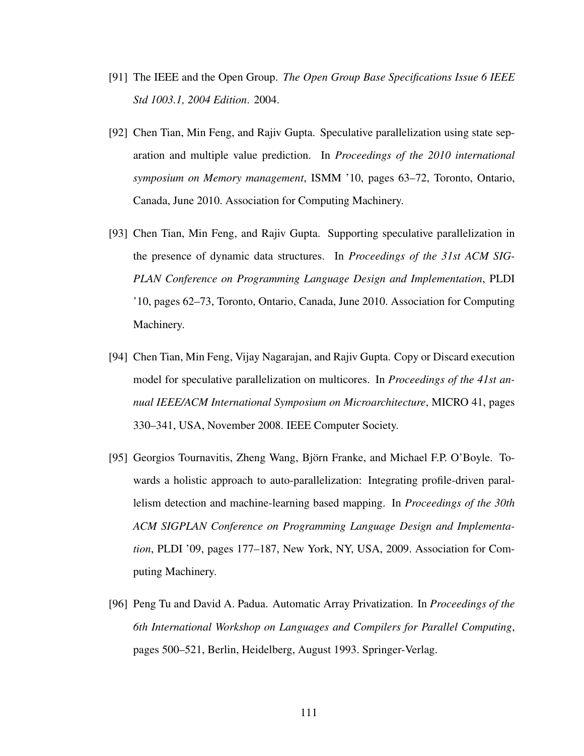- [91] The IEEE and the Open Group. *The Open Group Base Specifications Issue 6 IEEE Std 1003.1, 2004 Edition*. 2004.
- [92] Chen Tian, Min Feng, and Rajiv Gupta. Speculative parallelization using state separation and multiple value prediction. In *Proceedings of the 2010 international symposium on Memory management*, ISMM '10, pages 63–72, Toronto, Ontario, Canada, June 2010. Association for Computing Machinery.
- [93] Chen Tian, Min Feng, and Rajiv Gupta. Supporting speculative parallelization in the presence of dynamic data structures. In *Proceedings of the 31st ACM SIG-PLAN Conference on Programming Language Design and Implementation*, PLDI '10, pages 62–73, Toronto, Ontario, Canada, June 2010. Association for Computing Machinery.
- [94] Chen Tian, Min Feng, Vijay Nagarajan, and Rajiv Gupta. Copy or Discard execution model for speculative parallelization on multicores. In *Proceedings of the 41st annual IEEE/ACM International Symposium on Microarchitecture*, MICRO 41, pages 330–341, USA, November 2008. IEEE Computer Society.
- [95] Georgios Tournavitis, Zheng Wang, Björn Franke, and Michael F.P. O'Boyle. Towards a holistic approach to auto-parallelization: Integrating profile-driven parallelism detection and machine-learning based mapping. In *Proceedings of the 30th ACM SIGPLAN Conference on Programming Language Design and Implementation*, PLDI '09, pages 177–187, New York, NY, USA, 2009. Association for Computing Machinery.
- [96] Peng Tu and David A. Padua. Automatic Array Privatization. In *Proceedings of the 6th International Workshop on Languages and Compilers for Parallel Computing*, pages 500–521, Berlin, Heidelberg, August 1993. Springer-Verlag.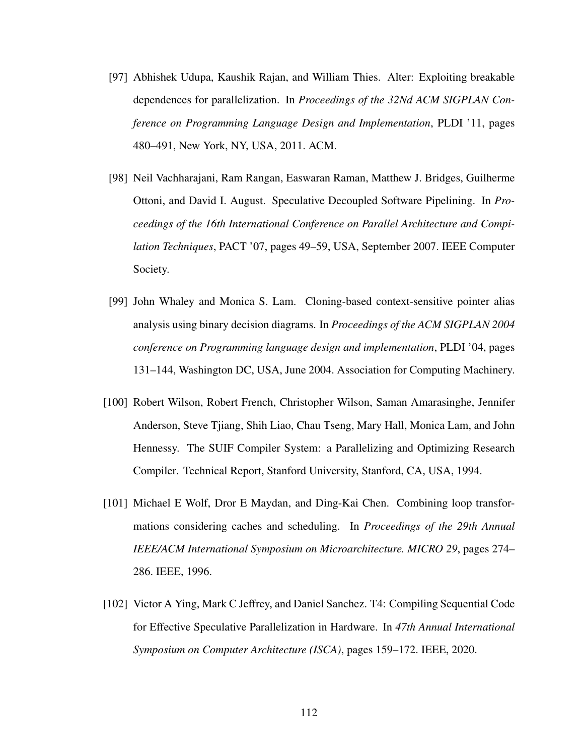- [97] Abhishek Udupa, Kaushik Rajan, and William Thies. Alter: Exploiting breakable dependences for parallelization. In *Proceedings of the 32Nd ACM SIGPLAN Conference on Programming Language Design and Implementation*, PLDI '11, pages 480–491, New York, NY, USA, 2011. ACM.
- [98] Neil Vachharajani, Ram Rangan, Easwaran Raman, Matthew J. Bridges, Guilherme Ottoni, and David I. August. Speculative Decoupled Software Pipelining. In *Proceedings of the 16th International Conference on Parallel Architecture and Compilation Techniques*, PACT '07, pages 49–59, USA, September 2007. IEEE Computer Society.
- [99] John Whaley and Monica S. Lam. Cloning-based context-sensitive pointer alias analysis using binary decision diagrams. In *Proceedings of the ACM SIGPLAN 2004 conference on Programming language design and implementation*, PLDI '04, pages 131–144, Washington DC, USA, June 2004. Association for Computing Machinery.
- [100] Robert Wilson, Robert French, Christopher Wilson, Saman Amarasinghe, Jennifer Anderson, Steve Tjiang, Shih Liao, Chau Tseng, Mary Hall, Monica Lam, and John Hennessy. The SUIF Compiler System: a Parallelizing and Optimizing Research Compiler. Technical Report, Stanford University, Stanford, CA, USA, 1994.
- [101] Michael E Wolf, Dror E Maydan, and Ding-Kai Chen. Combining loop transformations considering caches and scheduling. In *Proceedings of the 29th Annual IEEE/ACM International Symposium on Microarchitecture. MICRO 29*, pages 274– 286. IEEE, 1996.
- [102] Victor A Ying, Mark C Jeffrey, and Daniel Sanchez. T4: Compiling Sequential Code for Effective Speculative Parallelization in Hardware. In *47th Annual International Symposium on Computer Architecture (ISCA)*, pages 159–172. IEEE, 2020.